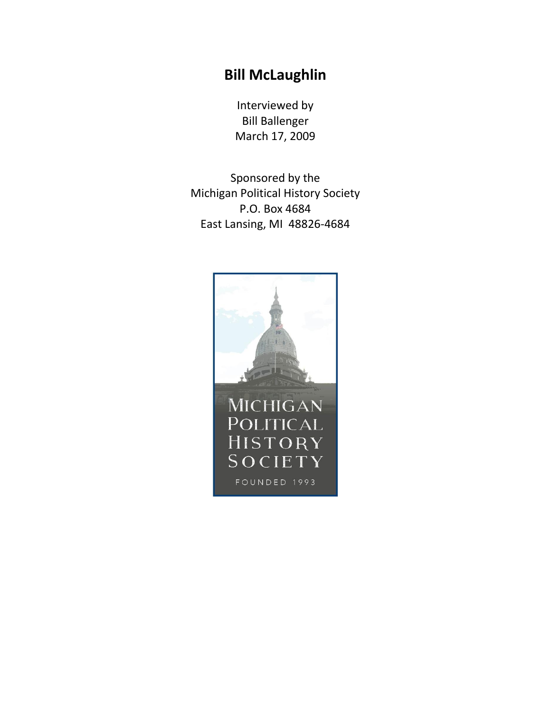## **Bill McLaughlin**

Interviewed by Bill Ballenger March 17, 2009

Sponsored by the Michigan Political History Society P.O. Box 4684 East Lansing, MI 48826-4684

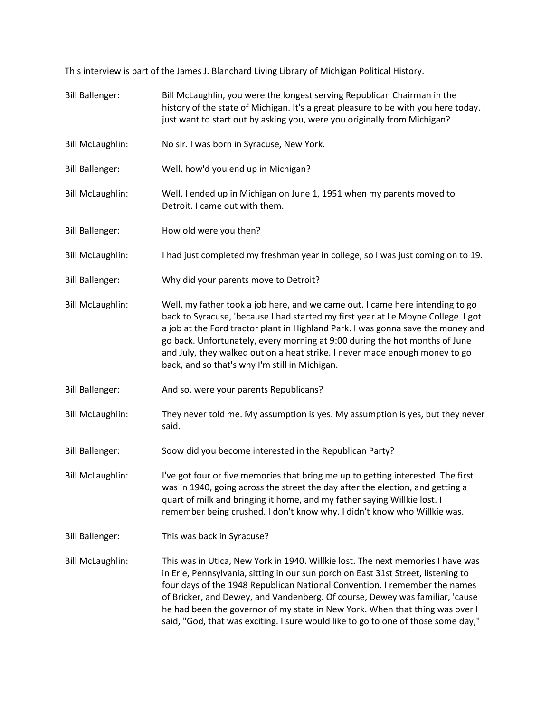This interview is part of the James J. Blanchard Living Library of Michigan Political History.

- Bill Ballenger: Bill McLaughlin, you were the longest serving Republican Chairman in the history of the state of Michigan. It's a great pleasure to be with you here today. I just want to start out by asking you, were you originally from Michigan?
- Bill McLaughlin: No sir. I was born in Syracuse, New York.
- Bill Ballenger: Well, how'd you end up in Michigan?
- Bill McLaughlin: Well, I ended up in Michigan on June 1, 1951 when my parents moved to Detroit. I came out with them.
- Bill Ballenger: How old were you then?
- Bill McLaughlin: I had just completed my freshman year in college, so I was just coming on to 19.
- Bill Ballenger: Why did your parents move to Detroit?
- Bill McLaughlin: Well, my father took a job here, and we came out. I came here intending to go back to Syracuse, 'because I had started my first year at Le Moyne College. I got a job at the Ford tractor plant in Highland Park. I was gonna save the money and go back. Unfortunately, every morning at 9:00 during the hot months of June and July, they walked out on a heat strike. I never made enough money to go back, and so that's why I'm still in Michigan.
- Bill Ballenger: And so, were your parents Republicans?
- Bill McLaughlin: They never told me. My assumption is yes. My assumption is yes, but they never said.
- Bill Ballenger: Soow did you become interested in the Republican Party?
- Bill McLaughlin: I've got four or five memories that bring me up to getting interested. The first was in 1940, going across the street the day after the election, and getting a quart of milk and bringing it home, and my father saying Willkie lost. I remember being crushed. I don't know why. I didn't know who Willkie was.
- Bill Ballenger: This was back in Syracuse?
- Bill McLaughlin: This was in Utica, New York in 1940. Willkie lost. The next memories I have was in Erie, Pennsylvania, sitting in our sun porch on East 31st Street, listening to four days of the 1948 Republican National Convention. I remember the names of Bricker, and Dewey, and Vandenberg. Of course, Dewey was familiar, 'cause he had been the governor of my state in New York. When that thing was over I said, "God, that was exciting. I sure would like to go to one of those some day,"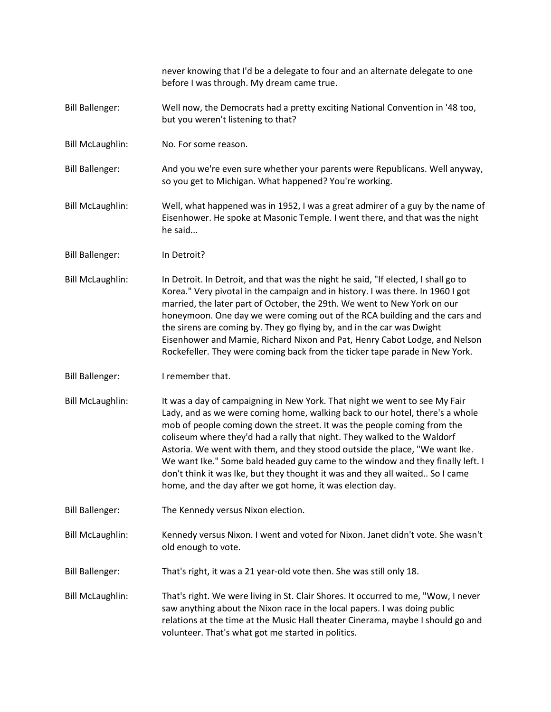never knowing that I'd be a delegate to four and an alternate delegate to one before I was through. My dream came true.

- Bill Ballenger: Well now, the Democrats had a pretty exciting National Convention in '48 too, but you weren't listening to that?
- Bill McLaughlin: No. For some reason.
- Bill Ballenger: And you we're even sure whether your parents were Republicans. Well anyway, so you get to Michigan. What happened? You're working.
- Bill McLaughlin: Well, what happened was in 1952, I was a great admirer of a guy by the name of Eisenhower. He spoke at Masonic Temple. I went there, and that was the night he said...
- Bill Ballenger: In Detroit?
- Bill McLaughlin: In Detroit. In Detroit, and that was the night he said, "If elected, I shall go to Korea." Very pivotal in the campaign and in history. I was there. In 1960 I got married, the later part of October, the 29th. We went to New York on our honeymoon. One day we were coming out of the RCA building and the cars and the sirens are coming by. They go flying by, and in the car was Dwight Eisenhower and Mamie, Richard Nixon and Pat, Henry Cabot Lodge, and Nelson Rockefeller. They were coming back from the ticker tape parade in New York.
- Bill Ballenger: I remember that.
- Bill McLaughlin: It was a day of campaigning in New York. That night we went to see My Fair Lady, and as we were coming home, walking back to our hotel, there's a whole mob of people coming down the street. It was the people coming from the coliseum where they'd had a rally that night. They walked to the Waldorf Astoria. We went with them, and they stood outside the place, "We want Ike. We want Ike." Some bald headed guy came to the window and they finally left. I don't think it was Ike, but they thought it was and they all waited.. So I came home, and the day after we got home, it was election day.
- Bill Ballenger: The Kennedy versus Nixon election.
- Bill McLaughlin: Kennedy versus Nixon. I went and voted for Nixon. Janet didn't vote. She wasn't old enough to vote.
- Bill Ballenger: That's right, it was a 21 year-old vote then. She was still only 18.
- Bill McLaughlin: That's right. We were living in St. Clair Shores. It occurred to me, "Wow, I never saw anything about the Nixon race in the local papers. I was doing public relations at the time at the Music Hall theater Cinerama, maybe I should go and volunteer. That's what got me started in politics.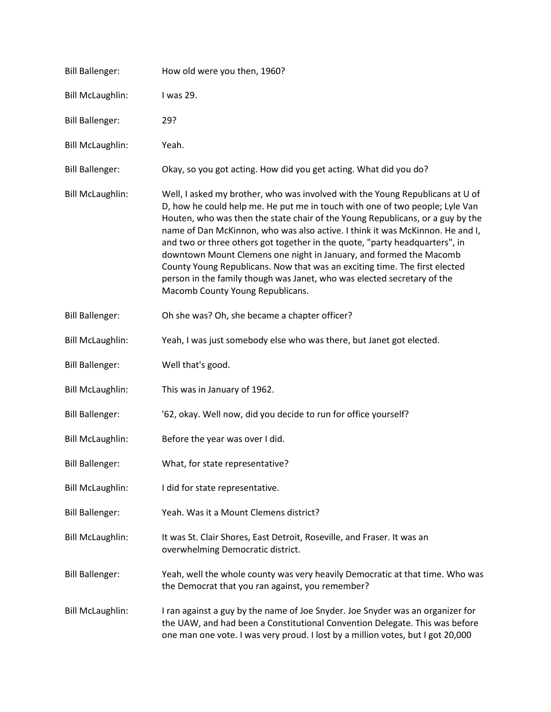| <b>Bill Ballenger:</b>  | How old were you then, 1960?                                                                                                                                                                                                                                                                                                                                                                                                                                                                                                                                                                                                                                                       |
|-------------------------|------------------------------------------------------------------------------------------------------------------------------------------------------------------------------------------------------------------------------------------------------------------------------------------------------------------------------------------------------------------------------------------------------------------------------------------------------------------------------------------------------------------------------------------------------------------------------------------------------------------------------------------------------------------------------------|
| <b>Bill McLaughlin:</b> | I was 29.                                                                                                                                                                                                                                                                                                                                                                                                                                                                                                                                                                                                                                                                          |
| <b>Bill Ballenger:</b>  | 29?                                                                                                                                                                                                                                                                                                                                                                                                                                                                                                                                                                                                                                                                                |
| <b>Bill McLaughlin:</b> | Yeah.                                                                                                                                                                                                                                                                                                                                                                                                                                                                                                                                                                                                                                                                              |
| <b>Bill Ballenger:</b>  | Okay, so you got acting. How did you get acting. What did you do?                                                                                                                                                                                                                                                                                                                                                                                                                                                                                                                                                                                                                  |
| <b>Bill McLaughlin:</b> | Well, I asked my brother, who was involved with the Young Republicans at U of<br>D, how he could help me. He put me in touch with one of two people; Lyle Van<br>Houten, who was then the state chair of the Young Republicans, or a guy by the<br>name of Dan McKinnon, who was also active. I think it was McKinnon. He and I,<br>and two or three others got together in the quote, "party headquarters", in<br>downtown Mount Clemens one night in January, and formed the Macomb<br>County Young Republicans. Now that was an exciting time. The first elected<br>person in the family though was Janet, who was elected secretary of the<br>Macomb County Young Republicans. |
| <b>Bill Ballenger:</b>  | Oh she was? Oh, she became a chapter officer?                                                                                                                                                                                                                                                                                                                                                                                                                                                                                                                                                                                                                                      |
| <b>Bill McLaughlin:</b> | Yeah, I was just somebody else who was there, but Janet got elected.                                                                                                                                                                                                                                                                                                                                                                                                                                                                                                                                                                                                               |
| <b>Bill Ballenger:</b>  | Well that's good.                                                                                                                                                                                                                                                                                                                                                                                                                                                                                                                                                                                                                                                                  |
| <b>Bill McLaughlin:</b> | This was in January of 1962.                                                                                                                                                                                                                                                                                                                                                                                                                                                                                                                                                                                                                                                       |
| <b>Bill Ballenger:</b>  | '62, okay. Well now, did you decide to run for office yourself?                                                                                                                                                                                                                                                                                                                                                                                                                                                                                                                                                                                                                    |
| <b>Bill McLaughlin:</b> | Before the year was over I did.                                                                                                                                                                                                                                                                                                                                                                                                                                                                                                                                                                                                                                                    |
| <b>Bill Ballenger:</b>  | What, for state representative?                                                                                                                                                                                                                                                                                                                                                                                                                                                                                                                                                                                                                                                    |
| <b>Bill McLaughlin:</b> | I did for state representative.                                                                                                                                                                                                                                                                                                                                                                                                                                                                                                                                                                                                                                                    |
| <b>Bill Ballenger:</b>  | Yeah. Was it a Mount Clemens district?                                                                                                                                                                                                                                                                                                                                                                                                                                                                                                                                                                                                                                             |
| <b>Bill McLaughlin:</b> | It was St. Clair Shores, East Detroit, Roseville, and Fraser. It was an<br>overwhelming Democratic district.                                                                                                                                                                                                                                                                                                                                                                                                                                                                                                                                                                       |
| <b>Bill Ballenger:</b>  | Yeah, well the whole county was very heavily Democratic at that time. Who was<br>the Democrat that you ran against, you remember?                                                                                                                                                                                                                                                                                                                                                                                                                                                                                                                                                  |
| <b>Bill McLaughlin:</b> | I ran against a guy by the name of Joe Snyder. Joe Snyder was an organizer for<br>the UAW, and had been a Constitutional Convention Delegate. This was before<br>one man one vote. I was very proud. I lost by a million votes, but I got 20,000                                                                                                                                                                                                                                                                                                                                                                                                                                   |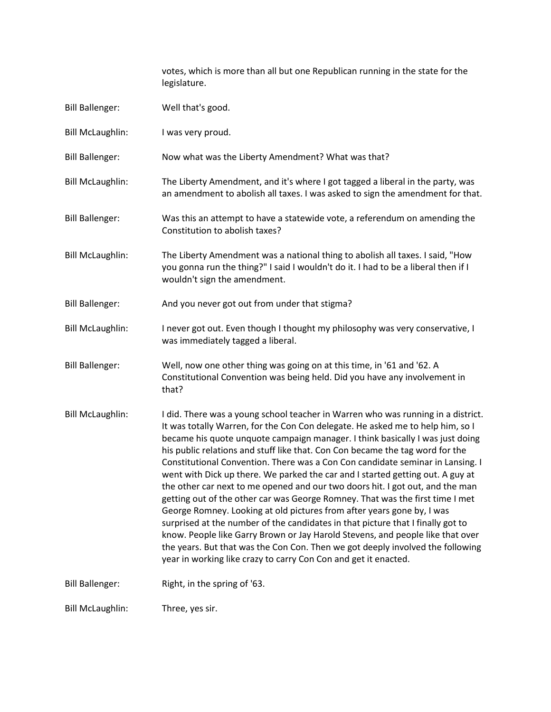votes, which is more than all but one Republican running in the state for the legislature.

| <b>Bill Ballenger:</b>  | Well that's good.                                                                                                                                                                                                                                                                                                                                                                                                                                                                                                                                                                                                                                                                                                                                                                                                                                                                                                                                                                                                                                                              |
|-------------------------|--------------------------------------------------------------------------------------------------------------------------------------------------------------------------------------------------------------------------------------------------------------------------------------------------------------------------------------------------------------------------------------------------------------------------------------------------------------------------------------------------------------------------------------------------------------------------------------------------------------------------------------------------------------------------------------------------------------------------------------------------------------------------------------------------------------------------------------------------------------------------------------------------------------------------------------------------------------------------------------------------------------------------------------------------------------------------------|
| <b>Bill McLaughlin:</b> | I was very proud.                                                                                                                                                                                                                                                                                                                                                                                                                                                                                                                                                                                                                                                                                                                                                                                                                                                                                                                                                                                                                                                              |
| <b>Bill Ballenger:</b>  | Now what was the Liberty Amendment? What was that?                                                                                                                                                                                                                                                                                                                                                                                                                                                                                                                                                                                                                                                                                                                                                                                                                                                                                                                                                                                                                             |
| <b>Bill McLaughlin:</b> | The Liberty Amendment, and it's where I got tagged a liberal in the party, was<br>an amendment to abolish all taxes. I was asked to sign the amendment for that.                                                                                                                                                                                                                                                                                                                                                                                                                                                                                                                                                                                                                                                                                                                                                                                                                                                                                                               |
| <b>Bill Ballenger:</b>  | Was this an attempt to have a statewide vote, a referendum on amending the<br>Constitution to abolish taxes?                                                                                                                                                                                                                                                                                                                                                                                                                                                                                                                                                                                                                                                                                                                                                                                                                                                                                                                                                                   |
| <b>Bill McLaughlin:</b> | The Liberty Amendment was a national thing to abolish all taxes. I said, "How<br>you gonna run the thing?" I said I wouldn't do it. I had to be a liberal then if I<br>wouldn't sign the amendment.                                                                                                                                                                                                                                                                                                                                                                                                                                                                                                                                                                                                                                                                                                                                                                                                                                                                            |
| <b>Bill Ballenger:</b>  | And you never got out from under that stigma?                                                                                                                                                                                                                                                                                                                                                                                                                                                                                                                                                                                                                                                                                                                                                                                                                                                                                                                                                                                                                                  |
| <b>Bill McLaughlin:</b> | I never got out. Even though I thought my philosophy was very conservative, I<br>was immediately tagged a liberal.                                                                                                                                                                                                                                                                                                                                                                                                                                                                                                                                                                                                                                                                                                                                                                                                                                                                                                                                                             |
| <b>Bill Ballenger:</b>  | Well, now one other thing was going on at this time, in '61 and '62. A<br>Constitutional Convention was being held. Did you have any involvement in<br>that?                                                                                                                                                                                                                                                                                                                                                                                                                                                                                                                                                                                                                                                                                                                                                                                                                                                                                                                   |
| <b>Bill McLaughlin:</b> | I did. There was a young school teacher in Warren who was running in a district.<br>It was totally Warren, for the Con Con delegate. He asked me to help him, so I<br>became his quote unquote campaign manager. I think basically I was just doing<br>his public relations and stuff like that. Con Con became the tag word for the<br>Constitutional Convention. There was a Con Con candidate seminar in Lansing. I<br>went with Dick up there. We parked the car and I started getting out. A guy at<br>the other car next to me opened and our two doors hit. I got out, and the man<br>getting out of the other car was George Romney. That was the first time I met<br>George Romney. Looking at old pictures from after years gone by, I was<br>surprised at the number of the candidates in that picture that I finally got to<br>know. People like Garry Brown or Jay Harold Stevens, and people like that over<br>the years. But that was the Con Con. Then we got deeply involved the following<br>year in working like crazy to carry Con Con and get it enacted. |
| <b>Bill Ballenger:</b>  | Right, in the spring of '63.                                                                                                                                                                                                                                                                                                                                                                                                                                                                                                                                                                                                                                                                                                                                                                                                                                                                                                                                                                                                                                                   |
| <b>Bill McLaughlin:</b> | Three, yes sir.                                                                                                                                                                                                                                                                                                                                                                                                                                                                                                                                                                                                                                                                                                                                                                                                                                                                                                                                                                                                                                                                |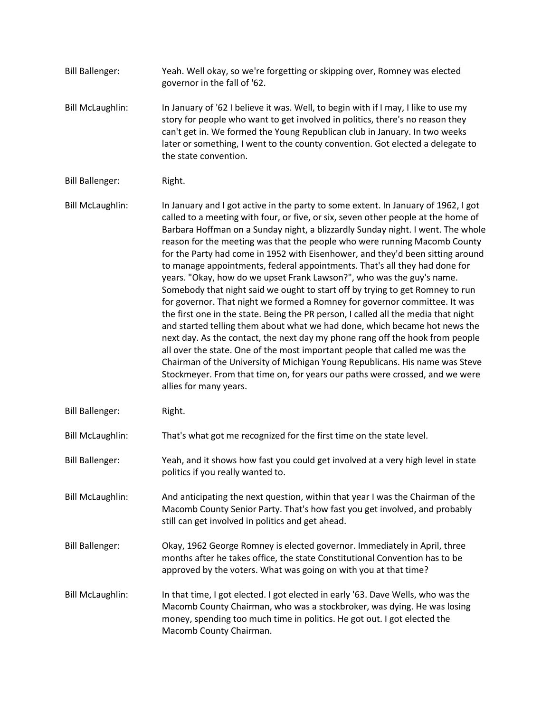- Bill Ballenger: Yeah. Well okay, so we're forgetting or skipping over, Romney was elected governor in the fall of '62. Bill McLaughlin: In January of '62 I believe it was. Well, to begin with if I may, I like to use my story for people who want to get involved in politics, there's no reason they can't get in. We formed the Young Republican club in January. In two weeks later or something, I went to the county convention. Got elected a delegate to the state convention. Bill Ballenger: Right.
- Bill McLaughlin: In January and I got active in the party to some extent. In January of 1962, I got called to a meeting with four, or five, or six, seven other people at the home of Barbara Hoffman on a Sunday night, a blizzardly Sunday night. I went. The whole reason for the meeting was that the people who were running Macomb County for the Party had come in 1952 with Eisenhower, and they'd been sitting around to manage appointments, federal appointments. That's all they had done for years. "Okay, how do we upset Frank Lawson?", who was the guy's name. Somebody that night said we ought to start off by trying to get Romney to run for governor. That night we formed a Romney for governor committee. It was the first one in the state. Being the PR person, I called all the media that night and started telling them about what we had done, which became hot news the next day. As the contact, the next day my phone rang off the hook from people all over the state. One of the most important people that called me was the Chairman of the University of Michigan Young Republicans. His name was Steve Stockmeyer. From that time on, for years our paths were crossed, and we were allies for many years.
- Bill Ballenger: Right.

Bill McLaughlin: That's what got me recognized for the first time on the state level.

- Bill Ballenger: Yeah, and it shows how fast you could get involved at a very high level in state politics if you really wanted to.
- Bill McLaughlin: And anticipating the next question, within that year I was the Chairman of the Macomb County Senior Party. That's how fast you get involved, and probably still can get involved in politics and get ahead.
- Bill Ballenger: Okay, 1962 George Romney is elected governor. Immediately in April, three months after he takes office, the state Constitutional Convention has to be approved by the voters. What was going on with you at that time?
- Bill McLaughlin: In that time, I got elected. I got elected in early '63. Dave Wells, who was the Macomb County Chairman, who was a stockbroker, was dying. He was losing money, spending too much time in politics. He got out. I got elected the Macomb County Chairman.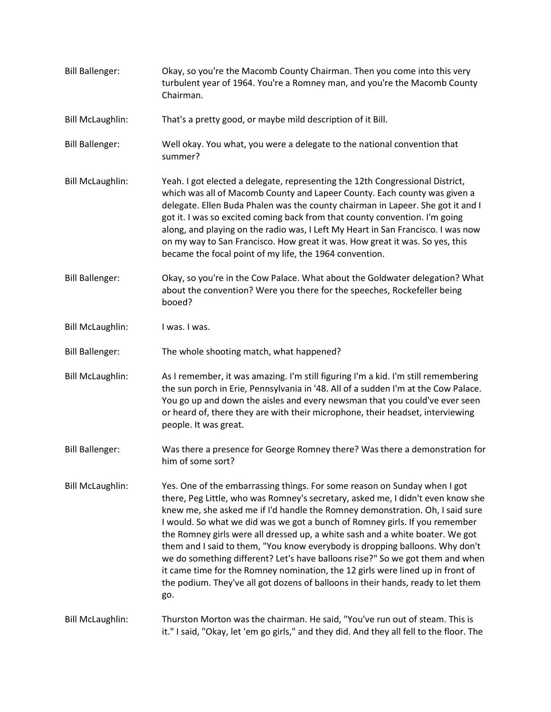| <b>Bill Ballenger:</b>  | Okay, so you're the Macomb County Chairman. Then you come into this very<br>turbulent year of 1964. You're a Romney man, and you're the Macomb County<br>Chairman.                                                                                                                                                                                                                                                                                                                                                                                                                                                                                                                                                                                          |
|-------------------------|-------------------------------------------------------------------------------------------------------------------------------------------------------------------------------------------------------------------------------------------------------------------------------------------------------------------------------------------------------------------------------------------------------------------------------------------------------------------------------------------------------------------------------------------------------------------------------------------------------------------------------------------------------------------------------------------------------------------------------------------------------------|
| <b>Bill McLaughlin:</b> | That's a pretty good, or maybe mild description of it Bill.                                                                                                                                                                                                                                                                                                                                                                                                                                                                                                                                                                                                                                                                                                 |
| <b>Bill Ballenger:</b>  | Well okay. You what, you were a delegate to the national convention that<br>summer?                                                                                                                                                                                                                                                                                                                                                                                                                                                                                                                                                                                                                                                                         |
| <b>Bill McLaughlin:</b> | Yeah. I got elected a delegate, representing the 12th Congressional District,<br>which was all of Macomb County and Lapeer County. Each county was given a<br>delegate. Ellen Buda Phalen was the county chairman in Lapeer. She got it and I<br>got it. I was so excited coming back from that county convention. I'm going<br>along, and playing on the radio was, I Left My Heart in San Francisco. I was now<br>on my way to San Francisco. How great it was. How great it was. So yes, this<br>became the focal point of my life, the 1964 convention.                                                                                                                                                                                                 |
| <b>Bill Ballenger:</b>  | Okay, so you're in the Cow Palace. What about the Goldwater delegation? What<br>about the convention? Were you there for the speeches, Rockefeller being<br>booed?                                                                                                                                                                                                                                                                                                                                                                                                                                                                                                                                                                                          |
| <b>Bill McLaughlin:</b> | I was. I was.                                                                                                                                                                                                                                                                                                                                                                                                                                                                                                                                                                                                                                                                                                                                               |
| <b>Bill Ballenger:</b>  | The whole shooting match, what happened?                                                                                                                                                                                                                                                                                                                                                                                                                                                                                                                                                                                                                                                                                                                    |
| <b>Bill McLaughlin:</b> | As I remember, it was amazing. I'm still figuring I'm a kid. I'm still remembering<br>the sun porch in Erie, Pennsylvania in '48. All of a sudden I'm at the Cow Palace.<br>You go up and down the aisles and every newsman that you could've ever seen<br>or heard of, there they are with their microphone, their headset, interviewing<br>people. It was great.                                                                                                                                                                                                                                                                                                                                                                                          |
| <b>Bill Ballenger:</b>  | Was there a presence for George Romney there? Was there a demonstration for<br>him of some sort?                                                                                                                                                                                                                                                                                                                                                                                                                                                                                                                                                                                                                                                            |
| <b>Bill McLaughlin:</b> | Yes. One of the embarrassing things. For some reason on Sunday when I got<br>there, Peg Little, who was Romney's secretary, asked me, I didn't even know she<br>knew me, she asked me if I'd handle the Romney demonstration. Oh, I said sure<br>I would. So what we did was we got a bunch of Romney girls. If you remember<br>the Romney girls were all dressed up, a white sash and a white boater. We got<br>them and I said to them, "You know everybody is dropping balloons. Why don't<br>we do something different? Let's have balloons rise?" So we got them and when<br>it came time for the Romney nomination, the 12 girls were lined up in front of<br>the podium. They've all got dozens of balloons in their hands, ready to let them<br>go. |
| <b>Bill McLaughlin:</b> | Thurston Morton was the chairman. He said, "You've run out of steam. This is<br>it." I said, "Okay, let 'em go girls," and they did. And they all fell to the floor. The                                                                                                                                                                                                                                                                                                                                                                                                                                                                                                                                                                                    |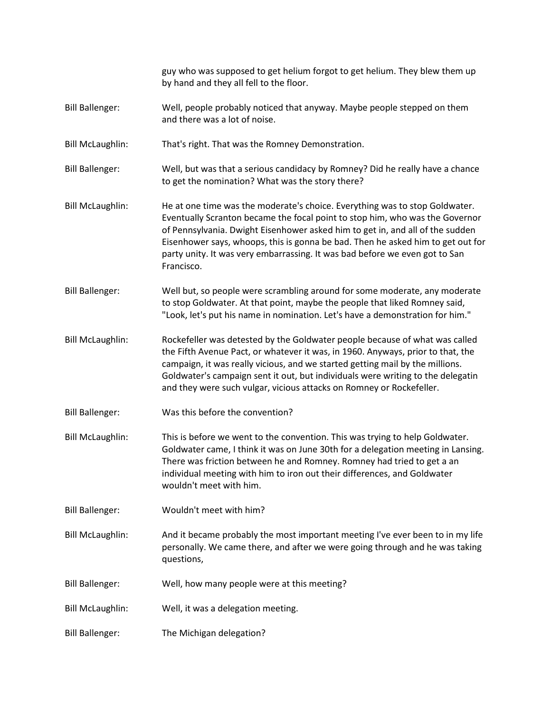guy who was supposed to get helium forgot to get helium. They blew them up by hand and they all fell to the floor. Bill Ballenger: Well, people probably noticed that anyway. Maybe people stepped on them and there was a lot of noise. Bill McLaughlin: That's right. That was the Romney Demonstration. Bill Ballenger: Well, but was that a serious candidacy by Romney? Did he really have a chance to get the nomination? What was the story there? Bill McLaughlin: He at one time was the moderate's choice. Everything was to stop Goldwater. Eventually Scranton became the focal point to stop him, who was the Governor of Pennsylvania. Dwight Eisenhower asked him to get in, and all of the sudden Eisenhower says, whoops, this is gonna be bad. Then he asked him to get out for party unity. It was very embarrassing. It was bad before we even got to San Francisco. Bill Ballenger: Well but, so people were scrambling around for some moderate, any moderate to stop Goldwater. At that point, maybe the people that liked Romney said, "Look, let's put his name in nomination. Let's have a demonstration for him." Bill McLaughlin: Rockefeller was detested by the Goldwater people because of what was called the Fifth Avenue Pact, or whatever it was, in 1960. Anyways, prior to that, the campaign, it was really vicious, and we started getting mail by the millions. Goldwater's campaign sent it out, but individuals were writing to the delegatin and they were such vulgar, vicious attacks on Romney or Rockefeller. Bill Ballenger: Was this before the convention? Bill McLaughlin: This is before we went to the convention. This was trying to help Goldwater. Goldwater came, I think it was on June 30th for a delegation meeting in Lansing. There was friction between he and Romney. Romney had tried to get a an individual meeting with him to iron out their differences, and Goldwater wouldn't meet with him. Bill Ballenger: Wouldn't meet with him? Bill McLaughlin: And it became probably the most important meeting I've ever been to in my life personally. We came there, and after we were going through and he was taking questions, Bill Ballenger: Well, how many people were at this meeting? Bill McLaughlin: Well, it was a delegation meeting. Bill Ballenger: The Michigan delegation?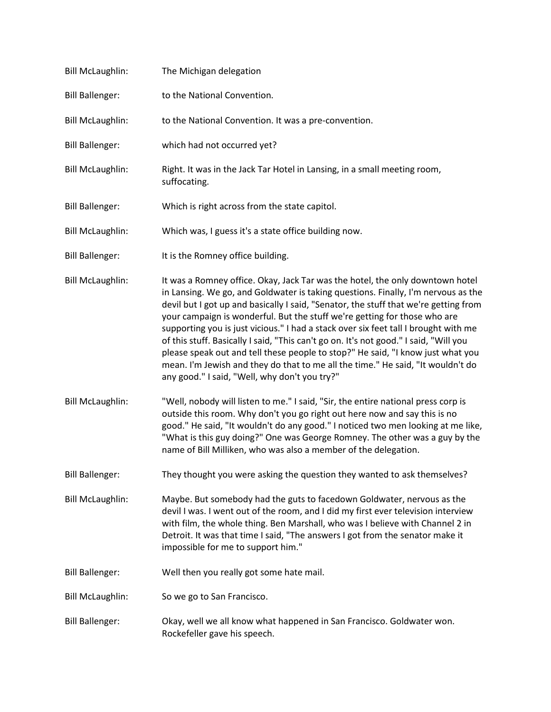| <b>Bill McLaughlin:</b> | The Michigan delegation                                                                                                                                                                                                                                                                                                                                                                                                                                                                                                                                                                                                                                                                                                                        |
|-------------------------|------------------------------------------------------------------------------------------------------------------------------------------------------------------------------------------------------------------------------------------------------------------------------------------------------------------------------------------------------------------------------------------------------------------------------------------------------------------------------------------------------------------------------------------------------------------------------------------------------------------------------------------------------------------------------------------------------------------------------------------------|
| <b>Bill Ballenger:</b>  | to the National Convention.                                                                                                                                                                                                                                                                                                                                                                                                                                                                                                                                                                                                                                                                                                                    |
| <b>Bill McLaughlin:</b> | to the National Convention. It was a pre-convention.                                                                                                                                                                                                                                                                                                                                                                                                                                                                                                                                                                                                                                                                                           |
| <b>Bill Ballenger:</b>  | which had not occurred yet?                                                                                                                                                                                                                                                                                                                                                                                                                                                                                                                                                                                                                                                                                                                    |
| <b>Bill McLaughlin:</b> | Right. It was in the Jack Tar Hotel in Lansing, in a small meeting room,<br>suffocating.                                                                                                                                                                                                                                                                                                                                                                                                                                                                                                                                                                                                                                                       |
| <b>Bill Ballenger:</b>  | Which is right across from the state capitol.                                                                                                                                                                                                                                                                                                                                                                                                                                                                                                                                                                                                                                                                                                  |
| <b>Bill McLaughlin:</b> | Which was, I guess it's a state office building now.                                                                                                                                                                                                                                                                                                                                                                                                                                                                                                                                                                                                                                                                                           |
| <b>Bill Ballenger:</b>  | It is the Romney office building.                                                                                                                                                                                                                                                                                                                                                                                                                                                                                                                                                                                                                                                                                                              |
| <b>Bill McLaughlin:</b> | It was a Romney office. Okay, Jack Tar was the hotel, the only downtown hotel<br>in Lansing. We go, and Goldwater is taking questions. Finally, I'm nervous as the<br>devil but I got up and basically I said, "Senator, the stuff that we're getting from<br>your campaign is wonderful. But the stuff we're getting for those who are<br>supporting you is just vicious." I had a stack over six feet tall I brought with me<br>of this stuff. Basically I said, "This can't go on. It's not good." I said, "Will you<br>please speak out and tell these people to stop?" He said, "I know just what you<br>mean. I'm Jewish and they do that to me all the time." He said, "It wouldn't do<br>any good." I said, "Well, why don't you try?" |
| <b>Bill McLaughlin:</b> | "Well, nobody will listen to me." I said, "Sir, the entire national press corp is<br>outside this room. Why don't you go right out here now and say this is no<br>good." He said, "It wouldn't do any good." I noticed two men looking at me like,<br>"What is this guy doing?" One was George Romney. The other was a guy by the<br>name of Bill Milliken, who was also a member of the delegation.                                                                                                                                                                                                                                                                                                                                           |
| <b>Bill Ballenger:</b>  | They thought you were asking the question they wanted to ask themselves?                                                                                                                                                                                                                                                                                                                                                                                                                                                                                                                                                                                                                                                                       |
| <b>Bill McLaughlin:</b> | Maybe. But somebody had the guts to facedown Goldwater, nervous as the<br>devil I was. I went out of the room, and I did my first ever television interview<br>with film, the whole thing. Ben Marshall, who was I believe with Channel 2 in<br>Detroit. It was that time I said, "The answers I got from the senator make it<br>impossible for me to support him."                                                                                                                                                                                                                                                                                                                                                                            |
| <b>Bill Ballenger:</b>  | Well then you really got some hate mail.                                                                                                                                                                                                                                                                                                                                                                                                                                                                                                                                                                                                                                                                                                       |
| <b>Bill McLaughlin:</b> | So we go to San Francisco.                                                                                                                                                                                                                                                                                                                                                                                                                                                                                                                                                                                                                                                                                                                     |
| <b>Bill Ballenger:</b>  | Okay, well we all know what happened in San Francisco. Goldwater won.<br>Rockefeller gave his speech.                                                                                                                                                                                                                                                                                                                                                                                                                                                                                                                                                                                                                                          |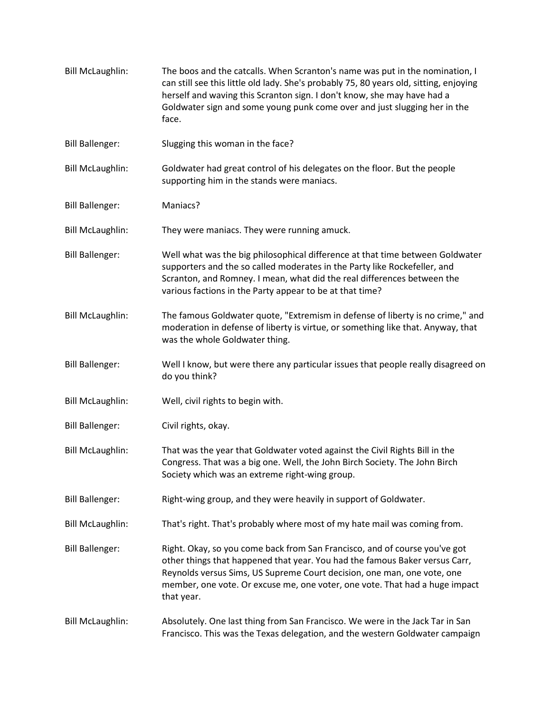| <b>Bill McLaughlin:</b> | The boos and the catcalls. When Scranton's name was put in the nomination, I<br>can still see this little old lady. She's probably 75, 80 years old, sitting, enjoying<br>herself and waving this Scranton sign. I don't know, she may have had a<br>Goldwater sign and some young punk come over and just slugging her in the<br>face. |
|-------------------------|-----------------------------------------------------------------------------------------------------------------------------------------------------------------------------------------------------------------------------------------------------------------------------------------------------------------------------------------|
| <b>Bill Ballenger:</b>  | Slugging this woman in the face?                                                                                                                                                                                                                                                                                                        |
| <b>Bill McLaughlin:</b> | Goldwater had great control of his delegates on the floor. But the people<br>supporting him in the stands were maniacs.                                                                                                                                                                                                                 |
| <b>Bill Ballenger:</b>  | Maniacs?                                                                                                                                                                                                                                                                                                                                |
| <b>Bill McLaughlin:</b> | They were maniacs. They were running amuck.                                                                                                                                                                                                                                                                                             |
| <b>Bill Ballenger:</b>  | Well what was the big philosophical difference at that time between Goldwater<br>supporters and the so called moderates in the Party like Rockefeller, and<br>Scranton, and Romney. I mean, what did the real differences between the<br>various factions in the Party appear to be at that time?                                       |
| <b>Bill McLaughlin:</b> | The famous Goldwater quote, "Extremism in defense of liberty is no crime," and<br>moderation in defense of liberty is virtue, or something like that. Anyway, that<br>was the whole Goldwater thing.                                                                                                                                    |
| <b>Bill Ballenger:</b>  | Well I know, but were there any particular issues that people really disagreed on<br>do you think?                                                                                                                                                                                                                                      |
| <b>Bill McLaughlin:</b> | Well, civil rights to begin with.                                                                                                                                                                                                                                                                                                       |
| <b>Bill Ballenger:</b>  | Civil rights, okay.                                                                                                                                                                                                                                                                                                                     |
| <b>Bill McLaughlin:</b> | That was the year that Goldwater voted against the Civil Rights Bill in the<br>Congress. That was a big one. Well, the John Birch Society. The John Birch<br>Society which was an extreme right-wing group.                                                                                                                             |
| <b>Bill Ballenger:</b>  | Right-wing group, and they were heavily in support of Goldwater.                                                                                                                                                                                                                                                                        |
| <b>Bill McLaughlin:</b> | That's right. That's probably where most of my hate mail was coming from.                                                                                                                                                                                                                                                               |
| <b>Bill Ballenger:</b>  | Right. Okay, so you come back from San Francisco, and of course you've got<br>other things that happened that year. You had the famous Baker versus Carr,<br>Reynolds versus Sims, US Supreme Court decision, one man, one vote, one<br>member, one vote. Or excuse me, one voter, one vote. That had a huge impact<br>that year.       |
| <b>Bill McLaughlin:</b> | Absolutely. One last thing from San Francisco. We were in the Jack Tar in San<br>Francisco. This was the Texas delegation, and the western Goldwater campaign                                                                                                                                                                           |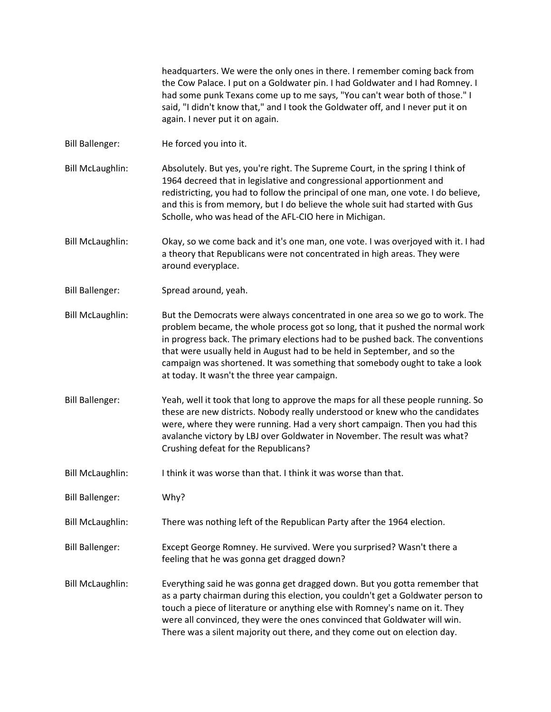headquarters. We were the only ones in there. I remember coming back from the Cow Palace. I put on a Goldwater pin. I had Goldwater and I had Romney. I had some punk Texans come up to me says, "You can't wear both of those." I said, "I didn't know that," and I took the Goldwater off, and I never put it on again. I never put it on again.

- Bill Ballenger: He forced you into it.
- Bill McLaughlin: Absolutely. But yes, you're right. The Supreme Court, in the spring I think of 1964 decreed that in legislative and congressional apportionment and redistricting, you had to follow the principal of one man, one vote. I do believe, and this is from memory, but I do believe the whole suit had started with Gus Scholle, who was head of the AFL-CIO here in Michigan.
- Bill McLaughlin: Okay, so we come back and it's one man, one vote. I was overjoyed with it. I had a theory that Republicans were not concentrated in high areas. They were around everyplace.
- Bill Ballenger: Spread around, yeah.
- Bill McLaughlin: But the Democrats were always concentrated in one area so we go to work. The problem became, the whole process got so long, that it pushed the normal work in progress back. The primary elections had to be pushed back. The conventions that were usually held in August had to be held in September, and so the campaign was shortened. It was something that somebody ought to take a look at today. It wasn't the three year campaign.
- Bill Ballenger: Yeah, well it took that long to approve the maps for all these people running. So these are new districts. Nobody really understood or knew who the candidates were, where they were running. Had a very short campaign. Then you had this avalanche victory by LBJ over Goldwater in November. The result was what? Crushing defeat for the Republicans?
- Bill McLaughlin: I think it was worse than that. I think it was worse than that.
- Bill Ballenger: Why?
- Bill McLaughlin: There was nothing left of the Republican Party after the 1964 election.
- Bill Ballenger: Except George Romney. He survived. Were you surprised? Wasn't there a feeling that he was gonna get dragged down?
- Bill McLaughlin: Everything said he was gonna get dragged down. But you gotta remember that as a party chairman during this election, you couldn't get a Goldwater person to touch a piece of literature or anything else with Romney's name on it. They were all convinced, they were the ones convinced that Goldwater will win. There was a silent majority out there, and they come out on election day.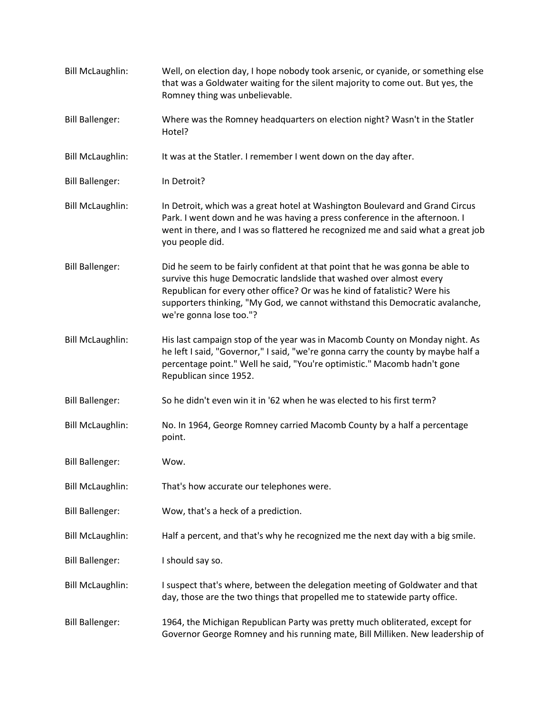| <b>Bill McLaughlin:</b> | Well, on election day, I hope nobody took arsenic, or cyanide, or something else<br>that was a Goldwater waiting for the silent majority to come out. But yes, the<br>Romney thing was unbelievable.                                                                                                                                          |
|-------------------------|-----------------------------------------------------------------------------------------------------------------------------------------------------------------------------------------------------------------------------------------------------------------------------------------------------------------------------------------------|
| <b>Bill Ballenger:</b>  | Where was the Romney headquarters on election night? Wasn't in the Statler<br>Hotel?                                                                                                                                                                                                                                                          |
| <b>Bill McLaughlin:</b> | It was at the Statler. I remember I went down on the day after.                                                                                                                                                                                                                                                                               |
| <b>Bill Ballenger:</b>  | In Detroit?                                                                                                                                                                                                                                                                                                                                   |
| <b>Bill McLaughlin:</b> | In Detroit, which was a great hotel at Washington Boulevard and Grand Circus<br>Park. I went down and he was having a press conference in the afternoon. I<br>went in there, and I was so flattered he recognized me and said what a great job<br>you people did.                                                                             |
| <b>Bill Ballenger:</b>  | Did he seem to be fairly confident at that point that he was gonna be able to<br>survive this huge Democratic landslide that washed over almost every<br>Republican for every other office? Or was he kind of fatalistic? Were his<br>supporters thinking, "My God, we cannot withstand this Democratic avalanche,<br>we're gonna lose too."? |
| <b>Bill McLaughlin:</b> | His last campaign stop of the year was in Macomb County on Monday night. As<br>he left I said, "Governor," I said, "we're gonna carry the county by maybe half a<br>percentage point." Well he said, "You're optimistic." Macomb hadn't gone<br>Republican since 1952.                                                                        |
| <b>Bill Ballenger:</b>  | So he didn't even win it in '62 when he was elected to his first term?                                                                                                                                                                                                                                                                        |
| <b>Bill McLaughlin:</b> | No. In 1964, George Romney carried Macomb County by a half a percentage<br>point.                                                                                                                                                                                                                                                             |
| <b>Bill Ballenger:</b>  | Wow.                                                                                                                                                                                                                                                                                                                                          |
| <b>Bill McLaughlin:</b> | That's how accurate our telephones were.                                                                                                                                                                                                                                                                                                      |
| <b>Bill Ballenger:</b>  | Wow, that's a heck of a prediction.                                                                                                                                                                                                                                                                                                           |
| <b>Bill McLaughlin:</b> | Half a percent, and that's why he recognized me the next day with a big smile.                                                                                                                                                                                                                                                                |
| <b>Bill Ballenger:</b>  | I should say so.                                                                                                                                                                                                                                                                                                                              |
| <b>Bill McLaughlin:</b> | I suspect that's where, between the delegation meeting of Goldwater and that<br>day, those are the two things that propelled me to statewide party office.                                                                                                                                                                                    |
| <b>Bill Ballenger:</b>  | 1964, the Michigan Republican Party was pretty much obliterated, except for<br>Governor George Romney and his running mate, Bill Milliken. New leadership of                                                                                                                                                                                  |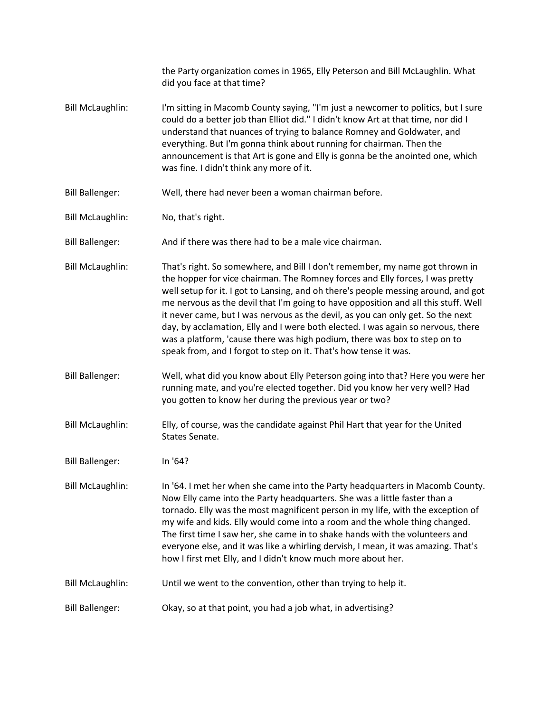|                         | the Party organization comes in 1965, Elly Peterson and Bill McLaughlin. What<br>did you face at that time?                                                                                                                                                                                                                                                                                                                                                                                                                                                                                                                                                       |
|-------------------------|-------------------------------------------------------------------------------------------------------------------------------------------------------------------------------------------------------------------------------------------------------------------------------------------------------------------------------------------------------------------------------------------------------------------------------------------------------------------------------------------------------------------------------------------------------------------------------------------------------------------------------------------------------------------|
| <b>Bill McLaughlin:</b> | I'm sitting in Macomb County saying, "I'm just a newcomer to politics, but I sure<br>could do a better job than Elliot did." I didn't know Art at that time, nor did I<br>understand that nuances of trying to balance Romney and Goldwater, and<br>everything. But I'm gonna think about running for chairman. Then the<br>announcement is that Art is gone and Elly is gonna be the anointed one, which<br>was fine. I didn't think any more of it.                                                                                                                                                                                                             |
| <b>Bill Ballenger:</b>  | Well, there had never been a woman chairman before.                                                                                                                                                                                                                                                                                                                                                                                                                                                                                                                                                                                                               |
| <b>Bill McLaughlin:</b> | No, that's right.                                                                                                                                                                                                                                                                                                                                                                                                                                                                                                                                                                                                                                                 |
| <b>Bill Ballenger:</b>  | And if there was there had to be a male vice chairman.                                                                                                                                                                                                                                                                                                                                                                                                                                                                                                                                                                                                            |
| <b>Bill McLaughlin:</b> | That's right. So somewhere, and Bill I don't remember, my name got thrown in<br>the hopper for vice chairman. The Romney forces and Elly forces, I was pretty<br>well setup for it. I got to Lansing, and oh there's people messing around, and got<br>me nervous as the devil that I'm going to have opposition and all this stuff. Well<br>it never came, but I was nervous as the devil, as you can only get. So the next<br>day, by acclamation, Elly and I were both elected. I was again so nervous, there<br>was a platform, 'cause there was high podium, there was box to step on to<br>speak from, and I forgot to step on it. That's how tense it was. |
| <b>Bill Ballenger:</b>  | Well, what did you know about Elly Peterson going into that? Here you were her<br>running mate, and you're elected together. Did you know her very well? Had<br>you gotten to know her during the previous year or two?                                                                                                                                                                                                                                                                                                                                                                                                                                           |
| <b>Bill McLaughlin:</b> | Elly, of course, was the candidate against Phil Hart that year for the United<br>States Senate.                                                                                                                                                                                                                                                                                                                                                                                                                                                                                                                                                                   |
| <b>Bill Ballenger:</b>  | In '64?                                                                                                                                                                                                                                                                                                                                                                                                                                                                                                                                                                                                                                                           |
| <b>Bill McLaughlin:</b> | In '64. I met her when she came into the Party headquarters in Macomb County.<br>Now Elly came into the Party headquarters. She was a little faster than a<br>tornado. Elly was the most magnificent person in my life, with the exception of<br>my wife and kids. Elly would come into a room and the whole thing changed.<br>The first time I saw her, she came in to shake hands with the volunteers and<br>everyone else, and it was like a whirling dervish, I mean, it was amazing. That's<br>how I first met Elly, and I didn't know much more about her.                                                                                                  |
| <b>Bill McLaughlin:</b> | Until we went to the convention, other than trying to help it.                                                                                                                                                                                                                                                                                                                                                                                                                                                                                                                                                                                                    |
| <b>Bill Ballenger:</b>  | Okay, so at that point, you had a job what, in advertising?                                                                                                                                                                                                                                                                                                                                                                                                                                                                                                                                                                                                       |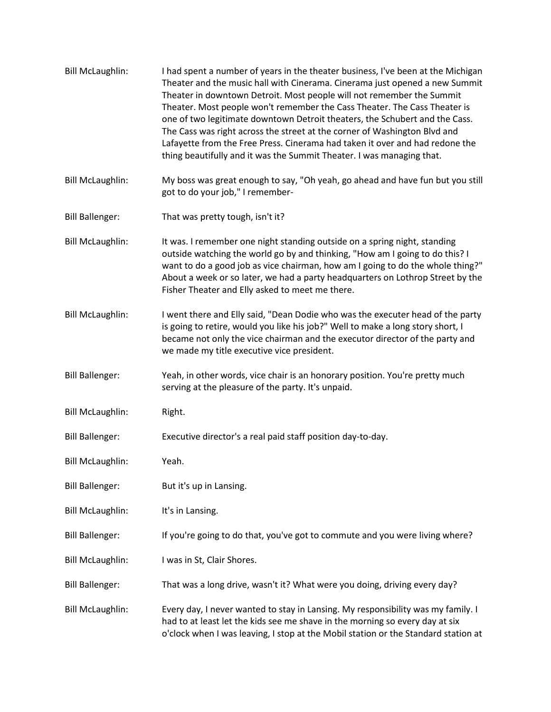| <b>Bill McLaughlin:</b> | I had spent a number of years in the theater business, I've been at the Michigan<br>Theater and the music hall with Cinerama. Cinerama just opened a new Summit<br>Theater in downtown Detroit. Most people will not remember the Summit<br>Theater. Most people won't remember the Cass Theater. The Cass Theater is<br>one of two legitimate downtown Detroit theaters, the Schubert and the Cass.<br>The Cass was right across the street at the corner of Washington Blvd and<br>Lafayette from the Free Press. Cinerama had taken it over and had redone the<br>thing beautifully and it was the Summit Theater. I was managing that. |
|-------------------------|--------------------------------------------------------------------------------------------------------------------------------------------------------------------------------------------------------------------------------------------------------------------------------------------------------------------------------------------------------------------------------------------------------------------------------------------------------------------------------------------------------------------------------------------------------------------------------------------------------------------------------------------|
| <b>Bill McLaughlin:</b> | My boss was great enough to say, "Oh yeah, go ahead and have fun but you still<br>got to do your job," I remember-                                                                                                                                                                                                                                                                                                                                                                                                                                                                                                                         |
| <b>Bill Ballenger:</b>  | That was pretty tough, isn't it?                                                                                                                                                                                                                                                                                                                                                                                                                                                                                                                                                                                                           |
| <b>Bill McLaughlin:</b> | It was. I remember one night standing outside on a spring night, standing<br>outside watching the world go by and thinking, "How am I going to do this? I<br>want to do a good job as vice chairman, how am I going to do the whole thing?"<br>About a week or so later, we had a party headquarters on Lothrop Street by the<br>Fisher Theater and Elly asked to meet me there.                                                                                                                                                                                                                                                           |
| <b>Bill McLaughlin:</b> | I went there and Elly said, "Dean Dodie who was the executer head of the party<br>is going to retire, would you like his job?" Well to make a long story short, I<br>became not only the vice chairman and the executor director of the party and<br>we made my title executive vice president.                                                                                                                                                                                                                                                                                                                                            |
| <b>Bill Ballenger:</b>  | Yeah, in other words, vice chair is an honorary position. You're pretty much<br>serving at the pleasure of the party. It's unpaid.                                                                                                                                                                                                                                                                                                                                                                                                                                                                                                         |
| <b>Bill McLaughlin:</b> | Right.                                                                                                                                                                                                                                                                                                                                                                                                                                                                                                                                                                                                                                     |
| <b>Bill Ballenger:</b>  | Executive director's a real paid staff position day-to-day.                                                                                                                                                                                                                                                                                                                                                                                                                                                                                                                                                                                |
| <b>Bill McLaughlin:</b> | Yeah.                                                                                                                                                                                                                                                                                                                                                                                                                                                                                                                                                                                                                                      |
| <b>Bill Ballenger:</b>  | But it's up in Lansing.                                                                                                                                                                                                                                                                                                                                                                                                                                                                                                                                                                                                                    |
| <b>Bill McLaughlin:</b> | It's in Lansing.                                                                                                                                                                                                                                                                                                                                                                                                                                                                                                                                                                                                                           |
| <b>Bill Ballenger:</b>  | If you're going to do that, you've got to commute and you were living where?                                                                                                                                                                                                                                                                                                                                                                                                                                                                                                                                                               |
| <b>Bill McLaughlin:</b> | I was in St, Clair Shores.                                                                                                                                                                                                                                                                                                                                                                                                                                                                                                                                                                                                                 |
| <b>Bill Ballenger:</b>  | That was a long drive, wasn't it? What were you doing, driving every day?                                                                                                                                                                                                                                                                                                                                                                                                                                                                                                                                                                  |
| <b>Bill McLaughlin:</b> | Every day, I never wanted to stay in Lansing. My responsibility was my family. I<br>had to at least let the kids see me shave in the morning so every day at six<br>o'clock when I was leaving, I stop at the Mobil station or the Standard station at                                                                                                                                                                                                                                                                                                                                                                                     |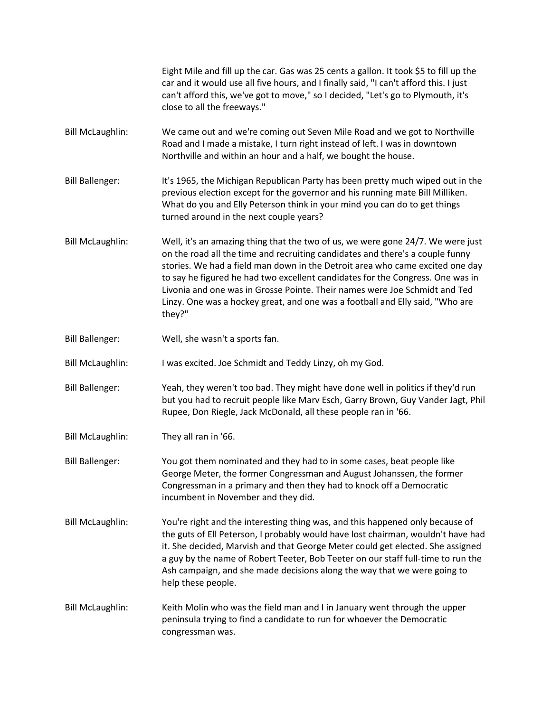|                         | Eight Mile and fill up the car. Gas was 25 cents a gallon. It took \$5 to fill up the<br>car and it would use all five hours, and I finally said, "I can't afford this. I just<br>can't afford this, we've got to move," so I decided, "Let's go to Plymouth, it's<br>close to all the freeways."                                                                                                                                                                                                            |
|-------------------------|--------------------------------------------------------------------------------------------------------------------------------------------------------------------------------------------------------------------------------------------------------------------------------------------------------------------------------------------------------------------------------------------------------------------------------------------------------------------------------------------------------------|
| <b>Bill McLaughlin:</b> | We came out and we're coming out Seven Mile Road and we got to Northville<br>Road and I made a mistake, I turn right instead of left. I was in downtown<br>Northville and within an hour and a half, we bought the house.                                                                                                                                                                                                                                                                                    |
| <b>Bill Ballenger:</b>  | It's 1965, the Michigan Republican Party has been pretty much wiped out in the<br>previous election except for the governor and his running mate Bill Milliken.<br>What do you and Elly Peterson think in your mind you can do to get things<br>turned around in the next couple years?                                                                                                                                                                                                                      |
| <b>Bill McLaughlin:</b> | Well, it's an amazing thing that the two of us, we were gone 24/7. We were just<br>on the road all the time and recruiting candidates and there's a couple funny<br>stories. We had a field man down in the Detroit area who came excited one day<br>to say he figured he had two excellent candidates for the Congress. One was in<br>Livonia and one was in Grosse Pointe. Their names were Joe Schmidt and Ted<br>Linzy. One was a hockey great, and one was a football and Elly said, "Who are<br>they?" |
| <b>Bill Ballenger:</b>  | Well, she wasn't a sports fan.                                                                                                                                                                                                                                                                                                                                                                                                                                                                               |
| <b>Bill McLaughlin:</b> | I was excited. Joe Schmidt and Teddy Linzy, oh my God.                                                                                                                                                                                                                                                                                                                                                                                                                                                       |
| <b>Bill Ballenger:</b>  | Yeah, they weren't too bad. They might have done well in politics if they'd run<br>but you had to recruit people like Marv Esch, Garry Brown, Guy Vander Jagt, Phil<br>Rupee, Don Riegle, Jack McDonald, all these people ran in '66.                                                                                                                                                                                                                                                                        |
| <b>Bill McLaughlin:</b> | They all ran in '66.                                                                                                                                                                                                                                                                                                                                                                                                                                                                                         |
| <b>Bill Ballenger:</b>  | You got them nominated and they had to in some cases, beat people like<br>George Meter, the former Congressman and August Johanssen, the former<br>Congressman in a primary and then they had to knock off a Democratic<br>incumbent in November and they did.                                                                                                                                                                                                                                               |
| <b>Bill McLaughlin:</b> | You're right and the interesting thing was, and this happened only because of<br>the guts of Ell Peterson, I probably would have lost chairman, wouldn't have had<br>it. She decided, Marvish and that George Meter could get elected. She assigned<br>a guy by the name of Robert Teeter, Bob Teeter on our staff full-time to run the<br>Ash campaign, and she made decisions along the way that we were going to<br>help these people.                                                                    |
| <b>Bill McLaughlin:</b> | Keith Molin who was the field man and I in January went through the upper<br>peninsula trying to find a candidate to run for whoever the Democratic<br>congressman was.                                                                                                                                                                                                                                                                                                                                      |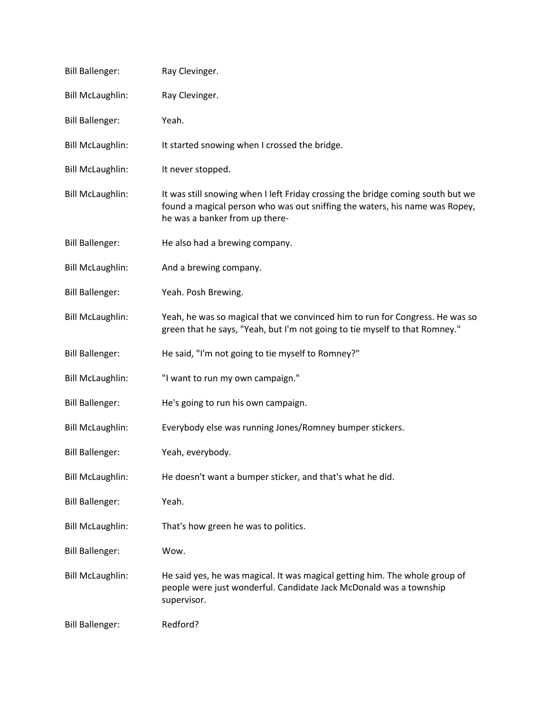| <b>Bill Ballenger:</b>  | Ray Clevinger.                                                                                                                                                                                   |
|-------------------------|--------------------------------------------------------------------------------------------------------------------------------------------------------------------------------------------------|
| <b>Bill McLaughlin:</b> | Ray Clevinger.                                                                                                                                                                                   |
| <b>Bill Ballenger:</b>  | Yeah.                                                                                                                                                                                            |
| <b>Bill McLaughlin:</b> | It started snowing when I crossed the bridge.                                                                                                                                                    |
| <b>Bill McLaughlin:</b> | It never stopped.                                                                                                                                                                                |
| <b>Bill McLaughlin:</b> | It was still snowing when I left Friday crossing the bridge coming south but we<br>found a magical person who was out sniffing the waters, his name was Ropey,<br>he was a banker from up there- |
| <b>Bill Ballenger:</b>  | He also had a brewing company.                                                                                                                                                                   |
| <b>Bill McLaughlin:</b> | And a brewing company.                                                                                                                                                                           |
| <b>Bill Ballenger:</b>  | Yeah. Posh Brewing.                                                                                                                                                                              |
| <b>Bill McLaughlin:</b> | Yeah, he was so magical that we convinced him to run for Congress. He was so<br>green that he says, "Yeah, but I'm not going to tie myself to that Romney."                                      |
| <b>Bill Ballenger:</b>  | He said, "I'm not going to tie myself to Romney?"                                                                                                                                                |
| <b>Bill McLaughlin:</b> | "I want to run my own campaign."                                                                                                                                                                 |
| <b>Bill Ballenger:</b>  | He's going to run his own campaign.                                                                                                                                                              |
| <b>Bill McLaughlin:</b> | Everybody else was running Jones/Romney bumper stickers.                                                                                                                                         |
| <b>Bill Ballenger:</b>  | Yeah, everybody.                                                                                                                                                                                 |
| <b>Bill McLaughlin:</b> | He doesn't want a bumper sticker, and that's what he did.                                                                                                                                        |
| <b>Bill Ballenger:</b>  | Yeah.                                                                                                                                                                                            |
| <b>Bill McLaughlin:</b> | That's how green he was to politics.                                                                                                                                                             |
| <b>Bill Ballenger:</b>  | Wow.                                                                                                                                                                                             |
| <b>Bill McLaughlin:</b> | He said yes, he was magical. It was magical getting him. The whole group of<br>people were just wonderful. Candidate Jack McDonald was a township<br>supervisor.                                 |
| <b>Bill Ballenger:</b>  | Redford?                                                                                                                                                                                         |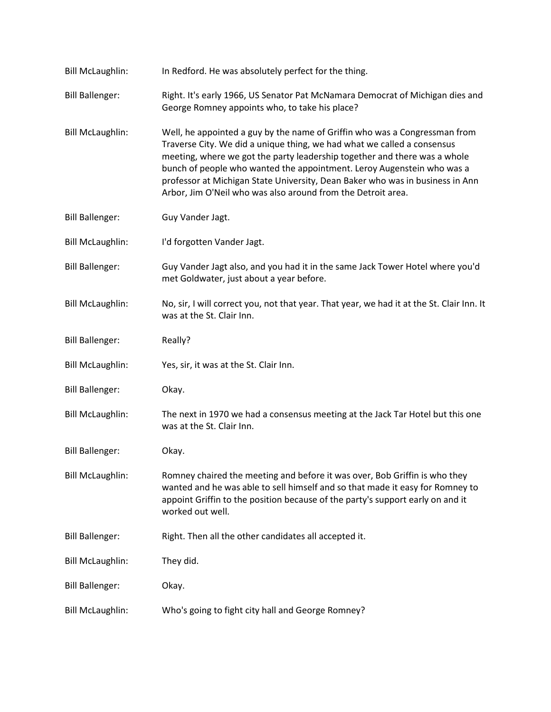| <b>Bill McLaughlin:</b> | In Redford. He was absolutely perfect for the thing.                                                                                                                                                                                                                                                                                                                                                                                                          |
|-------------------------|---------------------------------------------------------------------------------------------------------------------------------------------------------------------------------------------------------------------------------------------------------------------------------------------------------------------------------------------------------------------------------------------------------------------------------------------------------------|
| <b>Bill Ballenger:</b>  | Right. It's early 1966, US Senator Pat McNamara Democrat of Michigan dies and<br>George Romney appoints who, to take his place?                                                                                                                                                                                                                                                                                                                               |
| <b>Bill McLaughlin:</b> | Well, he appointed a guy by the name of Griffin who was a Congressman from<br>Traverse City. We did a unique thing, we had what we called a consensus<br>meeting, where we got the party leadership together and there was a whole<br>bunch of people who wanted the appointment. Leroy Augenstein who was a<br>professor at Michigan State University, Dean Baker who was in business in Ann<br>Arbor, Jim O'Neil who was also around from the Detroit area. |
| <b>Bill Ballenger:</b>  | Guy Vander Jagt.                                                                                                                                                                                                                                                                                                                                                                                                                                              |
| <b>Bill McLaughlin:</b> | I'd forgotten Vander Jagt.                                                                                                                                                                                                                                                                                                                                                                                                                                    |
| <b>Bill Ballenger:</b>  | Guy Vander Jagt also, and you had it in the same Jack Tower Hotel where you'd<br>met Goldwater, just about a year before.                                                                                                                                                                                                                                                                                                                                     |
| <b>Bill McLaughlin:</b> | No, sir, I will correct you, not that year. That year, we had it at the St. Clair Inn. It<br>was at the St. Clair Inn.                                                                                                                                                                                                                                                                                                                                        |
| <b>Bill Ballenger:</b>  | Really?                                                                                                                                                                                                                                                                                                                                                                                                                                                       |
| <b>Bill McLaughlin:</b> | Yes, sir, it was at the St. Clair Inn.                                                                                                                                                                                                                                                                                                                                                                                                                        |
| <b>Bill Ballenger:</b>  | Okay.                                                                                                                                                                                                                                                                                                                                                                                                                                                         |
| <b>Bill McLaughlin:</b> | The next in 1970 we had a consensus meeting at the Jack Tar Hotel but this one<br>was at the St. Clair Inn.                                                                                                                                                                                                                                                                                                                                                   |
| <b>Bill Ballenger:</b>  | Okay.                                                                                                                                                                                                                                                                                                                                                                                                                                                         |
| <b>Bill McLaughlin:</b> | Romney chaired the meeting and before it was over, Bob Griffin is who they<br>wanted and he was able to sell himself and so that made it easy for Romney to<br>appoint Griffin to the position because of the party's support early on and it<br>worked out well.                                                                                                                                                                                             |
| <b>Bill Ballenger:</b>  | Right. Then all the other candidates all accepted it.                                                                                                                                                                                                                                                                                                                                                                                                         |
| <b>Bill McLaughlin:</b> | They did.                                                                                                                                                                                                                                                                                                                                                                                                                                                     |
| <b>Bill Ballenger:</b>  | Okay.                                                                                                                                                                                                                                                                                                                                                                                                                                                         |
| <b>Bill McLaughlin:</b> | Who's going to fight city hall and George Romney?                                                                                                                                                                                                                                                                                                                                                                                                             |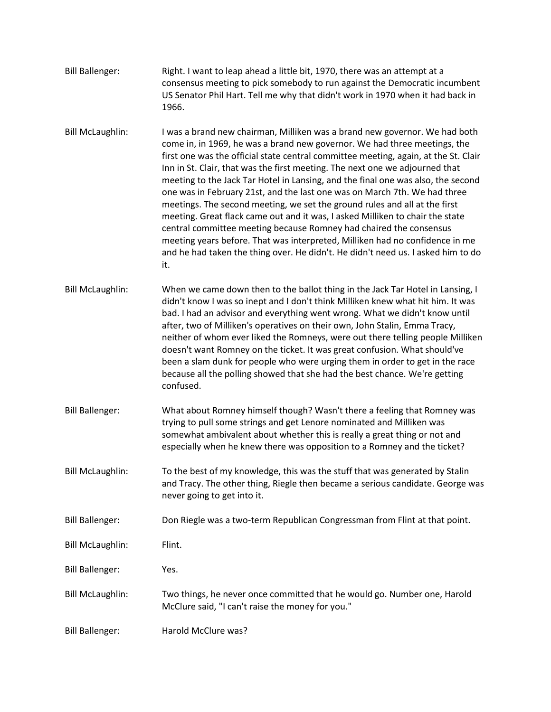- Bill Ballenger: Right. I want to leap ahead a little bit, 1970, there was an attempt at a consensus meeting to pick somebody to run against the Democratic incumbent US Senator Phil Hart. Tell me why that didn't work in 1970 when it had back in 1966.
- Bill McLaughlin: I was a brand new chairman, Milliken was a brand new governor. We had both come in, in 1969, he was a brand new governor. We had three meetings, the first one was the official state central committee meeting, again, at the St. Clair Inn in St. Clair, that was the first meeting. The next one we adjourned that meeting to the Jack Tar Hotel in Lansing, and the final one was also, the second one was in February 21st, and the last one was on March 7th. We had three meetings. The second meeting, we set the ground rules and all at the first meeting. Great flack came out and it was, I asked Milliken to chair the state central committee meeting because Romney had chaired the consensus meeting years before. That was interpreted, Milliken had no confidence in me and he had taken the thing over. He didn't. He didn't need us. I asked him to do it.
- Bill McLaughlin: When we came down then to the ballot thing in the Jack Tar Hotel in Lansing, I didn't know I was so inept and I don't think Milliken knew what hit him. It was bad. I had an advisor and everything went wrong. What we didn't know until after, two of Milliken's operatives on their own, John Stalin, Emma Tracy, neither of whom ever liked the Romneys, were out there telling people Milliken doesn't want Romney on the ticket. It was great confusion. What should've been a slam dunk for people who were urging them in order to get in the race because all the polling showed that she had the best chance. We're getting confused.
- Bill Ballenger: What about Romney himself though? Wasn't there a feeling that Romney was trying to pull some strings and get Lenore nominated and Milliken was somewhat ambivalent about whether this is really a great thing or not and especially when he knew there was opposition to a Romney and the ticket?
- Bill McLaughlin: To the best of my knowledge, this was the stuff that was generated by Stalin and Tracy. The other thing, Riegle then became a serious candidate. George was never going to get into it.
- Bill Ballenger: Don Riegle was a two-term Republican Congressman from Flint at that point.

Bill McLaughlin: Flint.

Bill Ballenger: Yes.

- Bill McLaughlin: Two things, he never once committed that he would go. Number one, Harold McClure said, "I can't raise the money for you."
- Bill Ballenger: Harold McClure was?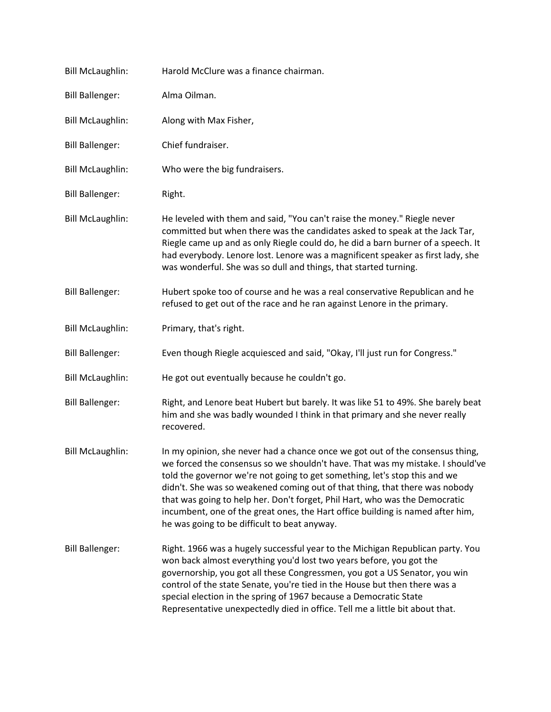| <b>Bill McLaughlin:</b> | Harold McClure was a finance chairman.                                                                                                                                                                                                                                                                                                                                                                                                                                                                                                        |
|-------------------------|-----------------------------------------------------------------------------------------------------------------------------------------------------------------------------------------------------------------------------------------------------------------------------------------------------------------------------------------------------------------------------------------------------------------------------------------------------------------------------------------------------------------------------------------------|
| <b>Bill Ballenger:</b>  | Alma Oilman.                                                                                                                                                                                                                                                                                                                                                                                                                                                                                                                                  |
| <b>Bill McLaughlin:</b> | Along with Max Fisher,                                                                                                                                                                                                                                                                                                                                                                                                                                                                                                                        |
| <b>Bill Ballenger:</b>  | Chief fundraiser.                                                                                                                                                                                                                                                                                                                                                                                                                                                                                                                             |
| <b>Bill McLaughlin:</b> | Who were the big fundraisers.                                                                                                                                                                                                                                                                                                                                                                                                                                                                                                                 |
| <b>Bill Ballenger:</b>  | Right.                                                                                                                                                                                                                                                                                                                                                                                                                                                                                                                                        |
| <b>Bill McLaughlin:</b> | He leveled with them and said, "You can't raise the money." Riegle never<br>committed but when there was the candidates asked to speak at the Jack Tar,<br>Riegle came up and as only Riegle could do, he did a barn burner of a speech. It<br>had everybody. Lenore lost. Lenore was a magnificent speaker as first lady, she<br>was wonderful. She was so dull and things, that started turning.                                                                                                                                            |
| <b>Bill Ballenger:</b>  | Hubert spoke too of course and he was a real conservative Republican and he<br>refused to get out of the race and he ran against Lenore in the primary.                                                                                                                                                                                                                                                                                                                                                                                       |
| <b>Bill McLaughlin:</b> | Primary, that's right.                                                                                                                                                                                                                                                                                                                                                                                                                                                                                                                        |
| <b>Bill Ballenger:</b>  | Even though Riegle acquiesced and said, "Okay, I'll just run for Congress."                                                                                                                                                                                                                                                                                                                                                                                                                                                                   |
| <b>Bill McLaughlin:</b> | He got out eventually because he couldn't go.                                                                                                                                                                                                                                                                                                                                                                                                                                                                                                 |
| <b>Bill Ballenger:</b>  | Right, and Lenore beat Hubert but barely. It was like 51 to 49%. She barely beat<br>him and she was badly wounded I think in that primary and she never really<br>recovered.                                                                                                                                                                                                                                                                                                                                                                  |
| <b>Bill McLaughlin:</b> | In my opinion, she never had a chance once we got out of the consensus thing,<br>we forced the consensus so we shouldn't have. That was my mistake. I should've<br>told the governor we're not going to get something, let's stop this and we<br>didn't. She was so weakened coming out of that thing, that there was nobody<br>that was going to help her. Don't forget, Phil Hart, who was the Democratic<br>incumbent, one of the great ones, the Hart office building is named after him,<br>he was going to be difficult to beat anyway. |
| <b>Bill Ballenger:</b>  | Right. 1966 was a hugely successful year to the Michigan Republican party. You<br>won back almost everything you'd lost two years before, you got the<br>governorship, you got all these Congressmen, you got a US Senator, you win<br>control of the state Senate, you're tied in the House but then there was a<br>special election in the spring of 1967 because a Democratic State<br>Representative unexpectedly died in office. Tell me a little bit about that.                                                                        |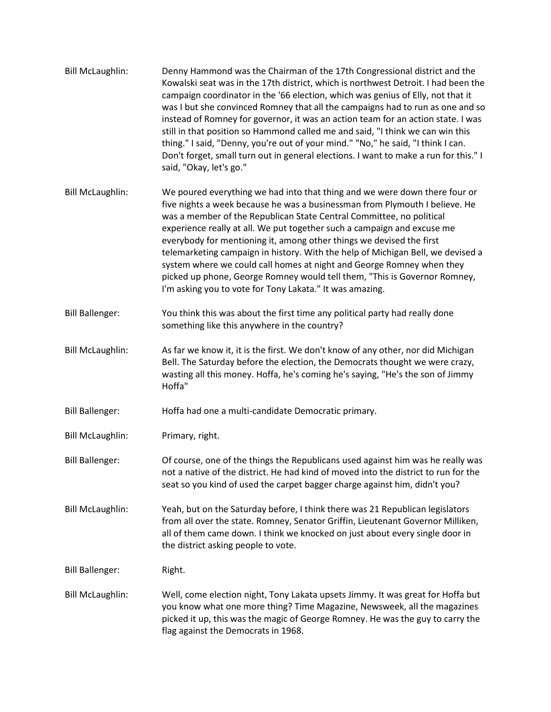| <b>Bill McLaughlin:</b> | Denny Hammond was the Chairman of the 17th Congressional district and the<br>Kowalski seat was in the 17th district, which is northwest Detroit. I had been the<br>campaign coordinator in the '66 election, which was genius of Elly, not that it<br>was I but she convinced Romney that all the campaigns had to run as one and so<br>instead of Romney for governor, it was an action team for an action state. I was<br>still in that position so Hammond called me and said, "I think we can win this<br>thing." I said, "Denny, you're out of your mind." "No," he said, "I think I can.<br>Don't forget, small turn out in general elections. I want to make a run for this." I<br>said, "Okay, let's go." |
|-------------------------|-------------------------------------------------------------------------------------------------------------------------------------------------------------------------------------------------------------------------------------------------------------------------------------------------------------------------------------------------------------------------------------------------------------------------------------------------------------------------------------------------------------------------------------------------------------------------------------------------------------------------------------------------------------------------------------------------------------------|
| <b>Bill McLaughlin:</b> | We poured everything we had into that thing and we were down there four or<br>five nights a week because he was a businessman from Plymouth I believe. He<br>was a member of the Republican State Central Committee, no political<br>experience really at all. We put together such a campaign and excuse me<br>everybody for mentioning it, among other things we devised the first<br>telemarketing campaign in history. With the help of Michigan Bell, we devised a<br>system where we could call homes at night and George Romney when they<br>picked up phone, George Romney would tell them, "This is Governor Romney,<br>I'm asking you to vote for Tony Lakata." It was amazing.                         |
| <b>Bill Ballenger:</b>  | You think this was about the first time any political party had really done<br>something like this anywhere in the country?                                                                                                                                                                                                                                                                                                                                                                                                                                                                                                                                                                                       |
| <b>Bill McLaughlin:</b> | As far we know it, it is the first. We don't know of any other, nor did Michigan<br>Bell. The Saturday before the election, the Democrats thought we were crazy,<br>wasting all this money. Hoffa, he's coming he's saying, "He's the son of Jimmy<br>Hoffa"                                                                                                                                                                                                                                                                                                                                                                                                                                                      |
| <b>Bill Ballenger:</b>  | Hoffa had one a multi-candidate Democratic primary.                                                                                                                                                                                                                                                                                                                                                                                                                                                                                                                                                                                                                                                               |
| <b>Bill McLaughlin:</b> | Primary, right.                                                                                                                                                                                                                                                                                                                                                                                                                                                                                                                                                                                                                                                                                                   |
| <b>Bill Ballenger:</b>  | Of course, one of the things the Republicans used against him was he really was<br>not a native of the district. He had kind of moved into the district to run for the<br>seat so you kind of used the carpet bagger charge against him, didn't you?                                                                                                                                                                                                                                                                                                                                                                                                                                                              |
| <b>Bill McLaughlin:</b> | Yeah, but on the Saturday before, I think there was 21 Republican legislators<br>from all over the state. Romney, Senator Griffin, Lieutenant Governor Milliken,<br>all of them came down. I think we knocked on just about every single door in<br>the district asking people to vote.                                                                                                                                                                                                                                                                                                                                                                                                                           |
| <b>Bill Ballenger:</b>  | Right.                                                                                                                                                                                                                                                                                                                                                                                                                                                                                                                                                                                                                                                                                                            |
| <b>Bill McLaughlin:</b> | Well, come election night, Tony Lakata upsets Jimmy. It was great for Hoffa but<br>you know what one more thing? Time Magazine, Newsweek, all the magazines<br>picked it up, this was the magic of George Romney. He was the guy to carry the<br>flag against the Democrats in 1968.                                                                                                                                                                                                                                                                                                                                                                                                                              |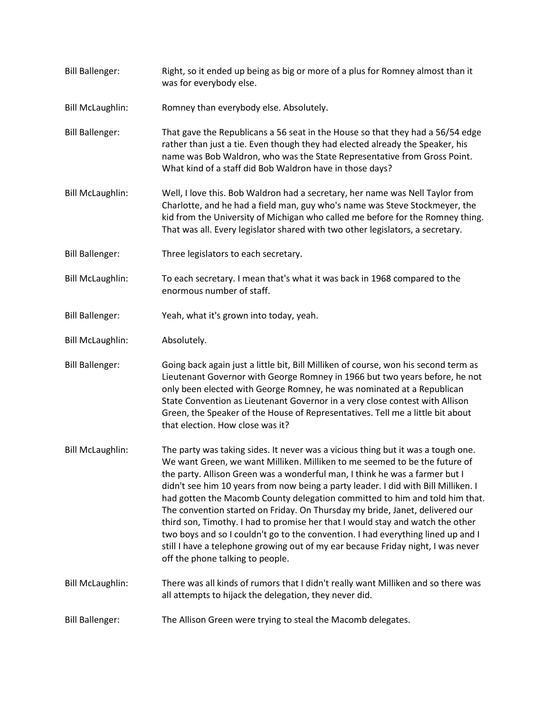- Bill Ballenger: Right, so it ended up being as big or more of a plus for Romney almost than it was for everybody else.
- Bill McLaughlin: Romney than everybody else. Absolutely.
- Bill Ballenger: That gave the Republicans a 56 seat in the House so that they had a 56/54 edge rather than just a tie. Even though they had elected already the Speaker, his name was Bob Waldron, who was the State Representative from Gross Point. What kind of a staff did Bob Waldron have in those days?
- Bill McLaughlin: Well, I love this. Bob Waldron had a secretary, her name was Nell Taylor from Charlotte, and he had a field man, guy who's name was Steve Stockmeyer, the kid from the University of Michigan who called me before for the Romney thing. That was all. Every legislator shared with two other legislators, a secretary.
- Bill Ballenger: Three legislators to each secretary.
- Bill McLaughlin: To each secretary. I mean that's what it was back in 1968 compared to the enormous number of staff.
- Bill Ballenger: Yeah, what it's grown into today, yeah.
- Bill McLaughlin: Absolutely.
- Bill Ballenger: Going back again just a little bit, Bill Milliken of course, won his second term as Lieutenant Governor with George Romney in 1966 but two years before, he not only been elected with George Romney, he was nominated at a Republican State Convention as Lieutenant Governor in a very close contest with Allison Green, the Speaker of the House of Representatives. Tell me a little bit about that election. How close was it?
- Bill McLaughlin: The party was taking sides. It never was a vicious thing but it was a tough one. We want Green, we want Milliken. Milliken to me seemed to be the future of the party. Allison Green was a wonderful man, I think he was a farmer but I didn't see him 10 years from now being a party leader. I did with Bill Milliken. I had gotten the Macomb County delegation committed to him and told him that. The convention started on Friday. On Thursday my bride, Janet, delivered our third son, Timothy. I had to promise her that I would stay and watch the other two boys and so I couldn't go to the convention. I had everything lined up and I still I have a telephone growing out of my ear because Friday night, I was never off the phone talking to people.
- Bill McLaughlin: There was all kinds of rumors that I didn't really want Milliken and so there was all attempts to hijack the delegation, they never did.
- Bill Ballenger: The Allison Green were trying to steal the Macomb delegates.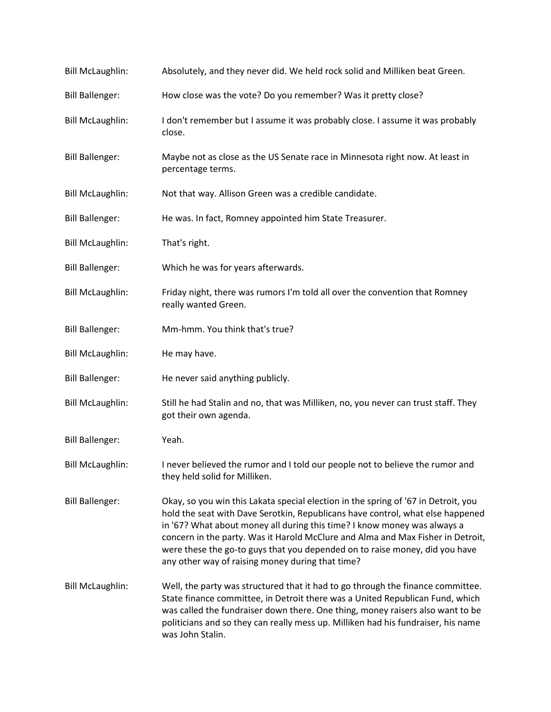| <b>Bill McLaughlin:</b> | Absolutely, and they never did. We held rock solid and Milliken beat Green.                                                                                                                                                                                                                                                                                                                                                                                            |
|-------------------------|------------------------------------------------------------------------------------------------------------------------------------------------------------------------------------------------------------------------------------------------------------------------------------------------------------------------------------------------------------------------------------------------------------------------------------------------------------------------|
| <b>Bill Ballenger:</b>  | How close was the vote? Do you remember? Was it pretty close?                                                                                                                                                                                                                                                                                                                                                                                                          |
| <b>Bill McLaughlin:</b> | I don't remember but I assume it was probably close. I assume it was probably<br>close.                                                                                                                                                                                                                                                                                                                                                                                |
| <b>Bill Ballenger:</b>  | Maybe not as close as the US Senate race in Minnesota right now. At least in<br>percentage terms.                                                                                                                                                                                                                                                                                                                                                                      |
| <b>Bill McLaughlin:</b> | Not that way. Allison Green was a credible candidate.                                                                                                                                                                                                                                                                                                                                                                                                                  |
| <b>Bill Ballenger:</b>  | He was. In fact, Romney appointed him State Treasurer.                                                                                                                                                                                                                                                                                                                                                                                                                 |
| <b>Bill McLaughlin:</b> | That's right.                                                                                                                                                                                                                                                                                                                                                                                                                                                          |
| <b>Bill Ballenger:</b>  | Which he was for years afterwards.                                                                                                                                                                                                                                                                                                                                                                                                                                     |
| <b>Bill McLaughlin:</b> | Friday night, there was rumors I'm told all over the convention that Romney<br>really wanted Green.                                                                                                                                                                                                                                                                                                                                                                    |
| <b>Bill Ballenger:</b>  | Mm-hmm. You think that's true?                                                                                                                                                                                                                                                                                                                                                                                                                                         |
| <b>Bill McLaughlin:</b> | He may have.                                                                                                                                                                                                                                                                                                                                                                                                                                                           |
| <b>Bill Ballenger:</b>  | He never said anything publicly.                                                                                                                                                                                                                                                                                                                                                                                                                                       |
| <b>Bill McLaughlin:</b> | Still he had Stalin and no, that was Milliken, no, you never can trust staff. They<br>got their own agenda.                                                                                                                                                                                                                                                                                                                                                            |
| <b>Bill Ballenger:</b>  | Yeah.                                                                                                                                                                                                                                                                                                                                                                                                                                                                  |
| <b>Bill McLaughlin:</b> | I never believed the rumor and I told our people not to believe the rumor and<br>they held solid for Milliken.                                                                                                                                                                                                                                                                                                                                                         |
| <b>Bill Ballenger:</b>  | Okay, so you win this Lakata special election in the spring of '67 in Detroit, you<br>hold the seat with Dave Serotkin, Republicans have control, what else happened<br>in '67? What about money all during this time? I know money was always a<br>concern in the party. Was it Harold McClure and Alma and Max Fisher in Detroit,<br>were these the go-to guys that you depended on to raise money, did you have<br>any other way of raising money during that time? |
| <b>Bill McLaughlin:</b> | Well, the party was structured that it had to go through the finance committee.<br>State finance committee, in Detroit there was a United Republican Fund, which<br>was called the fundraiser down there. One thing, money raisers also want to be<br>politicians and so they can really mess up. Milliken had his fundraiser, his name<br>was John Stalin.                                                                                                            |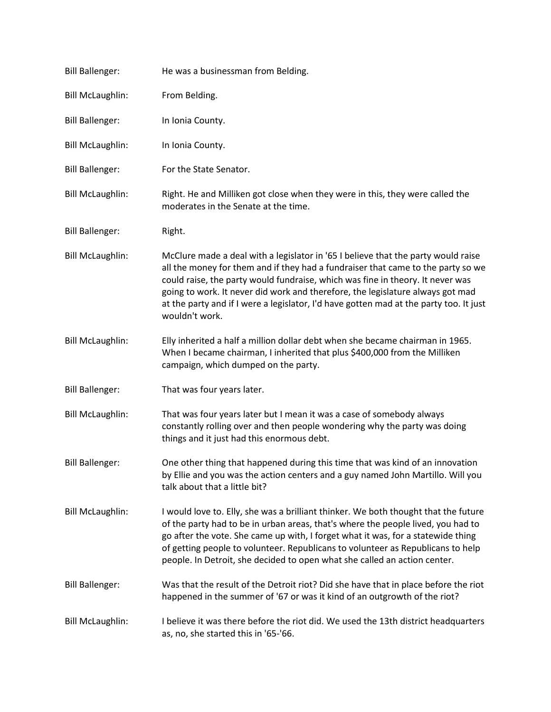| <b>Bill Ballenger:</b>  | He was a businessman from Belding.                                                                                                                                                                                                                                                                                                                                                                                                                    |
|-------------------------|-------------------------------------------------------------------------------------------------------------------------------------------------------------------------------------------------------------------------------------------------------------------------------------------------------------------------------------------------------------------------------------------------------------------------------------------------------|
| <b>Bill McLaughlin:</b> | From Belding.                                                                                                                                                                                                                                                                                                                                                                                                                                         |
| <b>Bill Ballenger:</b>  | In Ionia County.                                                                                                                                                                                                                                                                                                                                                                                                                                      |
| <b>Bill McLaughlin:</b> | In Ionia County.                                                                                                                                                                                                                                                                                                                                                                                                                                      |
| <b>Bill Ballenger:</b>  | For the State Senator.                                                                                                                                                                                                                                                                                                                                                                                                                                |
| <b>Bill McLaughlin:</b> | Right. He and Milliken got close when they were in this, they were called the<br>moderates in the Senate at the time.                                                                                                                                                                                                                                                                                                                                 |
| <b>Bill Ballenger:</b>  | Right.                                                                                                                                                                                                                                                                                                                                                                                                                                                |
| <b>Bill McLaughlin:</b> | McClure made a deal with a legislator in '65 I believe that the party would raise<br>all the money for them and if they had a fundraiser that came to the party so we<br>could raise, the party would fundraise, which was fine in theory. It never was<br>going to work. It never did work and therefore, the legislature always got mad<br>at the party and if I were a legislator, I'd have gotten mad at the party too. It just<br>wouldn't work. |
| <b>Bill McLaughlin:</b> | Elly inherited a half a million dollar debt when she became chairman in 1965.<br>When I became chairman, I inherited that plus \$400,000 from the Milliken<br>campaign, which dumped on the party.                                                                                                                                                                                                                                                    |
| <b>Bill Ballenger:</b>  | That was four years later.                                                                                                                                                                                                                                                                                                                                                                                                                            |
| <b>Bill McLaughlin:</b> | That was four years later but I mean it was a case of somebody always<br>constantly rolling over and then people wondering why the party was doing<br>things and it just had this enormous debt.                                                                                                                                                                                                                                                      |
| <b>Bill Ballenger:</b>  | One other thing that happened during this time that was kind of an innovation<br>by Ellie and you was the action centers and a guy named John Martillo. Will you<br>talk about that a little bit?                                                                                                                                                                                                                                                     |
| <b>Bill McLaughlin:</b> | I would love to. Elly, she was a brilliant thinker. We both thought that the future<br>of the party had to be in urban areas, that's where the people lived, you had to<br>go after the vote. She came up with, I forget what it was, for a statewide thing<br>of getting people to volunteer. Republicans to volunteer as Republicans to help<br>people. In Detroit, she decided to open what she called an action center.                           |
| <b>Bill Ballenger:</b>  | Was that the result of the Detroit riot? Did she have that in place before the riot<br>happened in the summer of '67 or was it kind of an outgrowth of the riot?                                                                                                                                                                                                                                                                                      |
| <b>Bill McLaughlin:</b> | I believe it was there before the riot did. We used the 13th district headquarters<br>as, no, she started this in '65-'66.                                                                                                                                                                                                                                                                                                                            |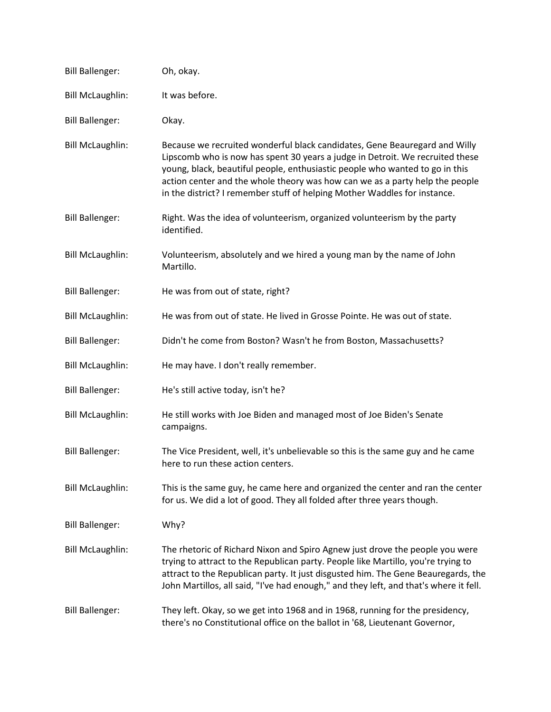| <b>Bill Ballenger:</b>  | Oh, okay.                                                                                                                                                                                                                                                                                                                                                                                                |
|-------------------------|----------------------------------------------------------------------------------------------------------------------------------------------------------------------------------------------------------------------------------------------------------------------------------------------------------------------------------------------------------------------------------------------------------|
| <b>Bill McLaughlin:</b> | It was before.                                                                                                                                                                                                                                                                                                                                                                                           |
| <b>Bill Ballenger:</b>  | Okay.                                                                                                                                                                                                                                                                                                                                                                                                    |
| <b>Bill McLaughlin:</b> | Because we recruited wonderful black candidates, Gene Beauregard and Willy<br>Lipscomb who is now has spent 30 years a judge in Detroit. We recruited these<br>young, black, beautiful people, enthusiastic people who wanted to go in this<br>action center and the whole theory was how can we as a party help the people<br>in the district? I remember stuff of helping Mother Waddles for instance. |
| <b>Bill Ballenger:</b>  | Right. Was the idea of volunteerism, organized volunteerism by the party<br>identified.                                                                                                                                                                                                                                                                                                                  |
| <b>Bill McLaughlin:</b> | Volunteerism, absolutely and we hired a young man by the name of John<br>Martillo.                                                                                                                                                                                                                                                                                                                       |
| <b>Bill Ballenger:</b>  | He was from out of state, right?                                                                                                                                                                                                                                                                                                                                                                         |
| <b>Bill McLaughlin:</b> | He was from out of state. He lived in Grosse Pointe. He was out of state.                                                                                                                                                                                                                                                                                                                                |
| <b>Bill Ballenger:</b>  | Didn't he come from Boston? Wasn't he from Boston, Massachusetts?                                                                                                                                                                                                                                                                                                                                        |
| <b>Bill McLaughlin:</b> | He may have. I don't really remember.                                                                                                                                                                                                                                                                                                                                                                    |
| <b>Bill Ballenger:</b>  | He's still active today, isn't he?                                                                                                                                                                                                                                                                                                                                                                       |
| <b>Bill McLaughlin:</b> | He still works with Joe Biden and managed most of Joe Biden's Senate<br>campaigns.                                                                                                                                                                                                                                                                                                                       |
| <b>Bill Ballenger:</b>  | The Vice President, well, it's unbelievable so this is the same guy and he came<br>here to run these action centers.                                                                                                                                                                                                                                                                                     |
| <b>Bill McLaughlin:</b> | This is the same guy, he came here and organized the center and ran the center<br>for us. We did a lot of good. They all folded after three years though.                                                                                                                                                                                                                                                |
| <b>Bill Ballenger:</b>  | Why?                                                                                                                                                                                                                                                                                                                                                                                                     |
| <b>Bill McLaughlin:</b> | The rhetoric of Richard Nixon and Spiro Agnew just drove the people you were<br>trying to attract to the Republican party. People like Martillo, you're trying to<br>attract to the Republican party. It just disgusted him. The Gene Beauregards, the<br>John Martillos, all said, "I've had enough," and they left, and that's where it fell.                                                          |
| <b>Bill Ballenger:</b>  | They left. Okay, so we get into 1968 and in 1968, running for the presidency,<br>there's no Constitutional office on the ballot in '68, Lieutenant Governor,                                                                                                                                                                                                                                             |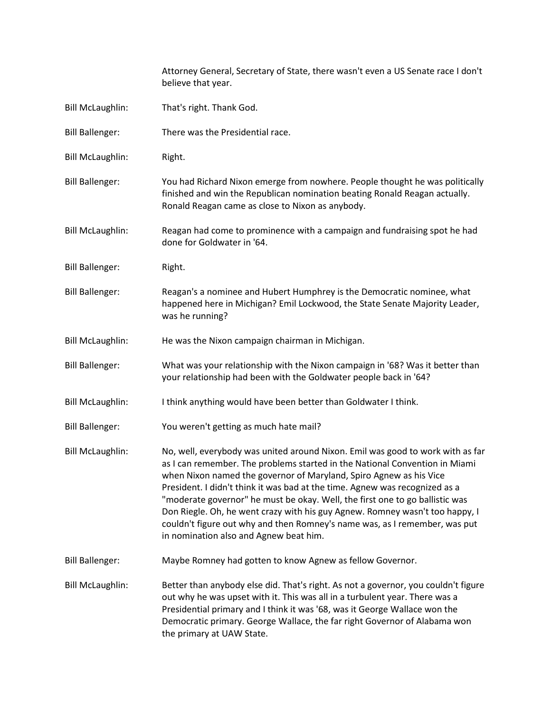|                         | Attorney General, Secretary of State, there wasn't even a US Senate race I don't<br>believe that year.                                                                                                                                                                                                                                                                                                                                                                                                                                                                                                     |
|-------------------------|------------------------------------------------------------------------------------------------------------------------------------------------------------------------------------------------------------------------------------------------------------------------------------------------------------------------------------------------------------------------------------------------------------------------------------------------------------------------------------------------------------------------------------------------------------------------------------------------------------|
| <b>Bill McLaughlin:</b> | That's right. Thank God.                                                                                                                                                                                                                                                                                                                                                                                                                                                                                                                                                                                   |
| <b>Bill Ballenger:</b>  | There was the Presidential race.                                                                                                                                                                                                                                                                                                                                                                                                                                                                                                                                                                           |
| <b>Bill McLaughlin:</b> | Right.                                                                                                                                                                                                                                                                                                                                                                                                                                                                                                                                                                                                     |
| <b>Bill Ballenger:</b>  | You had Richard Nixon emerge from nowhere. People thought he was politically<br>finished and win the Republican nomination beating Ronald Reagan actually.<br>Ronald Reagan came as close to Nixon as anybody.                                                                                                                                                                                                                                                                                                                                                                                             |
| <b>Bill McLaughlin:</b> | Reagan had come to prominence with a campaign and fundraising spot he had<br>done for Goldwater in '64.                                                                                                                                                                                                                                                                                                                                                                                                                                                                                                    |
| <b>Bill Ballenger:</b>  | Right.                                                                                                                                                                                                                                                                                                                                                                                                                                                                                                                                                                                                     |
| <b>Bill Ballenger:</b>  | Reagan's a nominee and Hubert Humphrey is the Democratic nominee, what<br>happened here in Michigan? Emil Lockwood, the State Senate Majority Leader,<br>was he running?                                                                                                                                                                                                                                                                                                                                                                                                                                   |
| <b>Bill McLaughlin:</b> | He was the Nixon campaign chairman in Michigan.                                                                                                                                                                                                                                                                                                                                                                                                                                                                                                                                                            |
| <b>Bill Ballenger:</b>  | What was your relationship with the Nixon campaign in '68? Was it better than<br>your relationship had been with the Goldwater people back in '64?                                                                                                                                                                                                                                                                                                                                                                                                                                                         |
| <b>Bill McLaughlin:</b> | I think anything would have been better than Goldwater I think.                                                                                                                                                                                                                                                                                                                                                                                                                                                                                                                                            |
| <b>Bill Ballenger:</b>  | You weren't getting as much hate mail?                                                                                                                                                                                                                                                                                                                                                                                                                                                                                                                                                                     |
| <b>Bill McLaughlin:</b> | No, well, everybody was united around Nixon. Emil was good to work with as far<br>as I can remember. The problems started in the National Convention in Miami<br>when Nixon named the governor of Maryland, Spiro Agnew as his Vice<br>President. I didn't think it was bad at the time. Agnew was recognized as a<br>"moderate governor" he must be okay. Well, the first one to go ballistic was<br>Don Riegle. Oh, he went crazy with his guy Agnew. Romney wasn't too happy, I<br>couldn't figure out why and then Romney's name was, as I remember, was put<br>in nomination also and Agnew beat him. |
| <b>Bill Ballenger:</b>  | Maybe Romney had gotten to know Agnew as fellow Governor.                                                                                                                                                                                                                                                                                                                                                                                                                                                                                                                                                  |
| <b>Bill McLaughlin:</b> | Better than anybody else did. That's right. As not a governor, you couldn't figure<br>out why he was upset with it. This was all in a turbulent year. There was a<br>Presidential primary and I think it was '68, was it George Wallace won the<br>Democratic primary. George Wallace, the far right Governor of Alabama won<br>the primary at UAW State.                                                                                                                                                                                                                                                  |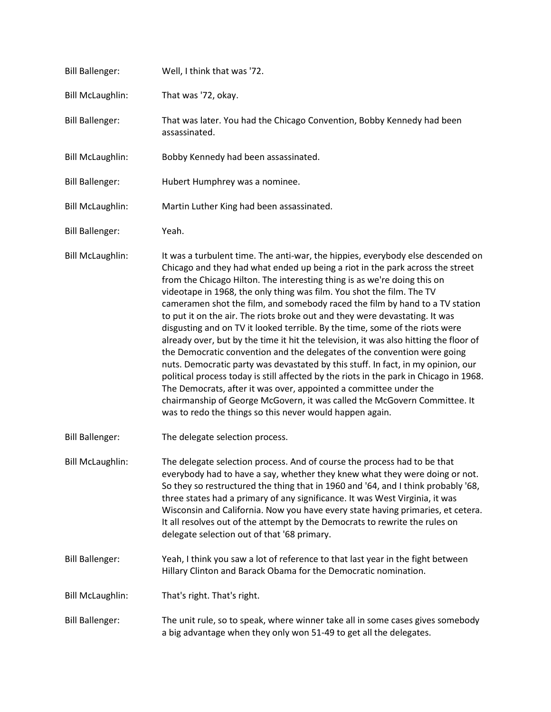| <b>Bill Ballenger:</b>  | Well, I think that was '72.                                                                                                                                                                                                                                                                                                                                                                                                                                                                                                                                                                                                                                                                                                                                                                                                                                                                                                                                                                                                                                                                                                           |
|-------------------------|---------------------------------------------------------------------------------------------------------------------------------------------------------------------------------------------------------------------------------------------------------------------------------------------------------------------------------------------------------------------------------------------------------------------------------------------------------------------------------------------------------------------------------------------------------------------------------------------------------------------------------------------------------------------------------------------------------------------------------------------------------------------------------------------------------------------------------------------------------------------------------------------------------------------------------------------------------------------------------------------------------------------------------------------------------------------------------------------------------------------------------------|
| <b>Bill McLaughlin:</b> | That was '72, okay.                                                                                                                                                                                                                                                                                                                                                                                                                                                                                                                                                                                                                                                                                                                                                                                                                                                                                                                                                                                                                                                                                                                   |
| <b>Bill Ballenger:</b>  | That was later. You had the Chicago Convention, Bobby Kennedy had been<br>assassinated.                                                                                                                                                                                                                                                                                                                                                                                                                                                                                                                                                                                                                                                                                                                                                                                                                                                                                                                                                                                                                                               |
| <b>Bill McLaughlin:</b> | Bobby Kennedy had been assassinated.                                                                                                                                                                                                                                                                                                                                                                                                                                                                                                                                                                                                                                                                                                                                                                                                                                                                                                                                                                                                                                                                                                  |
| <b>Bill Ballenger:</b>  | Hubert Humphrey was a nominee.                                                                                                                                                                                                                                                                                                                                                                                                                                                                                                                                                                                                                                                                                                                                                                                                                                                                                                                                                                                                                                                                                                        |
| <b>Bill McLaughlin:</b> | Martin Luther King had been assassinated.                                                                                                                                                                                                                                                                                                                                                                                                                                                                                                                                                                                                                                                                                                                                                                                                                                                                                                                                                                                                                                                                                             |
| <b>Bill Ballenger:</b>  | Yeah.                                                                                                                                                                                                                                                                                                                                                                                                                                                                                                                                                                                                                                                                                                                                                                                                                                                                                                                                                                                                                                                                                                                                 |
| <b>Bill McLaughlin:</b> | It was a turbulent time. The anti-war, the hippies, everybody else descended on<br>Chicago and they had what ended up being a riot in the park across the street<br>from the Chicago Hilton. The interesting thing is as we're doing this on<br>videotape in 1968, the only thing was film. You shot the film. The TV<br>cameramen shot the film, and somebody raced the film by hand to a TV station<br>to put it on the air. The riots broke out and they were devastating. It was<br>disgusting and on TV it looked terrible. By the time, some of the riots were<br>already over, but by the time it hit the television, it was also hitting the floor of<br>the Democratic convention and the delegates of the convention were going<br>nuts. Democratic party was devastated by this stuff. In fact, in my opinion, our<br>political process today is still affected by the riots in the park in Chicago in 1968.<br>The Democrats, after it was over, appointed a committee under the<br>chairmanship of George McGovern, it was called the McGovern Committee. It<br>was to redo the things so this never would happen again. |
| <b>Bill Ballenger:</b>  | The delegate selection process.                                                                                                                                                                                                                                                                                                                                                                                                                                                                                                                                                                                                                                                                                                                                                                                                                                                                                                                                                                                                                                                                                                       |
| <b>Bill McLaughlin:</b> | The delegate selection process. And of course the process had to be that<br>everybody had to have a say, whether they knew what they were doing or not.<br>So they so restructured the thing that in 1960 and '64, and I think probably '68,<br>three states had a primary of any significance. It was West Virginia, it was<br>Wisconsin and California. Now you have every state having primaries, et cetera.<br>It all resolves out of the attempt by the Democrats to rewrite the rules on<br>delegate selection out of that '68 primary.                                                                                                                                                                                                                                                                                                                                                                                                                                                                                                                                                                                         |
| <b>Bill Ballenger:</b>  | Yeah, I think you saw a lot of reference to that last year in the fight between<br>Hillary Clinton and Barack Obama for the Democratic nomination.                                                                                                                                                                                                                                                                                                                                                                                                                                                                                                                                                                                                                                                                                                                                                                                                                                                                                                                                                                                    |
| <b>Bill McLaughlin:</b> | That's right. That's right.                                                                                                                                                                                                                                                                                                                                                                                                                                                                                                                                                                                                                                                                                                                                                                                                                                                                                                                                                                                                                                                                                                           |
| <b>Bill Ballenger:</b>  | The unit rule, so to speak, where winner take all in some cases gives somebody<br>a big advantage when they only won 51-49 to get all the delegates.                                                                                                                                                                                                                                                                                                                                                                                                                                                                                                                                                                                                                                                                                                                                                                                                                                                                                                                                                                                  |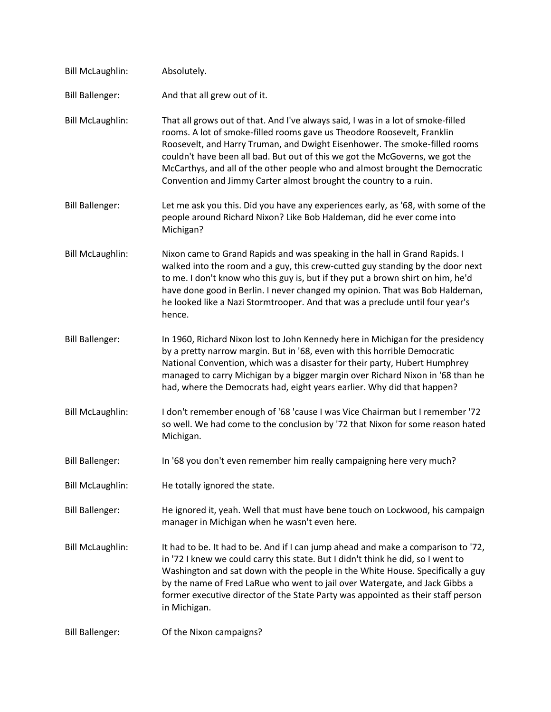| <b>Bill McLaughlin:</b> | Absolutely.                                                                                                                                                                                                                                                                                                                                                                                                                                                                    |
|-------------------------|--------------------------------------------------------------------------------------------------------------------------------------------------------------------------------------------------------------------------------------------------------------------------------------------------------------------------------------------------------------------------------------------------------------------------------------------------------------------------------|
| <b>Bill Ballenger:</b>  | And that all grew out of it.                                                                                                                                                                                                                                                                                                                                                                                                                                                   |
| <b>Bill McLaughlin:</b> | That all grows out of that. And I've always said, I was in a lot of smoke-filled<br>rooms. A lot of smoke-filled rooms gave us Theodore Roosevelt, Franklin<br>Roosevelt, and Harry Truman, and Dwight Eisenhower. The smoke-filled rooms<br>couldn't have been all bad. But out of this we got the McGoverns, we got the<br>McCarthys, and all of the other people who and almost brought the Democratic<br>Convention and Jimmy Carter almost brought the country to a ruin. |
| <b>Bill Ballenger:</b>  | Let me ask you this. Did you have any experiences early, as '68, with some of the<br>people around Richard Nixon? Like Bob Haldeman, did he ever come into<br>Michigan?                                                                                                                                                                                                                                                                                                        |
| <b>Bill McLaughlin:</b> | Nixon came to Grand Rapids and was speaking in the hall in Grand Rapids. I<br>walked into the room and a guy, this crew-cutted guy standing by the door next<br>to me. I don't know who this guy is, but if they put a brown shirt on him, he'd<br>have done good in Berlin. I never changed my opinion. That was Bob Haldeman,<br>he looked like a Nazi Stormtrooper. And that was a preclude until four year's<br>hence.                                                     |
| <b>Bill Ballenger:</b>  | In 1960, Richard Nixon lost to John Kennedy here in Michigan for the presidency<br>by a pretty narrow margin. But in '68, even with this horrible Democratic<br>National Convention, which was a disaster for their party, Hubert Humphrey<br>managed to carry Michigan by a bigger margin over Richard Nixon in '68 than he<br>had, where the Democrats had, eight years earlier. Why did that happen?                                                                        |
| <b>Bill McLaughlin:</b> | I don't remember enough of '68 'cause I was Vice Chairman but I remember '72<br>so well. We had come to the conclusion by '72 that Nixon for some reason hated<br>Michigan.                                                                                                                                                                                                                                                                                                    |
| <b>Bill Ballenger:</b>  | In '68 you don't even remember him really campaigning here very much?                                                                                                                                                                                                                                                                                                                                                                                                          |
| <b>Bill McLaughlin:</b> | He totally ignored the state.                                                                                                                                                                                                                                                                                                                                                                                                                                                  |
| <b>Bill Ballenger:</b>  | He ignored it, yeah. Well that must have bene touch on Lockwood, his campaign<br>manager in Michigan when he wasn't even here.                                                                                                                                                                                                                                                                                                                                                 |
| <b>Bill McLaughlin:</b> | It had to be. It had to be. And if I can jump ahead and make a comparison to '72,<br>in '72 I knew we could carry this state. But I didn't think he did, so I went to<br>Washington and sat down with the people in the White House. Specifically a guy<br>by the name of Fred LaRue who went to jail over Watergate, and Jack Gibbs a<br>former executive director of the State Party was appointed as their staff person<br>in Michigan.                                     |
| <b>Bill Ballenger:</b>  | Of the Nixon campaigns?                                                                                                                                                                                                                                                                                                                                                                                                                                                        |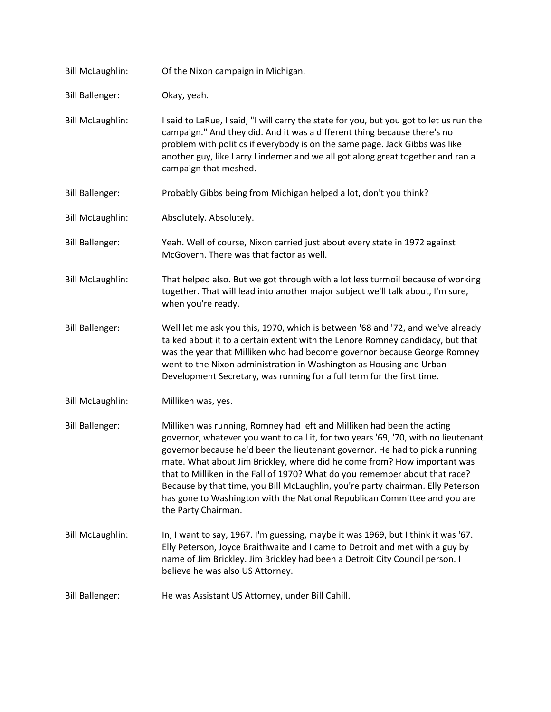| <b>Bill McLaughlin:</b> | Of the Nixon campaign in Michigan.                                                                                                                                                                                                                                                                                                                                                                                                                                                                                                                                                             |
|-------------------------|------------------------------------------------------------------------------------------------------------------------------------------------------------------------------------------------------------------------------------------------------------------------------------------------------------------------------------------------------------------------------------------------------------------------------------------------------------------------------------------------------------------------------------------------------------------------------------------------|
| <b>Bill Ballenger:</b>  | Okay, yeah.                                                                                                                                                                                                                                                                                                                                                                                                                                                                                                                                                                                    |
| <b>Bill McLaughlin:</b> | I said to LaRue, I said, "I will carry the state for you, but you got to let us run the<br>campaign." And they did. And it was a different thing because there's no<br>problem with politics if everybody is on the same page. Jack Gibbs was like<br>another guy, like Larry Lindemer and we all got along great together and ran a<br>campaign that meshed.                                                                                                                                                                                                                                  |
| <b>Bill Ballenger:</b>  | Probably Gibbs being from Michigan helped a lot, don't you think?                                                                                                                                                                                                                                                                                                                                                                                                                                                                                                                              |
| <b>Bill McLaughlin:</b> | Absolutely. Absolutely.                                                                                                                                                                                                                                                                                                                                                                                                                                                                                                                                                                        |
| <b>Bill Ballenger:</b>  | Yeah. Well of course, Nixon carried just about every state in 1972 against<br>McGovern. There was that factor as well.                                                                                                                                                                                                                                                                                                                                                                                                                                                                         |
| <b>Bill McLaughlin:</b> | That helped also. But we got through with a lot less turmoil because of working<br>together. That will lead into another major subject we'll talk about, I'm sure,<br>when you're ready.                                                                                                                                                                                                                                                                                                                                                                                                       |
| <b>Bill Ballenger:</b>  | Well let me ask you this, 1970, which is between '68 and '72, and we've already<br>talked about it to a certain extent with the Lenore Romney candidacy, but that<br>was the year that Milliken who had become governor because George Romney<br>went to the Nixon administration in Washington as Housing and Urban<br>Development Secretary, was running for a full term for the first time.                                                                                                                                                                                                 |
| <b>Bill McLaughlin:</b> | Milliken was, yes.                                                                                                                                                                                                                                                                                                                                                                                                                                                                                                                                                                             |
| <b>Bill Ballenger:</b>  | Milliken was running, Romney had left and Milliken had been the acting<br>governor, whatever you want to call it, for two years '69, '70, with no lieutenant<br>governor because he'd been the lieutenant governor. He had to pick a running<br>mate. What about Jim Brickley, where did he come from? How important was<br>that to Milliken in the Fall of 1970? What do you remember about that race?<br>Because by that time, you Bill McLaughlin, you're party chairman. Elly Peterson<br>has gone to Washington with the National Republican Committee and you are<br>the Party Chairman. |
| <b>Bill McLaughlin:</b> | In, I want to say, 1967. I'm guessing, maybe it was 1969, but I think it was '67.<br>Elly Peterson, Joyce Braithwaite and I came to Detroit and met with a guy by<br>name of Jim Brickley. Jim Brickley had been a Detroit City Council person. I<br>believe he was also US Attorney.                                                                                                                                                                                                                                                                                                          |
| <b>Bill Ballenger:</b>  | He was Assistant US Attorney, under Bill Cahill.                                                                                                                                                                                                                                                                                                                                                                                                                                                                                                                                               |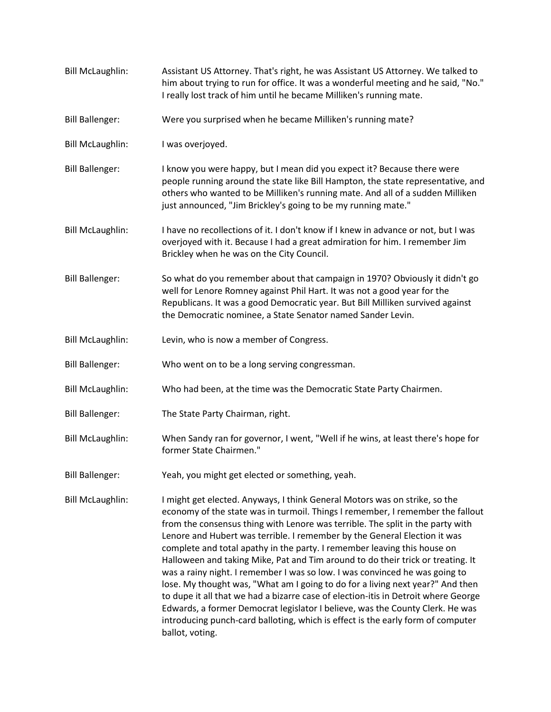Bill McLaughlin: Assistant US Attorney. That's right, he was Assistant US Attorney. We talked to him about trying to run for office. It was a wonderful meeting and he said, "No." I really lost track of him until he became Milliken's running mate. Bill Ballenger: Were you surprised when he became Milliken's running mate? Bill McLaughlin: I was overjoyed. Bill Ballenger: I know you were happy, but I mean did you expect it? Because there were people running around the state like Bill Hampton, the state representative, and others who wanted to be Milliken's running mate. And all of a sudden Milliken just announced, "Jim Brickley's going to be my running mate." Bill McLaughlin: I have no recollections of it. I don't know if I knew in advance or not, but I was overjoyed with it. Because I had a great admiration for him. I remember Jim Brickley when he was on the City Council. Bill Ballenger: So what do you remember about that campaign in 1970? Obviously it didn't go well for Lenore Romney against Phil Hart. It was not a good year for the Republicans. It was a good Democratic year. But Bill Milliken survived against the Democratic nominee, a State Senator named Sander Levin. Bill McLaughlin: Levin, who is now a member of Congress. Bill Ballenger: Who went on to be a long serving congressman. Bill McLaughlin: Who had been, at the time was the Democratic State Party Chairmen. Bill Ballenger: The State Party Chairman, right. Bill McLaughlin: When Sandy ran for governor, I went, "Well if he wins, at least there's hope for former State Chairmen." Bill Ballenger: Yeah, you might get elected or something, yeah. Bill McLaughlin: I might get elected. Anyways, I think General Motors was on strike, so the economy of the state was in turmoil. Things I remember, I remember the fallout from the consensus thing with Lenore was terrible. The split in the party with Lenore and Hubert was terrible. I remember by the General Election it was complete and total apathy in the party. I remember leaving this house on Halloween and taking Mike, Pat and Tim around to do their trick or treating. It was a rainy night. I remember I was so low. I was convinced he was going to lose. My thought was, "What am I going to do for a living next year?" And then to dupe it all that we had a bizarre case of election-itis in Detroit where George Edwards, a former Democrat legislator I believe, was the County Clerk. He was introducing punch-card balloting, which is effect is the early form of computer ballot, voting.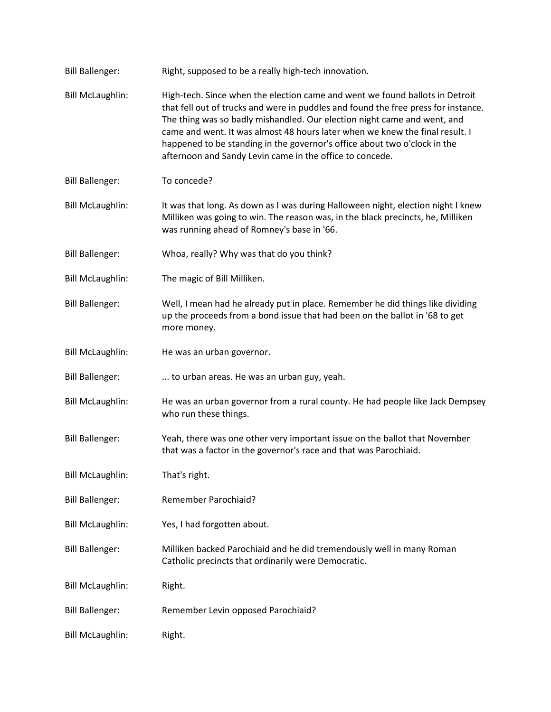| <b>Bill Ballenger:</b>  | Right, supposed to be a really high-tech innovation.                                                                                                                                                                                                                                                                                                                                                                                                                    |
|-------------------------|-------------------------------------------------------------------------------------------------------------------------------------------------------------------------------------------------------------------------------------------------------------------------------------------------------------------------------------------------------------------------------------------------------------------------------------------------------------------------|
| <b>Bill McLaughlin:</b> | High-tech. Since when the election came and went we found ballots in Detroit<br>that fell out of trucks and were in puddles and found the free press for instance.<br>The thing was so badly mishandled. Our election night came and went, and<br>came and went. It was almost 48 hours later when we knew the final result. I<br>happened to be standing in the governor's office about two o'clock in the<br>afternoon and Sandy Levin came in the office to concede. |
| <b>Bill Ballenger:</b>  | To concede?                                                                                                                                                                                                                                                                                                                                                                                                                                                             |
| <b>Bill McLaughlin:</b> | It was that long. As down as I was during Halloween night, election night I knew<br>Milliken was going to win. The reason was, in the black precincts, he, Milliken<br>was running ahead of Romney's base in '66.                                                                                                                                                                                                                                                       |
| <b>Bill Ballenger:</b>  | Whoa, really? Why was that do you think?                                                                                                                                                                                                                                                                                                                                                                                                                                |
| <b>Bill McLaughlin:</b> | The magic of Bill Milliken.                                                                                                                                                                                                                                                                                                                                                                                                                                             |
| <b>Bill Ballenger:</b>  | Well, I mean had he already put in place. Remember he did things like dividing<br>up the proceeds from a bond issue that had been on the ballot in '68 to get<br>more money.                                                                                                                                                                                                                                                                                            |
| <b>Bill McLaughlin:</b> | He was an urban governor.                                                                                                                                                                                                                                                                                                                                                                                                                                               |
| <b>Bill Ballenger:</b>  | to urban areas. He was an urban guy, yeah.                                                                                                                                                                                                                                                                                                                                                                                                                              |
| <b>Bill McLaughlin:</b> | He was an urban governor from a rural county. He had people like Jack Dempsey<br>who run these things.                                                                                                                                                                                                                                                                                                                                                                  |
| <b>Bill Ballenger:</b>  | Yeah, there was one other very important issue on the ballot that November<br>that was a factor in the governor's race and that was Parochiaid.                                                                                                                                                                                                                                                                                                                         |
| <b>Bill McLaughlin:</b> | That's right.                                                                                                                                                                                                                                                                                                                                                                                                                                                           |
| <b>Bill Ballenger:</b>  | Remember Parochiaid?                                                                                                                                                                                                                                                                                                                                                                                                                                                    |
| <b>Bill McLaughlin:</b> | Yes, I had forgotten about.                                                                                                                                                                                                                                                                                                                                                                                                                                             |
| <b>Bill Ballenger:</b>  | Milliken backed Parochiaid and he did tremendously well in many Roman<br>Catholic precincts that ordinarily were Democratic.                                                                                                                                                                                                                                                                                                                                            |
| <b>Bill McLaughlin:</b> | Right.                                                                                                                                                                                                                                                                                                                                                                                                                                                                  |
| <b>Bill Ballenger:</b>  | Remember Levin opposed Parochiaid?                                                                                                                                                                                                                                                                                                                                                                                                                                      |
| <b>Bill McLaughlin:</b> | Right.                                                                                                                                                                                                                                                                                                                                                                                                                                                                  |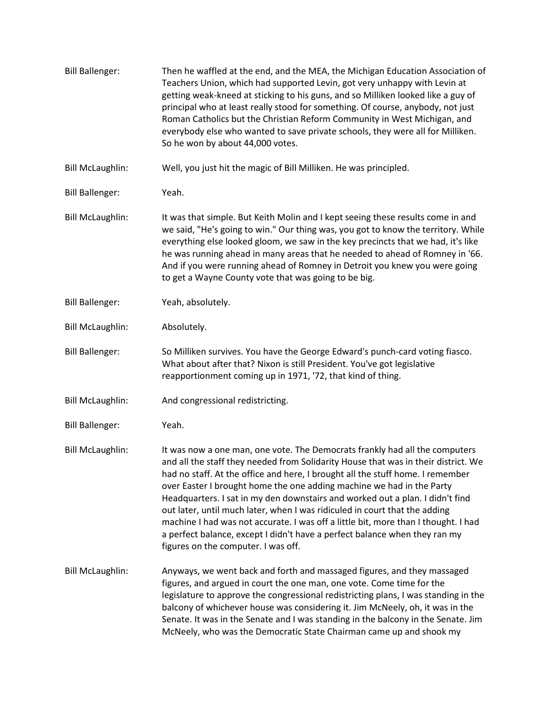Bill Ballenger: Then he waffled at the end, and the MEA, the Michigan Education Association of Teachers Union, which had supported Levin, got very unhappy with Levin at getting weak-kneed at sticking to his guns, and so Milliken looked like a guy of principal who at least really stood for something. Of course, anybody, not just Roman Catholics but the Christian Reform Community in West Michigan, and everybody else who wanted to save private schools, they were all for Milliken. So he won by about 44,000 votes. Bill McLaughlin: Well, you just hit the magic of Bill Milliken. He was principled. Bill Ballenger: Yeah. Bill McLaughlin: It was that simple. But Keith Molin and I kept seeing these results come in and we said, "He's going to win." Our thing was, you got to know the territory. While everything else looked gloom, we saw in the key precincts that we had, it's like he was running ahead in many areas that he needed to ahead of Romney in '66. And if you were running ahead of Romney in Detroit you knew you were going to get a Wayne County vote that was going to be big. Bill Ballenger: Yeah, absolutely. Bill McLaughlin: Absolutely. Bill Ballenger: So Milliken survives. You have the George Edward's punch-card voting fiasco. What about after that? Nixon is still President. You've got legislative reapportionment coming up in 1971, '72, that kind of thing. Bill McLaughlin: And congressional redistricting. Bill Ballenger: Yeah. Bill McLaughlin: It was now a one man, one vote. The Democrats frankly had all the computers and all the staff they needed from Solidarity House that was in their district. We had no staff. At the office and here, I brought all the stuff home. I remember over Easter I brought home the one adding machine we had in the Party Headquarters. I sat in my den downstairs and worked out a plan. I didn't find out later, until much later, when I was ridiculed in court that the adding machine I had was not accurate. I was off a little bit, more than I thought. I had a perfect balance, except I didn't have a perfect balance when they ran my figures on the computer. I was off. Bill McLaughlin: Anyways, we went back and forth and massaged figures, and they massaged figures, and argued in court the one man, one vote. Come time for the legislature to approve the congressional redistricting plans, I was standing in the balcony of whichever house was considering it. Jim McNeely, oh, it was in the Senate. It was in the Senate and I was standing in the balcony in the Senate. Jim McNeely, who was the Democratic State Chairman came up and shook my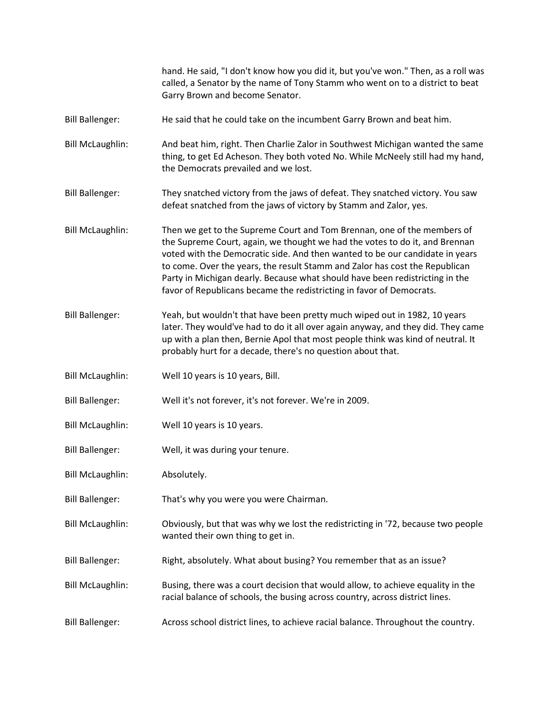|                         | hand. He said, "I don't know how you did it, but you've won." Then, as a roll was<br>called, a Senator by the name of Tony Stamm who went on to a district to beat<br>Garry Brown and become Senator.                                                                                                                                                                                                                                                                         |
|-------------------------|-------------------------------------------------------------------------------------------------------------------------------------------------------------------------------------------------------------------------------------------------------------------------------------------------------------------------------------------------------------------------------------------------------------------------------------------------------------------------------|
| <b>Bill Ballenger:</b>  | He said that he could take on the incumbent Garry Brown and beat him.                                                                                                                                                                                                                                                                                                                                                                                                         |
| <b>Bill McLaughlin:</b> | And beat him, right. Then Charlie Zalor in Southwest Michigan wanted the same<br>thing, to get Ed Acheson. They both voted No. While McNeely still had my hand,<br>the Democrats prevailed and we lost.                                                                                                                                                                                                                                                                       |
| <b>Bill Ballenger:</b>  | They snatched victory from the jaws of defeat. They snatched victory. You saw<br>defeat snatched from the jaws of victory by Stamm and Zalor, yes.                                                                                                                                                                                                                                                                                                                            |
| <b>Bill McLaughlin:</b> | Then we get to the Supreme Court and Tom Brennan, one of the members of<br>the Supreme Court, again, we thought we had the votes to do it, and Brennan<br>voted with the Democratic side. And then wanted to be our candidate in years<br>to come. Over the years, the result Stamm and Zalor has cost the Republican<br>Party in Michigan dearly. Because what should have been redistricting in the<br>favor of Republicans became the redistricting in favor of Democrats. |
| <b>Bill Ballenger:</b>  | Yeah, but wouldn't that have been pretty much wiped out in 1982, 10 years<br>later. They would've had to do it all over again anyway, and they did. They came<br>up with a plan then, Bernie Apol that most people think was kind of neutral. It<br>probably hurt for a decade, there's no question about that.                                                                                                                                                               |
| <b>Bill McLaughlin:</b> | Well 10 years is 10 years, Bill.                                                                                                                                                                                                                                                                                                                                                                                                                                              |
| <b>Bill Ballenger:</b>  | Well it's not forever, it's not forever. We're in 2009.                                                                                                                                                                                                                                                                                                                                                                                                                       |
| <b>Bill McLaughlin:</b> | Well 10 years is 10 years.                                                                                                                                                                                                                                                                                                                                                                                                                                                    |
| <b>Bill Ballenger:</b>  | Well, it was during your tenure.                                                                                                                                                                                                                                                                                                                                                                                                                                              |
| <b>Bill McLaughlin:</b> | Absolutely.                                                                                                                                                                                                                                                                                                                                                                                                                                                                   |
| <b>Bill Ballenger:</b>  | That's why you were you were Chairman.                                                                                                                                                                                                                                                                                                                                                                                                                                        |
| <b>Bill McLaughlin:</b> | Obviously, but that was why we lost the redistricting in '72, because two people<br>wanted their own thing to get in.                                                                                                                                                                                                                                                                                                                                                         |
| <b>Bill Ballenger:</b>  | Right, absolutely. What about busing? You remember that as an issue?                                                                                                                                                                                                                                                                                                                                                                                                          |
| <b>Bill McLaughlin:</b> | Busing, there was a court decision that would allow, to achieve equality in the<br>racial balance of schools, the busing across country, across district lines.                                                                                                                                                                                                                                                                                                               |
| <b>Bill Ballenger:</b>  | Across school district lines, to achieve racial balance. Throughout the country.                                                                                                                                                                                                                                                                                                                                                                                              |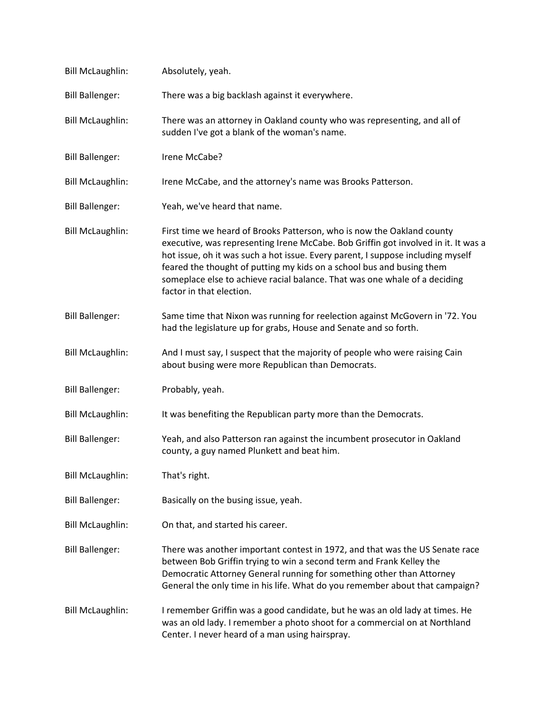| <b>Bill McLaughlin:</b> | Absolutely, yeah.                                                                                                                                                                                                                                                                                                                                                                                                                  |
|-------------------------|------------------------------------------------------------------------------------------------------------------------------------------------------------------------------------------------------------------------------------------------------------------------------------------------------------------------------------------------------------------------------------------------------------------------------------|
| <b>Bill Ballenger:</b>  | There was a big backlash against it everywhere.                                                                                                                                                                                                                                                                                                                                                                                    |
| <b>Bill McLaughlin:</b> | There was an attorney in Oakland county who was representing, and all of<br>sudden I've got a blank of the woman's name.                                                                                                                                                                                                                                                                                                           |
| <b>Bill Ballenger:</b>  | Irene McCabe?                                                                                                                                                                                                                                                                                                                                                                                                                      |
| <b>Bill McLaughlin:</b> | Irene McCabe, and the attorney's name was Brooks Patterson.                                                                                                                                                                                                                                                                                                                                                                        |
| <b>Bill Ballenger:</b>  | Yeah, we've heard that name.                                                                                                                                                                                                                                                                                                                                                                                                       |
| <b>Bill McLaughlin:</b> | First time we heard of Brooks Patterson, who is now the Oakland county<br>executive, was representing Irene McCabe. Bob Griffin got involved in it. It was a<br>hot issue, oh it was such a hot issue. Every parent, I suppose including myself<br>feared the thought of putting my kids on a school bus and busing them<br>someplace else to achieve racial balance. That was one whale of a deciding<br>factor in that election. |
| <b>Bill Ballenger:</b>  | Same time that Nixon was running for reelection against McGovern in '72. You<br>had the legislature up for grabs, House and Senate and so forth.                                                                                                                                                                                                                                                                                   |
| <b>Bill McLaughlin:</b> | And I must say, I suspect that the majority of people who were raising Cain<br>about busing were more Republican than Democrats.                                                                                                                                                                                                                                                                                                   |
| <b>Bill Ballenger:</b>  | Probably, yeah.                                                                                                                                                                                                                                                                                                                                                                                                                    |
| <b>Bill McLaughlin:</b> | It was benefiting the Republican party more than the Democrats.                                                                                                                                                                                                                                                                                                                                                                    |
| <b>Bill Ballenger:</b>  | Yeah, and also Patterson ran against the incumbent prosecutor in Oakland<br>county, a guy named Plunkett and beat him.                                                                                                                                                                                                                                                                                                             |
| <b>Bill McLaughlin:</b> | That's right.                                                                                                                                                                                                                                                                                                                                                                                                                      |
| <b>Bill Ballenger:</b>  | Basically on the busing issue, yeah.                                                                                                                                                                                                                                                                                                                                                                                               |
| <b>Bill McLaughlin:</b> | On that, and started his career.                                                                                                                                                                                                                                                                                                                                                                                                   |
| <b>Bill Ballenger:</b>  | There was another important contest in 1972, and that was the US Senate race<br>between Bob Griffin trying to win a second term and Frank Kelley the<br>Democratic Attorney General running for something other than Attorney<br>General the only time in his life. What do you remember about that campaign?                                                                                                                      |
| <b>Bill McLaughlin:</b> | I remember Griffin was a good candidate, but he was an old lady at times. He<br>was an old lady. I remember a photo shoot for a commercial on at Northland<br>Center. I never heard of a man using hairspray.                                                                                                                                                                                                                      |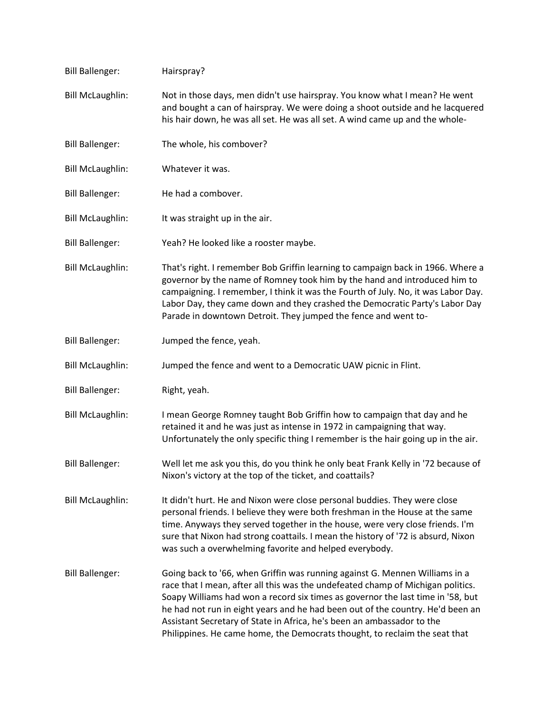| <b>Bill Ballenger:</b>  | Hairspray?                                                                                                                                                                                                                                                                                                                                                                                                                                                                                  |
|-------------------------|---------------------------------------------------------------------------------------------------------------------------------------------------------------------------------------------------------------------------------------------------------------------------------------------------------------------------------------------------------------------------------------------------------------------------------------------------------------------------------------------|
| <b>Bill McLaughlin:</b> | Not in those days, men didn't use hairspray. You know what I mean? He went<br>and bought a can of hairspray. We were doing a shoot outside and he lacquered<br>his hair down, he was all set. He was all set. A wind came up and the whole-                                                                                                                                                                                                                                                 |
| <b>Bill Ballenger:</b>  | The whole, his combover?                                                                                                                                                                                                                                                                                                                                                                                                                                                                    |
| <b>Bill McLaughlin:</b> | Whatever it was.                                                                                                                                                                                                                                                                                                                                                                                                                                                                            |
| <b>Bill Ballenger:</b>  | He had a combover.                                                                                                                                                                                                                                                                                                                                                                                                                                                                          |
| <b>Bill McLaughlin:</b> | It was straight up in the air.                                                                                                                                                                                                                                                                                                                                                                                                                                                              |
| <b>Bill Ballenger:</b>  | Yeah? He looked like a rooster maybe.                                                                                                                                                                                                                                                                                                                                                                                                                                                       |
| <b>Bill McLaughlin:</b> | That's right. I remember Bob Griffin learning to campaign back in 1966. Where a<br>governor by the name of Romney took him by the hand and introduced him to<br>campaigning. I remember, I think it was the Fourth of July. No, it was Labor Day.<br>Labor Day, they came down and they crashed the Democratic Party's Labor Day<br>Parade in downtown Detroit. They jumped the fence and went to-                                                                                          |
| <b>Bill Ballenger:</b>  | Jumped the fence, yeah.                                                                                                                                                                                                                                                                                                                                                                                                                                                                     |
| <b>Bill McLaughlin:</b> | Jumped the fence and went to a Democratic UAW picnic in Flint.                                                                                                                                                                                                                                                                                                                                                                                                                              |
| <b>Bill Ballenger:</b>  | Right, yeah.                                                                                                                                                                                                                                                                                                                                                                                                                                                                                |
| <b>Bill McLaughlin:</b> | I mean George Romney taught Bob Griffin how to campaign that day and he<br>retained it and he was just as intense in 1972 in campaigning that way.<br>Unfortunately the only specific thing I remember is the hair going up in the air.                                                                                                                                                                                                                                                     |
| <b>Bill Ballenger:</b>  | Well let me ask you this, do you think he only beat Frank Kelly in '72 because of<br>Nixon's victory at the top of the ticket, and coattails?                                                                                                                                                                                                                                                                                                                                               |
| <b>Bill McLaughlin:</b> | It didn't hurt. He and Nixon were close personal buddies. They were close<br>personal friends. I believe they were both freshman in the House at the same<br>time. Anyways they served together in the house, were very close friends. I'm<br>sure that Nixon had strong coattails. I mean the history of '72 is absurd, Nixon<br>was such a overwhelming favorite and helped everybody.                                                                                                    |
| <b>Bill Ballenger:</b>  | Going back to '66, when Griffin was running against G. Mennen Williams in a<br>race that I mean, after all this was the undefeated champ of Michigan politics.<br>Soapy Williams had won a record six times as governor the last time in '58, but<br>he had not run in eight years and he had been out of the country. He'd been an<br>Assistant Secretary of State in Africa, he's been an ambassador to the<br>Philippines. He came home, the Democrats thought, to reclaim the seat that |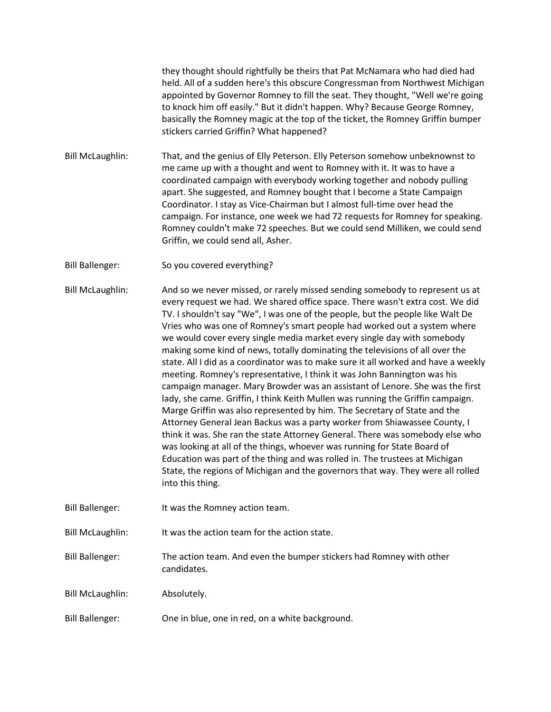they thought should rightfully be theirs that Pat McNamara who had died had held. All of a sudden here's this obscure Congressman from Northwest Michigan appointed by Governor Romney to fill the seat. They thought, "Well we're going to knock him off easily." But it didn't happen. Why? Because George Romney, basically the Romney magic at the top of the ticket, the Romney Griffin bumper stickers carried Griffin? What happened?

Bill McLaughlin: That, and the genius of Elly Peterson. Elly Peterson somehow unbeknownst to me came up with a thought and went to Romney with it. It was to have a coordinated campaign with everybody working together and nobody pulling apart. She suggested, and Romney bought that I become a State Campaign Coordinator. I stay as Vice-Chairman but I almost full-time over head the campaign. For instance, one week we had 72 requests for Romney for speaking. Romney couldn't make 72 speeches. But we could send Milliken, we could send Griffin, we could send all, Asher.

Bill Ballenger: So you covered everything?

Bill McLaughlin: And so we never missed, or rarely missed sending somebody to represent us at every request we had. We shared office space. There wasn't extra cost. We did TV. I shouldn't say "We", I was one of the people, but the people like Walt De Vries who was one of Romney's smart people had worked out a system where we would cover every single media market every single day with somebody making some kind of news, totally dominating the televisions of all over the state. All I did as a coordinator was to make sure it all worked and have a weekly meeting. Romney's representative, I think it was John Bannington was his campaign manager. Mary Browder was an assistant of Lenore. She was the first lady, she came. Griffin, I think Keith Mullen was running the Griffin campaign. Marge Griffin was also represented by him. The Secretary of State and the Attorney General Jean Backus was a party worker from Shiawassee County, I think it was. She ran the state Attorney General. There was somebody else who was looking at all of the things, whoever was running for State Board of Education was part of the thing and was rolled in. The trustees at Michigan State, the regions of Michigan and the governors that way. They were all rolled into this thing.

- Bill Ballenger: It was the Romney action team.
- Bill McLaughlin: It was the action team for the action state.

Bill Ballenger: The action team. And even the bumper stickers had Romney with other candidates.

- Bill McLaughlin: Absolutely.
- Bill Ballenger: One in blue, one in red, on a white background.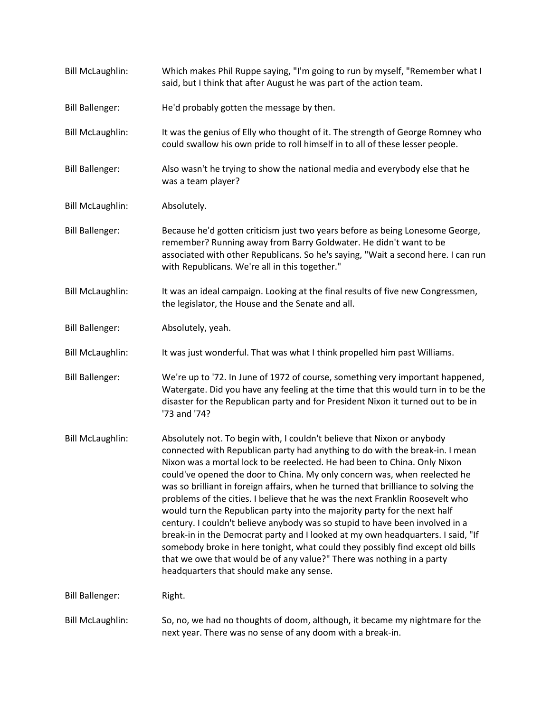| <b>Bill McLaughlin:</b> | Which makes Phil Ruppe saying, "I'm going to run by myself, "Remember what I<br>said, but I think that after August he was part of the action team.                                                                                                                                                                                                                                                                                                                                                                                                                                                                                                                                                                                                                                                                                                                                                                                             |
|-------------------------|-------------------------------------------------------------------------------------------------------------------------------------------------------------------------------------------------------------------------------------------------------------------------------------------------------------------------------------------------------------------------------------------------------------------------------------------------------------------------------------------------------------------------------------------------------------------------------------------------------------------------------------------------------------------------------------------------------------------------------------------------------------------------------------------------------------------------------------------------------------------------------------------------------------------------------------------------|
| <b>Bill Ballenger:</b>  | He'd probably gotten the message by then.                                                                                                                                                                                                                                                                                                                                                                                                                                                                                                                                                                                                                                                                                                                                                                                                                                                                                                       |
| <b>Bill McLaughlin:</b> | It was the genius of Elly who thought of it. The strength of George Romney who<br>could swallow his own pride to roll himself in to all of these lesser people.                                                                                                                                                                                                                                                                                                                                                                                                                                                                                                                                                                                                                                                                                                                                                                                 |
| <b>Bill Ballenger:</b>  | Also wasn't he trying to show the national media and everybody else that he<br>was a team player?                                                                                                                                                                                                                                                                                                                                                                                                                                                                                                                                                                                                                                                                                                                                                                                                                                               |
| <b>Bill McLaughlin:</b> | Absolutely.                                                                                                                                                                                                                                                                                                                                                                                                                                                                                                                                                                                                                                                                                                                                                                                                                                                                                                                                     |
| <b>Bill Ballenger:</b>  | Because he'd gotten criticism just two years before as being Lonesome George,<br>remember? Running away from Barry Goldwater. He didn't want to be<br>associated with other Republicans. So he's saying, "Wait a second here. I can run<br>with Republicans. We're all in this together."                                                                                                                                                                                                                                                                                                                                                                                                                                                                                                                                                                                                                                                       |
| <b>Bill McLaughlin:</b> | It was an ideal campaign. Looking at the final results of five new Congressmen,<br>the legislator, the House and the Senate and all.                                                                                                                                                                                                                                                                                                                                                                                                                                                                                                                                                                                                                                                                                                                                                                                                            |
| <b>Bill Ballenger:</b>  | Absolutely, yeah.                                                                                                                                                                                                                                                                                                                                                                                                                                                                                                                                                                                                                                                                                                                                                                                                                                                                                                                               |
| <b>Bill McLaughlin:</b> | It was just wonderful. That was what I think propelled him past Williams.                                                                                                                                                                                                                                                                                                                                                                                                                                                                                                                                                                                                                                                                                                                                                                                                                                                                       |
| <b>Bill Ballenger:</b>  | We're up to '72. In June of 1972 of course, something very important happened,<br>Watergate. Did you have any feeling at the time that this would turn in to be the<br>disaster for the Republican party and for President Nixon it turned out to be in<br>'73 and '74?                                                                                                                                                                                                                                                                                                                                                                                                                                                                                                                                                                                                                                                                         |
| <b>Bill McLaughlin:</b> | Absolutely not. To begin with, I couldn't believe that Nixon or anybody<br>connected with Republican party had anything to do with the break-in. I mean<br>Nixon was a mortal lock to be reelected. He had been to China. Only Nixon<br>could've opened the door to China. My only concern was, when reelected he<br>was so brilliant in foreign affairs, when he turned that brilliance to solving the<br>problems of the cities. I believe that he was the next Franklin Roosevelt who<br>would turn the Republican party into the majority party for the next half<br>century. I couldn't believe anybody was so stupid to have been involved in a<br>break-in in the Democrat party and I looked at my own headquarters. I said, "If<br>somebody broke in here tonight, what could they possibly find except old bills<br>that we owe that would be of any value?" There was nothing in a party<br>headquarters that should make any sense. |
| <b>Bill Ballenger:</b>  | Right.                                                                                                                                                                                                                                                                                                                                                                                                                                                                                                                                                                                                                                                                                                                                                                                                                                                                                                                                          |
| <b>Bill McLaughlin:</b> | So, no, we had no thoughts of doom, although, it became my nightmare for the<br>next year. There was no sense of any doom with a break-in.                                                                                                                                                                                                                                                                                                                                                                                                                                                                                                                                                                                                                                                                                                                                                                                                      |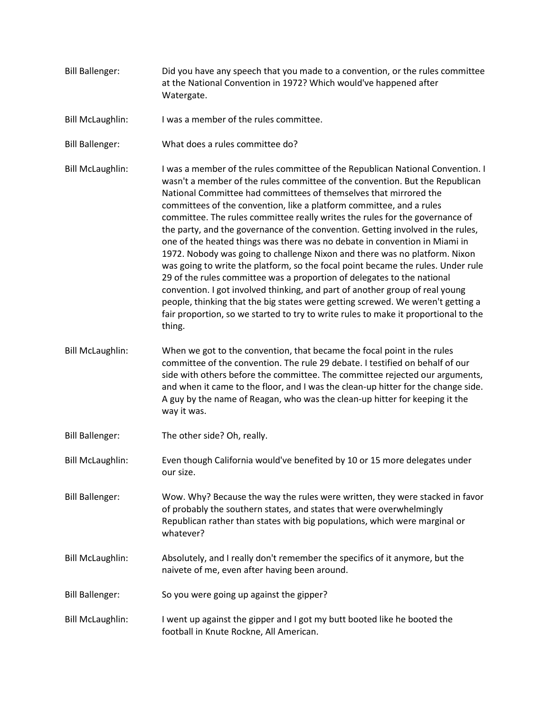- Bill Ballenger: Did you have any speech that you made to a convention, or the rules committee at the National Convention in 1972? Which would've happened after Watergate.
- Bill McLaughlin: I was a member of the rules committee.
- Bill Ballenger: What does a rules committee do?
- Bill McLaughlin: I was a member of the rules committee of the Republican National Convention. I wasn't a member of the rules committee of the convention. But the Republican National Committee had committees of themselves that mirrored the committees of the convention, like a platform committee, and a rules committee. The rules committee really writes the rules for the governance of the party, and the governance of the convention. Getting involved in the rules, one of the heated things was there was no debate in convention in Miami in 1972. Nobody was going to challenge Nixon and there was no platform. Nixon was going to write the platform, so the focal point became the rules. Under rule 29 of the rules committee was a proportion of delegates to the national convention. I got involved thinking, and part of another group of real young people, thinking that the big states were getting screwed. We weren't getting a fair proportion, so we started to try to write rules to make it proportional to the thing.
- Bill McLaughlin: When we got to the convention, that became the focal point in the rules committee of the convention. The rule 29 debate. I testified on behalf of our side with others before the committee. The committee rejected our arguments, and when it came to the floor, and I was the clean-up hitter for the change side. A guy by the name of Reagan, who was the clean-up hitter for keeping it the way it was.
- Bill Ballenger: The other side? Oh, really.
- Bill McLaughlin: Even though California would've benefited by 10 or 15 more delegates under our size.
- Bill Ballenger: Wow. Why? Because the way the rules were written, they were stacked in favor of probably the southern states, and states that were overwhelmingly Republican rather than states with big populations, which were marginal or whatever?
- Bill McLaughlin: Absolutely, and I really don't remember the specifics of it anymore, but the naivete of me, even after having been around.
- Bill Ballenger: So you were going up against the gipper?
- Bill McLaughlin: I went up against the gipper and I got my butt booted like he booted the football in Knute Rockne, All American.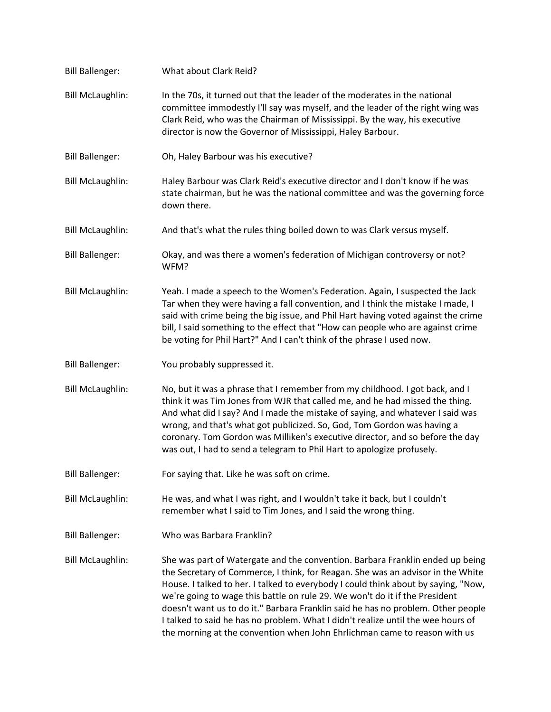| <b>Bill Ballenger:</b>  | What about Clark Reid?                                                                                                                                                                                                                                                                                                                                                                                                                                                                                        |
|-------------------------|---------------------------------------------------------------------------------------------------------------------------------------------------------------------------------------------------------------------------------------------------------------------------------------------------------------------------------------------------------------------------------------------------------------------------------------------------------------------------------------------------------------|
| <b>Bill McLaughlin:</b> | In the 70s, it turned out that the leader of the moderates in the national<br>committee immodestly I'll say was myself, and the leader of the right wing was<br>Clark Reid, who was the Chairman of Mississippi. By the way, his executive<br>director is now the Governor of Mississippi, Haley Barbour.                                                                                                                                                                                                     |
| <b>Bill Ballenger:</b>  | Oh, Haley Barbour was his executive?                                                                                                                                                                                                                                                                                                                                                                                                                                                                          |
| <b>Bill McLaughlin:</b> | Haley Barbour was Clark Reid's executive director and I don't know if he was<br>state chairman, but he was the national committee and was the governing force<br>down there.                                                                                                                                                                                                                                                                                                                                  |
| <b>Bill McLaughlin:</b> | And that's what the rules thing boiled down to was Clark versus myself.                                                                                                                                                                                                                                                                                                                                                                                                                                       |
| <b>Bill Ballenger:</b>  | Okay, and was there a women's federation of Michigan controversy or not?<br>WFM?                                                                                                                                                                                                                                                                                                                                                                                                                              |
| <b>Bill McLaughlin:</b> | Yeah. I made a speech to the Women's Federation. Again, I suspected the Jack<br>Tar when they were having a fall convention, and I think the mistake I made, I<br>said with crime being the big issue, and Phil Hart having voted against the crime<br>bill, I said something to the effect that "How can people who are against crime<br>be voting for Phil Hart?" And I can't think of the phrase I used now.                                                                                               |
| <b>Bill Ballenger:</b>  | You probably suppressed it.                                                                                                                                                                                                                                                                                                                                                                                                                                                                                   |
| <b>Bill McLaughlin:</b> | No, but it was a phrase that I remember from my childhood. I got back, and I<br>think it was Tim Jones from WJR that called me, and he had missed the thing.<br>And what did I say? And I made the mistake of saying, and whatever I said was<br>wrong, and that's what got publicized. So, God, Tom Gordon was having a<br>coronary. Tom Gordon was Milliken's executive director, and so before the day<br>was out, I had to send a telegram to Phil Hart to apologize profusely.                           |
| <b>Bill Ballenger:</b>  | For saying that. Like he was soft on crime.                                                                                                                                                                                                                                                                                                                                                                                                                                                                   |
| <b>Bill McLaughlin:</b> | He was, and what I was right, and I wouldn't take it back, but I couldn't<br>remember what I said to Tim Jones, and I said the wrong thing.                                                                                                                                                                                                                                                                                                                                                                   |
| <b>Bill Ballenger:</b>  | Who was Barbara Franklin?                                                                                                                                                                                                                                                                                                                                                                                                                                                                                     |
| <b>Bill McLaughlin:</b> | She was part of Watergate and the convention. Barbara Franklin ended up being<br>the Secretary of Commerce, I think, for Reagan. She was an advisor in the White<br>House. I talked to her. I talked to everybody I could think about by saying, "Now,<br>we're going to wage this battle on rule 29. We won't do it if the President<br>doesn't want us to do it." Barbara Franklin said he has no problem. Other people<br>I talked to said he has no problem. What I didn't realize until the wee hours of |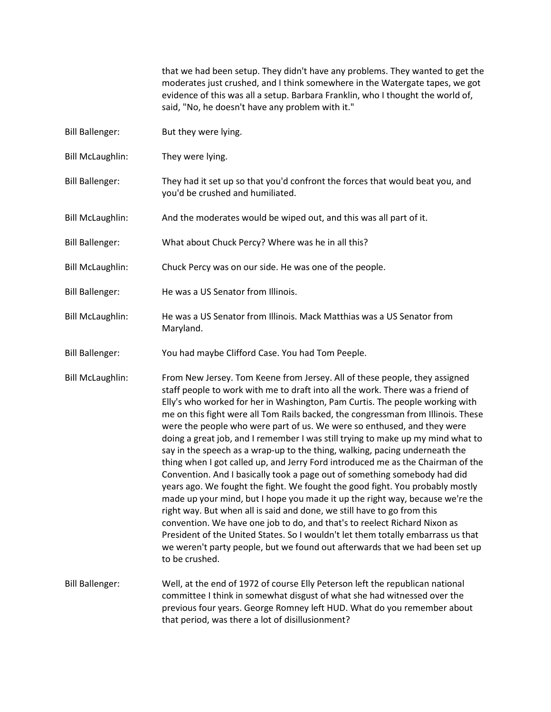that we had been setup. They didn't have any problems. They wanted to get the moderates just crushed, and I think somewhere in the Watergate tapes, we got evidence of this was all a setup. Barbara Franklin, who I thought the world of, said, "No, he doesn't have any problem with it."

- Bill Ballenger: But they were lying.
- Bill McLaughlin: They were lying.
- Bill Ballenger: They had it set up so that you'd confront the forces that would beat you, and you'd be crushed and humiliated.
- Bill McLaughlin: And the moderates would be wiped out, and this was all part of it.
- Bill Ballenger: What about Chuck Percy? Where was he in all this?
- Bill McLaughlin: Chuck Percy was on our side. He was one of the people.
- Bill Ballenger: He was a US Senator from Illinois.
- Bill McLaughlin: He was a US Senator from Illinois. Mack Matthias was a US Senator from Maryland.
- Bill Ballenger: You had maybe Clifford Case. You had Tom Peeple.
- Bill McLaughlin: From New Jersey. Tom Keene from Jersey. All of these people, they assigned staff people to work with me to draft into all the work. There was a friend of Elly's who worked for her in Washington, Pam Curtis. The people working with me on this fight were all Tom Rails backed, the congressman from Illinois. These were the people who were part of us. We were so enthused, and they were doing a great job, and I remember I was still trying to make up my mind what to say in the speech as a wrap-up to the thing, walking, pacing underneath the thing when I got called up, and Jerry Ford introduced me as the Chairman of the Convention. And I basically took a page out of something somebody had did years ago. We fought the fight. We fought the good fight. You probably mostly made up your mind, but I hope you made it up the right way, because we're the right way. But when all is said and done, we still have to go from this convention. We have one job to do, and that's to reelect Richard Nixon as President of the United States. So I wouldn't let them totally embarrass us that we weren't party people, but we found out afterwards that we had been set up to be crushed.
- Bill Ballenger: Well, at the end of 1972 of course Elly Peterson left the republican national committee I think in somewhat disgust of what she had witnessed over the previous four years. George Romney left HUD. What do you remember about that period, was there a lot of disillusionment?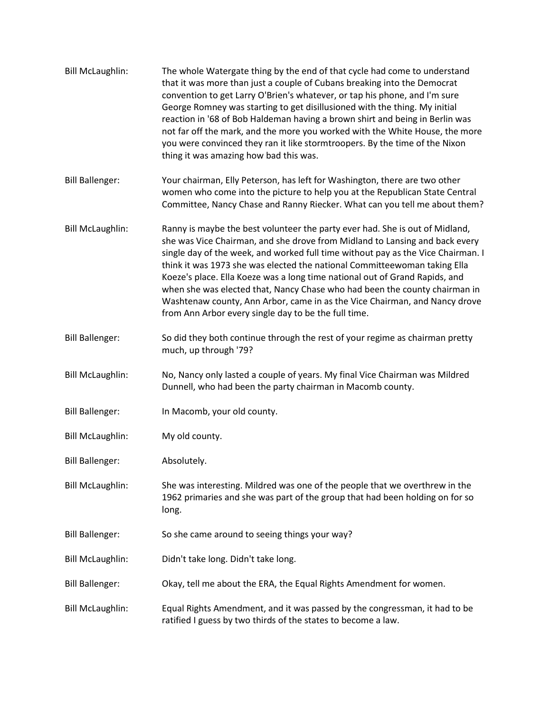| <b>Bill McLaughlin:</b> | The whole Watergate thing by the end of that cycle had come to understand<br>that it was more than just a couple of Cubans breaking into the Democrat<br>convention to get Larry O'Brien's whatever, or tap his phone, and I'm sure<br>George Romney was starting to get disillusioned with the thing. My initial<br>reaction in '68 of Bob Haldeman having a brown shirt and being in Berlin was<br>not far off the mark, and the more you worked with the White House, the more<br>you were convinced they ran it like stormtroopers. By the time of the Nixon<br>thing it was amazing how bad this was.                      |
|-------------------------|---------------------------------------------------------------------------------------------------------------------------------------------------------------------------------------------------------------------------------------------------------------------------------------------------------------------------------------------------------------------------------------------------------------------------------------------------------------------------------------------------------------------------------------------------------------------------------------------------------------------------------|
| <b>Bill Ballenger:</b>  | Your chairman, Elly Peterson, has left for Washington, there are two other<br>women who come into the picture to help you at the Republican State Central<br>Committee, Nancy Chase and Ranny Riecker. What can you tell me about them?                                                                                                                                                                                                                                                                                                                                                                                         |
| <b>Bill McLaughlin:</b> | Ranny is maybe the best volunteer the party ever had. She is out of Midland,<br>she was Vice Chairman, and she drove from Midland to Lansing and back every<br>single day of the week, and worked full time without pay as the Vice Chairman. I<br>think it was 1973 she was elected the national Committeewoman taking Ella<br>Koeze's place. Ella Koeze was a long time national out of Grand Rapids, and<br>when she was elected that, Nancy Chase who had been the county chairman in<br>Washtenaw county, Ann Arbor, came in as the Vice Chairman, and Nancy drove<br>from Ann Arbor every single day to be the full time. |
| <b>Bill Ballenger:</b>  | So did they both continue through the rest of your regime as chairman pretty<br>much, up through '79?                                                                                                                                                                                                                                                                                                                                                                                                                                                                                                                           |
| <b>Bill McLaughlin:</b> | No, Nancy only lasted a couple of years. My final Vice Chairman was Mildred<br>Dunnell, who had been the party chairman in Macomb county.                                                                                                                                                                                                                                                                                                                                                                                                                                                                                       |
| <b>Bill Ballenger:</b>  | In Macomb, your old county.                                                                                                                                                                                                                                                                                                                                                                                                                                                                                                                                                                                                     |
| <b>Bill McLaughlin:</b> | My old county.                                                                                                                                                                                                                                                                                                                                                                                                                                                                                                                                                                                                                  |
| <b>Bill Ballenger:</b>  | Absolutely.                                                                                                                                                                                                                                                                                                                                                                                                                                                                                                                                                                                                                     |
| <b>Bill McLaughlin:</b> | She was interesting. Mildred was one of the people that we overthrew in the<br>1962 primaries and she was part of the group that had been holding on for so<br>long.                                                                                                                                                                                                                                                                                                                                                                                                                                                            |
| <b>Bill Ballenger:</b>  | So she came around to seeing things your way?                                                                                                                                                                                                                                                                                                                                                                                                                                                                                                                                                                                   |
| <b>Bill McLaughlin:</b> | Didn't take long. Didn't take long.                                                                                                                                                                                                                                                                                                                                                                                                                                                                                                                                                                                             |
| <b>Bill Ballenger:</b>  | Okay, tell me about the ERA, the Equal Rights Amendment for women.                                                                                                                                                                                                                                                                                                                                                                                                                                                                                                                                                              |
| <b>Bill McLaughlin:</b> | Equal Rights Amendment, and it was passed by the congressman, it had to be<br>ratified I guess by two thirds of the states to become a law.                                                                                                                                                                                                                                                                                                                                                                                                                                                                                     |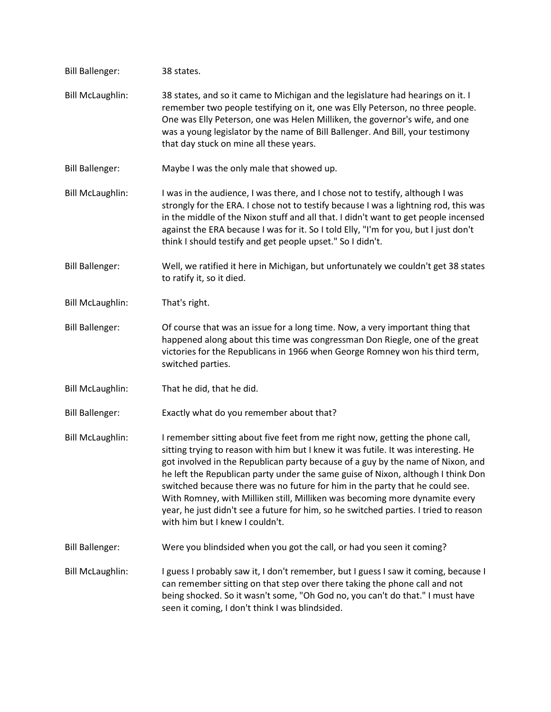| <b>Bill Ballenger:</b>  | 38 states.                                                                                                                                                                                                                                                                                                                                                                                                                                                                                                                                                                                                                           |
|-------------------------|--------------------------------------------------------------------------------------------------------------------------------------------------------------------------------------------------------------------------------------------------------------------------------------------------------------------------------------------------------------------------------------------------------------------------------------------------------------------------------------------------------------------------------------------------------------------------------------------------------------------------------------|
| <b>Bill McLaughlin:</b> | 38 states, and so it came to Michigan and the legislature had hearings on it. I<br>remember two people testifying on it, one was Elly Peterson, no three people.<br>One was Elly Peterson, one was Helen Milliken, the governor's wife, and one<br>was a young legislator by the name of Bill Ballenger. And Bill, your testimony<br>that day stuck on mine all these years.                                                                                                                                                                                                                                                         |
| <b>Bill Ballenger:</b>  | Maybe I was the only male that showed up.                                                                                                                                                                                                                                                                                                                                                                                                                                                                                                                                                                                            |
| <b>Bill McLaughlin:</b> | I was in the audience, I was there, and I chose not to testify, although I was<br>strongly for the ERA. I chose not to testify because I was a lightning rod, this was<br>in the middle of the Nixon stuff and all that. I didn't want to get people incensed<br>against the ERA because I was for it. So I told Elly, "I'm for you, but I just don't<br>think I should testify and get people upset." So I didn't.                                                                                                                                                                                                                  |
| <b>Bill Ballenger:</b>  | Well, we ratified it here in Michigan, but unfortunately we couldn't get 38 states<br>to ratify it, so it died.                                                                                                                                                                                                                                                                                                                                                                                                                                                                                                                      |
| <b>Bill McLaughlin:</b> | That's right.                                                                                                                                                                                                                                                                                                                                                                                                                                                                                                                                                                                                                        |
| <b>Bill Ballenger:</b>  | Of course that was an issue for a long time. Now, a very important thing that<br>happened along about this time was congressman Don Riegle, one of the great<br>victories for the Republicans in 1966 when George Romney won his third term,<br>switched parties.                                                                                                                                                                                                                                                                                                                                                                    |
| <b>Bill McLaughlin:</b> | That he did, that he did.                                                                                                                                                                                                                                                                                                                                                                                                                                                                                                                                                                                                            |
| <b>Bill Ballenger:</b>  | Exactly what do you remember about that?                                                                                                                                                                                                                                                                                                                                                                                                                                                                                                                                                                                             |
| <b>Bill McLaughlin:</b> | I remember sitting about five feet from me right now, getting the phone call,<br>sitting trying to reason with him but I knew it was futile. It was interesting. He<br>got involved in the Republican party because of a guy by the name of Nixon, and<br>he left the Republican party under the same guise of Nixon, although I think Don<br>switched because there was no future for him in the party that he could see.<br>With Romney, with Milliken still, Milliken was becoming more dynamite every<br>year, he just didn't see a future for him, so he switched parties. I tried to reason<br>with him but I knew I couldn't. |
| <b>Bill Ballenger:</b>  | Were you blindsided when you got the call, or had you seen it coming?                                                                                                                                                                                                                                                                                                                                                                                                                                                                                                                                                                |
| <b>Bill McLaughlin:</b> | I guess I probably saw it, I don't remember, but I guess I saw it coming, because I<br>can remember sitting on that step over there taking the phone call and not<br>being shocked. So it wasn't some, "Oh God no, you can't do that." I must have<br>seen it coming, I don't think I was blindsided.                                                                                                                                                                                                                                                                                                                                |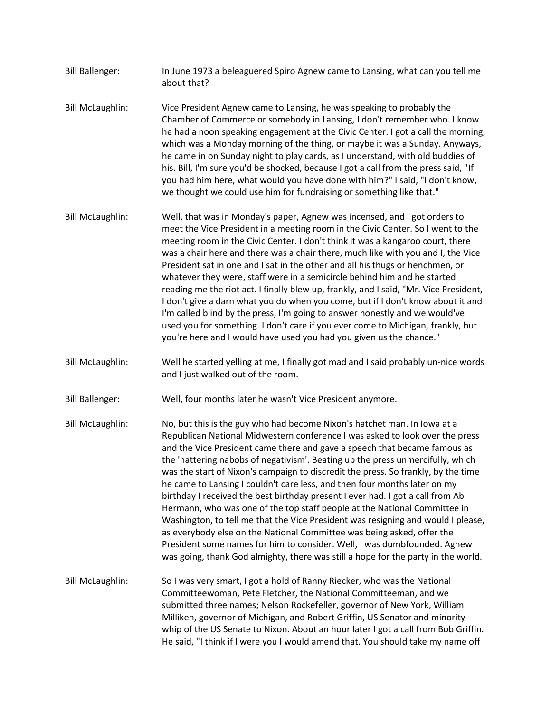- Bill Ballenger: In June 1973 a beleaguered Spiro Agnew came to Lansing, what can you tell me about that?
- Bill McLaughlin: Vice President Agnew came to Lansing, he was speaking to probably the Chamber of Commerce or somebody in Lansing, I don't remember who. I know he had a noon speaking engagement at the Civic Center. I got a call the morning, which was a Monday morning of the thing, or maybe it was a Sunday. Anyways, he came in on Sunday night to play cards, as I understand, with old buddies of his. Bill, I'm sure you'd be shocked, because I got a call from the press said, "If you had him here, what would you have done with him?" I said, "I don't know, we thought we could use him for fundraising or something like that."
- Bill McLaughlin: Well, that was in Monday's paper, Agnew was incensed, and I got orders to meet the Vice President in a meeting room in the Civic Center. So I went to the meeting room in the Civic Center. I don't think it was a kangaroo court, there was a chair here and there was a chair there, much like with you and I, the Vice President sat in one and I sat in the other and all his thugs or henchmen, or whatever they were, staff were in a semicircle behind him and he started reading me the riot act. I finally blew up, frankly, and I said, "Mr. Vice President, I don't give a darn what you do when you come, but if I don't know about it and I'm called blind by the press, I'm going to answer honestly and we would've used you for something. I don't care if you ever come to Michigan, frankly, but you're here and I would have used you had you given us the chance."
- Bill McLaughlin: Well he started yelling at me, I finally got mad and I said probably un-nice words and I just walked out of the room.
- Bill Ballenger: Well, four months later he wasn't Vice President anymore.
- Bill McLaughlin: No, but this is the guy who had become Nixon's hatchet man. In Iowa at a Republican National Midwestern conference I was asked to look over the press and the Vice President came there and gave a speech that became famous as the 'nattering nabobs of negativism'. Beating up the press unmercifully, which was the start of Nixon's campaign to discredit the press. So frankly, by the time he came to Lansing I couldn't care less, and then four months later on my birthday I received the best birthday present I ever had. I got a call from Ab Hermann, who was one of the top staff people at the National Committee in Washington, to tell me that the Vice President was resigning and would I please, as everybody else on the National Committee was being asked, offer the President some names for him to consider. Well, I was dumbfounded. Agnew was going, thank God almighty, there was still a hope for the party in the world.
- Bill McLaughlin: So I was very smart, I got a hold of Ranny Riecker, who was the National Committeewoman, Pete Fletcher, the National Committeeman, and we submitted three names; Nelson Rockefeller, governor of New York, William Milliken, governor of Michigan, and Robert Griffin, US Senator and minority whip of the US Senate to Nixon. About an hour later I got a call from Bob Griffin. He said, "I think if I were you I would amend that. You should take my name off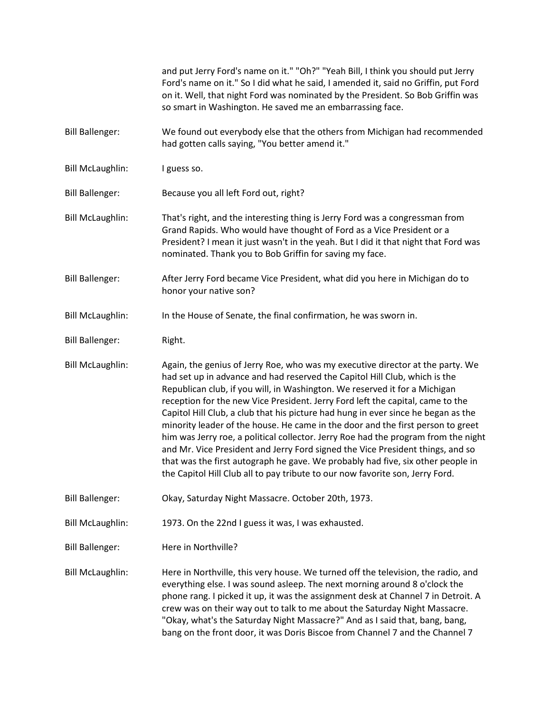|                         | and put Jerry Ford's name on it." "Oh?" "Yeah Bill, I think you should put Jerry<br>Ford's name on it." So I did what he said, I amended it, said no Griffin, put Ford<br>on it. Well, that night Ford was nominated by the President. So Bob Griffin was<br>so smart in Washington. He saved me an embarrassing face.                                                                                                                                                                                                                                                                                                                                                                                                                                                                                                                           |
|-------------------------|--------------------------------------------------------------------------------------------------------------------------------------------------------------------------------------------------------------------------------------------------------------------------------------------------------------------------------------------------------------------------------------------------------------------------------------------------------------------------------------------------------------------------------------------------------------------------------------------------------------------------------------------------------------------------------------------------------------------------------------------------------------------------------------------------------------------------------------------------|
| <b>Bill Ballenger:</b>  | We found out everybody else that the others from Michigan had recommended<br>had gotten calls saying, "You better amend it."                                                                                                                                                                                                                                                                                                                                                                                                                                                                                                                                                                                                                                                                                                                     |
| <b>Bill McLaughlin:</b> | I guess so.                                                                                                                                                                                                                                                                                                                                                                                                                                                                                                                                                                                                                                                                                                                                                                                                                                      |
| <b>Bill Ballenger:</b>  | Because you all left Ford out, right?                                                                                                                                                                                                                                                                                                                                                                                                                                                                                                                                                                                                                                                                                                                                                                                                            |
| <b>Bill McLaughlin:</b> | That's right, and the interesting thing is Jerry Ford was a congressman from<br>Grand Rapids. Who would have thought of Ford as a Vice President or a<br>President? I mean it just wasn't in the yeah. But I did it that night that Ford was<br>nominated. Thank you to Bob Griffin for saving my face.                                                                                                                                                                                                                                                                                                                                                                                                                                                                                                                                          |
| <b>Bill Ballenger:</b>  | After Jerry Ford became Vice President, what did you here in Michigan do to<br>honor your native son?                                                                                                                                                                                                                                                                                                                                                                                                                                                                                                                                                                                                                                                                                                                                            |
| <b>Bill McLaughlin:</b> | In the House of Senate, the final confirmation, he was sworn in.                                                                                                                                                                                                                                                                                                                                                                                                                                                                                                                                                                                                                                                                                                                                                                                 |
| <b>Bill Ballenger:</b>  | Right.                                                                                                                                                                                                                                                                                                                                                                                                                                                                                                                                                                                                                                                                                                                                                                                                                                           |
| <b>Bill McLaughlin:</b> | Again, the genius of Jerry Roe, who was my executive director at the party. We<br>had set up in advance and had reserved the Capitol Hill Club, which is the<br>Republican club, if you will, in Washington. We reserved it for a Michigan<br>reception for the new Vice President. Jerry Ford left the capital, came to the<br>Capitol Hill Club, a club that his picture had hung in ever since he began as the<br>minority leader of the house. He came in the door and the first person to greet<br>him was Jerry roe, a political collector. Jerry Roe had the program from the night<br>and Mr. Vice President and Jerry Ford signed the Vice President things, and so<br>that was the first autograph he gave. We probably had five, six other people in<br>the Capitol Hill Club all to pay tribute to our now favorite son, Jerry Ford. |
| <b>Bill Ballenger:</b>  | Okay, Saturday Night Massacre. October 20th, 1973.                                                                                                                                                                                                                                                                                                                                                                                                                                                                                                                                                                                                                                                                                                                                                                                               |
| <b>Bill McLaughlin:</b> | 1973. On the 22nd I guess it was, I was exhausted.                                                                                                                                                                                                                                                                                                                                                                                                                                                                                                                                                                                                                                                                                                                                                                                               |
| <b>Bill Ballenger:</b>  | Here in Northville?                                                                                                                                                                                                                                                                                                                                                                                                                                                                                                                                                                                                                                                                                                                                                                                                                              |
| <b>Bill McLaughlin:</b> | Here in Northville, this very house. We turned off the television, the radio, and<br>everything else. I was sound asleep. The next morning around 8 o'clock the<br>phone rang. I picked it up, it was the assignment desk at Channel 7 in Detroit. A<br>crew was on their way out to talk to me about the Saturday Night Massacre.<br>"Okay, what's the Saturday Night Massacre?" And as I said that, bang, bang,<br>bang on the front door, it was Doris Biscoe from Channel 7 and the Channel 7                                                                                                                                                                                                                                                                                                                                                |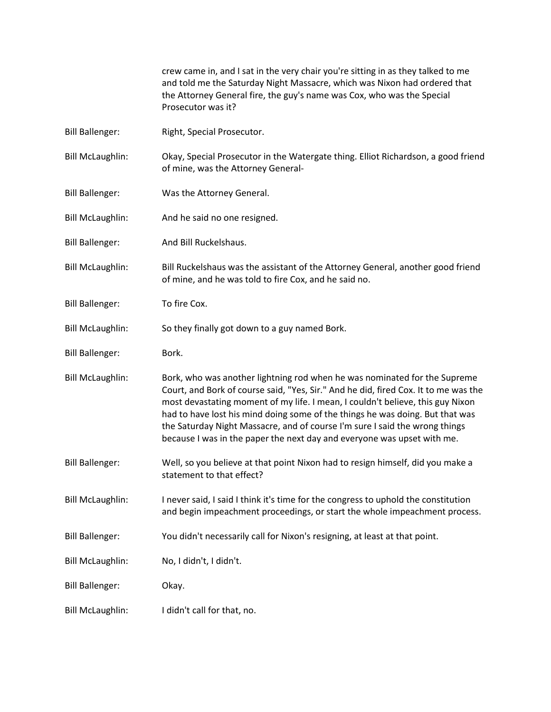crew came in, and I sat in the very chair you're sitting in as they talked to me and told me the Saturday Night Massacre, which was Nixon had ordered that the Attorney General fire, the guy's name was Cox, who was the Special Prosecutor was it?

- Bill Ballenger: Right, Special Prosecutor.
- Bill McLaughlin: Okay, Special Prosecutor in the Watergate thing. Elliot Richardson, a good friend of mine, was the Attorney General-
- Bill Ballenger: Was the Attorney General.
- Bill McLaughlin: And he said no one resigned.
- Bill Ballenger: And Bill Ruckelshaus.
- Bill McLaughlin: Bill Ruckelshaus was the assistant of the Attorney General, another good friend of mine, and he was told to fire Cox, and he said no.
- Bill Ballenger: To fire Cox.
- Bill McLaughlin: So they finally got down to a guy named Bork.
- Bill Ballenger: Bork.
- Bill McLaughlin: Bork, who was another lightning rod when he was nominated for the Supreme Court, and Bork of course said, "Yes, Sir." And he did, fired Cox. It to me was the most devastating moment of my life. I mean, I couldn't believe, this guy Nixon had to have lost his mind doing some of the things he was doing. But that was the Saturday Night Massacre, and of course I'm sure I said the wrong things because I was in the paper the next day and everyone was upset with me.
- Bill Ballenger: Well, so you believe at that point Nixon had to resign himself, did you make a statement to that effect?
- Bill McLaughlin: Inever said, I said I think it's time for the congress to uphold the constitution and begin impeachment proceedings, or start the whole impeachment process.
- Bill Ballenger: You didn't necessarily call for Nixon's resigning, at least at that point.
- Bill McLaughlin: No, I didn't, I didn't.
- Bill Ballenger: Okay.
- Bill McLaughlin: I didn't call for that, no.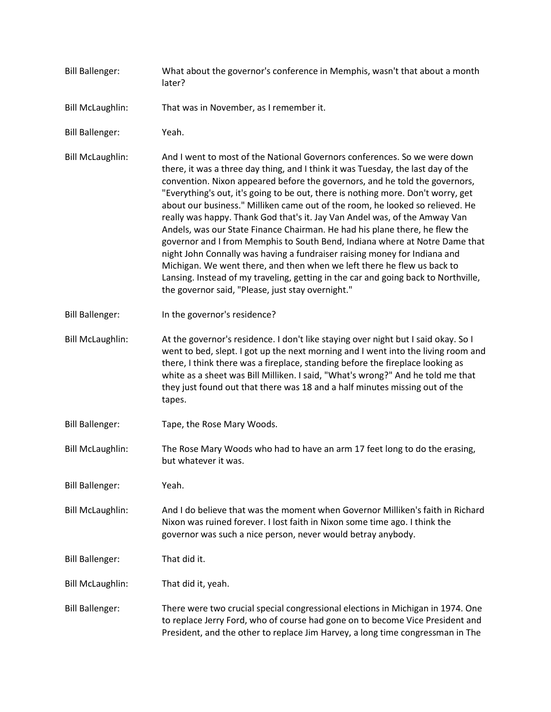- Bill Ballenger: What about the governor's conference in Memphis, wasn't that about a month later?
- Bill McLaughlin: That was in November, as I remember it.
- Bill Ballenger: Yeah.
- Bill McLaughlin: And I went to most of the National Governors conferences. So we were down there, it was a three day thing, and I think it was Tuesday, the last day of the convention. Nixon appeared before the governors, and he told the governors, "Everything's out, it's going to be out, there is nothing more. Don't worry, get about our business." Milliken came out of the room, he looked so relieved. He really was happy. Thank God that's it. Jay Van Andel was, of the Amway Van Andels, was our State Finance Chairman. He had his plane there, he flew the governor and I from Memphis to South Bend, Indiana where at Notre Dame that night John Connally was having a fundraiser raising money for Indiana and Michigan. We went there, and then when we left there he flew us back to Lansing. Instead of my traveling, getting in the car and going back to Northville, the governor said, "Please, just stay overnight."
- Bill Ballenger: In the governor's residence?
- Bill McLaughlin: At the governor's residence. I don't like staying over night but I said okay. So I went to bed, slept. I got up the next morning and I went into the living room and there, I think there was a fireplace, standing before the fireplace looking as white as a sheet was Bill Milliken. I said, "What's wrong?" And he told me that they just found out that there was 18 and a half minutes missing out of the tapes.
- Bill Ballenger: Tape, the Rose Mary Woods.
- Bill McLaughlin: The Rose Mary Woods who had to have an arm 17 feet long to do the erasing, but whatever it was.
- Bill Ballenger: Yeah.
- Bill McLaughlin: And I do believe that was the moment when Governor Milliken's faith in Richard Nixon was ruined forever. I lost faith in Nixon some time ago. I think the governor was such a nice person, never would betray anybody.
- Bill Ballenger: That did it.
- Bill McLaughlin: That did it, yeah.
- Bill Ballenger: There were two crucial special congressional elections in Michigan in 1974. One to replace Jerry Ford, who of course had gone on to become Vice President and President, and the other to replace Jim Harvey, a long time congressman in The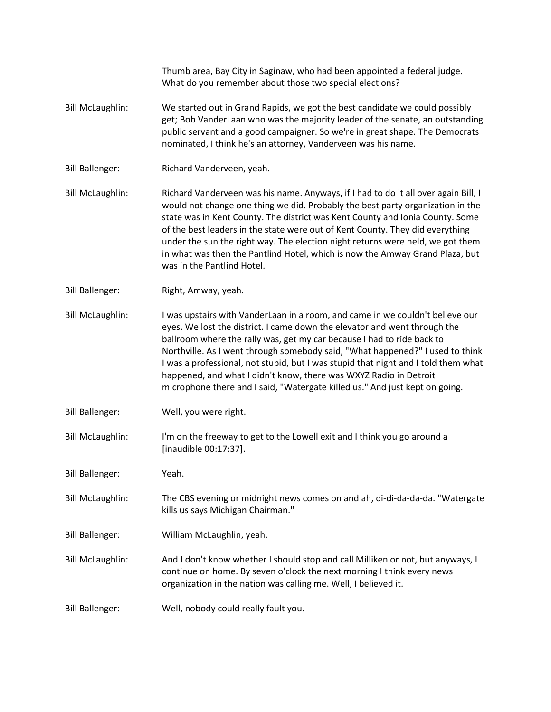Thumb area, Bay City in Saginaw, who had been appointed a federal judge. What do you remember about those two special elections? Bill McLaughlin: We started out in Grand Rapids, we got the best candidate we could possibly get; Bob VanderLaan who was the majority leader of the senate, an outstanding public servant and a good campaigner. So we're in great shape. The Democrats nominated, I think he's an attorney, Vanderveen was his name. Bill Ballenger: Richard Vanderveen, yeah. Bill McLaughlin: Richard Vanderveen was his name. Anyways, if I had to do it all over again Bill, I would not change one thing we did. Probably the best party organization in the state was in Kent County. The district was Kent County and Ionia County. Some of the best leaders in the state were out of Kent County. They did everything under the sun the right way. The election night returns were held, we got them in what was then the Pantlind Hotel, which is now the Amway Grand Plaza, but was in the Pantlind Hotel. Bill Ballenger: Right, Amway, yeah. Bill McLaughlin: I was upstairs with VanderLaan in a room, and came in we couldn't believe our eyes. We lost the district. I came down the elevator and went through the ballroom where the rally was, get my car because I had to ride back to Northville. As I went through somebody said, "What happened?" I used to think I was a professional, not stupid, but I was stupid that night and I told them what happened, and what I didn't know, there was WXYZ Radio in Detroit microphone there and I said, "Watergate killed us." And just kept on going. Bill Ballenger: Well, you were right. Bill McLaughlin: I'm on the freeway to get to the Lowell exit and I think you go around a [inaudible 00:17:37]. Bill Ballenger: Yeah. Bill McLaughlin: The CBS evening or midnight news comes on and ah, di-di-da-da-da. "Watergate kills us says Michigan Chairman." Bill Ballenger: William McLaughlin, yeah. Bill McLaughlin: And I don't know whether I should stop and call Milliken or not, but anyways, I continue on home. By seven o'clock the next morning I think every news organization in the nation was calling me. Well, I believed it. Bill Ballenger: Well, nobody could really fault you.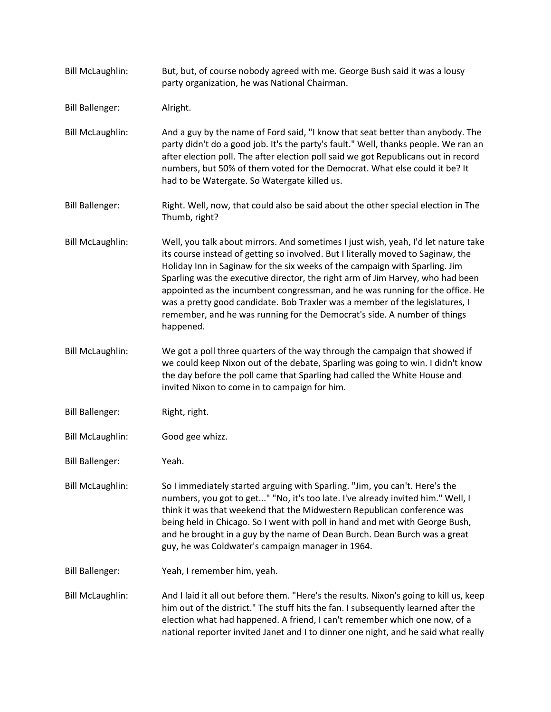Bill McLaughlin: But, but, of course nobody agreed with me. George Bush said it was a lousy party organization, he was National Chairman. Bill Ballenger: Alright. Bill McLaughlin: And a guy by the name of Ford said, "I know that seat better than anybody. The party didn't do a good job. It's the party's fault." Well, thanks people. We ran an after election poll. The after election poll said we got Republicans out in record numbers, but 50% of them voted for the Democrat. What else could it be? It had to be Watergate. So Watergate killed us. Bill Ballenger: Right. Well, now, that could also be said about the other special election in The Thumb, right? Bill McLaughlin: Well, you talk about mirrors. And sometimes I just wish, yeah, I'd let nature take its course instead of getting so involved. But I literally moved to Saginaw, the Holiday Inn in Saginaw for the six weeks of the campaign with Sparling. Jim Sparling was the executive director, the right arm of Jim Harvey, who had been appointed as the incumbent congressman, and he was running for the office. He was a pretty good candidate. Bob Traxler was a member of the legislatures, I remember, and he was running for the Democrat's side. A number of things happened. Bill McLaughlin: We got a poll three quarters of the way through the campaign that showed if we could keep Nixon out of the debate, Sparling was going to win. I didn't know the day before the poll came that Sparling had called the White House and invited Nixon to come in to campaign for him. Bill Ballenger: Right, right. Bill McLaughlin: Good gee whizz. Bill Ballenger: Yeah. Bill McLaughlin: So I immediately started arguing with Sparling. "Jim, you can't. Here's the numbers, you got to get..." "No, it's too late. I've already invited him." Well, I think it was that weekend that the Midwestern Republican conference was being held in Chicago. So I went with poll in hand and met with George Bush, and he brought in a guy by the name of Dean Burch. Dean Burch was a great guy, he was Coldwater's campaign manager in 1964. Bill Ballenger: Yeah, I remember him, yeah. Bill McLaughlin: And I laid it all out before them. "Here's the results. Nixon's going to kill us, keep him out of the district." The stuff hits the fan. I subsequently learned after the election what had happened. A friend, I can't remember which one now, of a national reporter invited Janet and I to dinner one night, and he said what really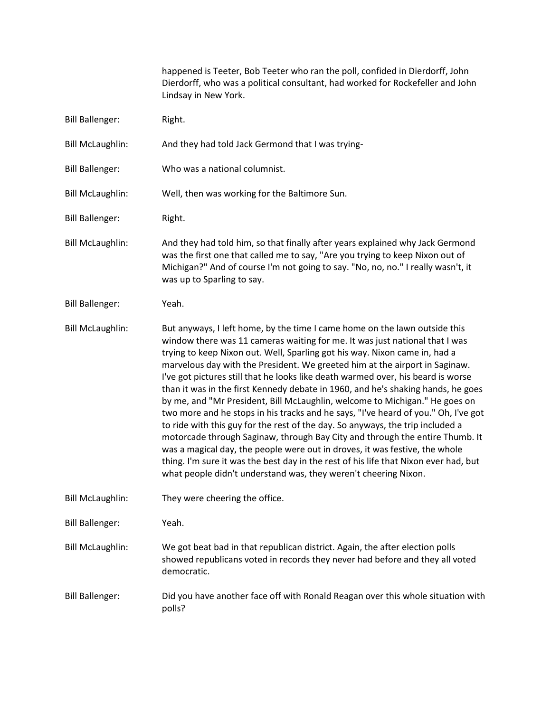happened is Teeter, Bob Teeter who ran the poll, confided in Dierdorff, John Dierdorff, who was a political consultant, had worked for Rockefeller and John Lindsay in New York.

- Bill Ballenger: Right.
- Bill McLaughlin: And they had told Jack Germond that I was trying-
- Bill Ballenger: Who was a national columnist.
- Bill McLaughlin: Well, then was working for the Baltimore Sun.
- Bill Ballenger: Right.
- Bill McLaughlin: And they had told him, so that finally after years explained why Jack Germond was the first one that called me to say, "Are you trying to keep Nixon out of Michigan?" And of course I'm not going to say. "No, no, no." I really wasn't, it was up to Sparling to say.
- Bill Ballenger: Yeah.
- Bill McLaughlin: But anyways, I left home, by the time I came home on the lawn outside this window there was 11 cameras waiting for me. It was just national that I was trying to keep Nixon out. Well, Sparling got his way. Nixon came in, had a marvelous day with the President. We greeted him at the airport in Saginaw. I've got pictures still that he looks like death warmed over, his beard is worse than it was in the first Kennedy debate in 1960, and he's shaking hands, he goes by me, and "Mr President, Bill McLaughlin, welcome to Michigan." He goes on two more and he stops in his tracks and he says, "I've heard of you." Oh, I've got to ride with this guy for the rest of the day. So anyways, the trip included a motorcade through Saginaw, through Bay City and through the entire Thumb. It was a magical day, the people were out in droves, it was festive, the whole thing. I'm sure it was the best day in the rest of his life that Nixon ever had, but what people didn't understand was, they weren't cheering Nixon.
- Bill McLaughlin: They were cheering the office.
- Bill Ballenger: Yeah.
- Bill McLaughlin: We got beat bad in that republican district. Again, the after election polls showed republicans voted in records they never had before and they all voted democratic.
- Bill Ballenger: Did you have another face off with Ronald Reagan over this whole situation with polls?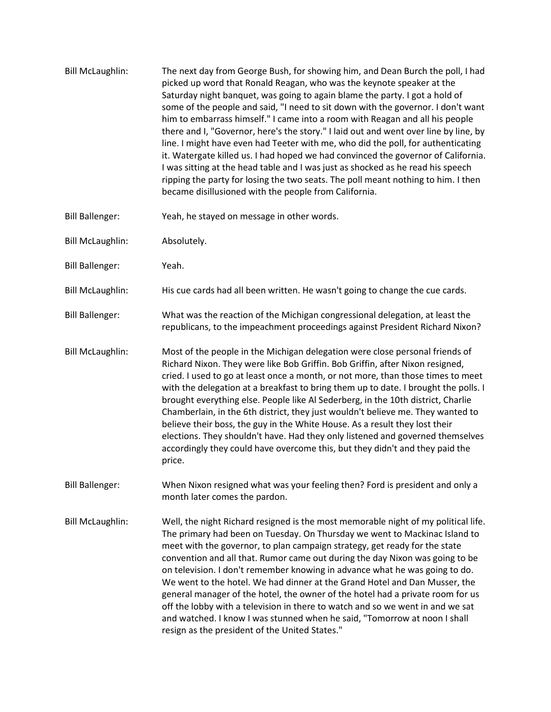- Bill McLaughlin: The next day from George Bush, for showing him, and Dean Burch the poll, I had picked up word that Ronald Reagan, who was the keynote speaker at the Saturday night banquet, was going to again blame the party. I got a hold of some of the people and said, "I need to sit down with the governor. I don't want him to embarrass himself." I came into a room with Reagan and all his people there and I, "Governor, here's the story." I laid out and went over line by line, by line. I might have even had Teeter with me, who did the poll, for authenticating it. Watergate killed us. I had hoped we had convinced the governor of California. I was sitting at the head table and I was just as shocked as he read his speech ripping the party for losing the two seats. The poll meant nothing to him. I then became disillusioned with the people from California.
- Bill Ballenger: Yeah, he stayed on message in other words.
- Bill McLaughlin: Absolutely.
- Bill Ballenger: Yeah.
- Bill McLaughlin: His cue cards had all been written. He wasn't going to change the cue cards.
- Bill Ballenger: What was the reaction of the Michigan congressional delegation, at least the republicans, to the impeachment proceedings against President Richard Nixon?
- Bill McLaughlin: Most of the people in the Michigan delegation were close personal friends of Richard Nixon. They were like Bob Griffin. Bob Griffin, after Nixon resigned, cried. I used to go at least once a month, or not more, than those times to meet with the delegation at a breakfast to bring them up to date. I brought the polls. I brought everything else. People like Al Sederberg, in the 10th district, Charlie Chamberlain, in the 6th district, they just wouldn't believe me. They wanted to believe their boss, the guy in the White House. As a result they lost their elections. They shouldn't have. Had they only listened and governed themselves accordingly they could have overcome this, but they didn't and they paid the price.
- Bill Ballenger: When Nixon resigned what was your feeling then? Ford is president and only a month later comes the pardon.
- Bill McLaughlin: Well, the night Richard resigned is the most memorable night of my political life. The primary had been on Tuesday. On Thursday we went to Mackinac Island to meet with the governor, to plan campaign strategy, get ready for the state convention and all that. Rumor came out during the day Nixon was going to be on television. I don't remember knowing in advance what he was going to do. We went to the hotel. We had dinner at the Grand Hotel and Dan Musser, the general manager of the hotel, the owner of the hotel had a private room for us off the lobby with a television in there to watch and so we went in and we sat and watched. I know I was stunned when he said, "Tomorrow at noon I shall resign as the president of the United States."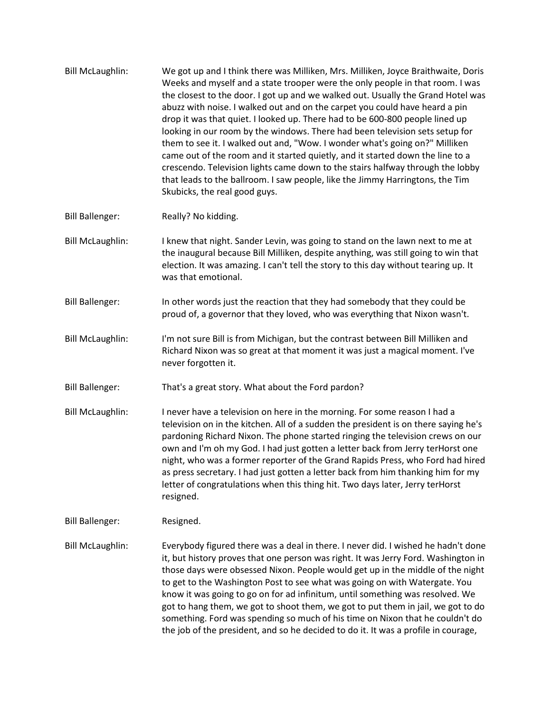- Bill McLaughlin: We got up and I think there was Milliken, Mrs. Milliken, Joyce Braithwaite, Doris Weeks and myself and a state trooper were the only people in that room. I was the closest to the door. I got up and we walked out. Usually the Grand Hotel was abuzz with noise. I walked out and on the carpet you could have heard a pin drop it was that quiet. I looked up. There had to be 600-800 people lined up looking in our room by the windows. There had been television sets setup for them to see it. I walked out and, "Wow. I wonder what's going on?" Milliken came out of the room and it started quietly, and it started down the line to a crescendo. Television lights came down to the stairs halfway through the lobby that leads to the ballroom. I saw people, like the Jimmy Harringtons, the Tim Skubicks, the real good guys.
- Bill Ballenger: Really? No kidding.
- Bill McLaughlin: I knew that night. Sander Levin, was going to stand on the lawn next to me at the inaugural because Bill Milliken, despite anything, was still going to win that election. It was amazing. I can't tell the story to this day without tearing up. It was that emotional.
- Bill Ballenger: In other words just the reaction that they had somebody that they could be proud of, a governor that they loved, who was everything that Nixon wasn't.
- Bill McLaughlin: I'm not sure Bill is from Michigan, but the contrast between Bill Milliken and Richard Nixon was so great at that moment it was just a magical moment. I've never forgotten it.
- Bill Ballenger: That's a great story. What about the Ford pardon?
- Bill McLaughlin: I never have a television on here in the morning. For some reason I had a television on in the kitchen. All of a sudden the president is on there saying he's pardoning Richard Nixon. The phone started ringing the television crews on our own and I'm oh my God. I had just gotten a letter back from Jerry terHorst one night, who was a former reporter of the Grand Rapids Press, who Ford had hired as press secretary. I had just gotten a letter back from him thanking him for my letter of congratulations when this thing hit. Two days later, Jerry terHorst resigned.
- Bill Ballenger: Resigned.
- Bill McLaughlin: Everybody figured there was a deal in there. I never did. I wished he hadn't done it, but history proves that one person was right. It was Jerry Ford. Washington in those days were obsessed Nixon. People would get up in the middle of the night to get to the Washington Post to see what was going on with Watergate. You know it was going to go on for ad infinitum, until something was resolved. We got to hang them, we got to shoot them, we got to put them in jail, we got to do something. Ford was spending so much of his time on Nixon that he couldn't do the job of the president, and so he decided to do it. It was a profile in courage,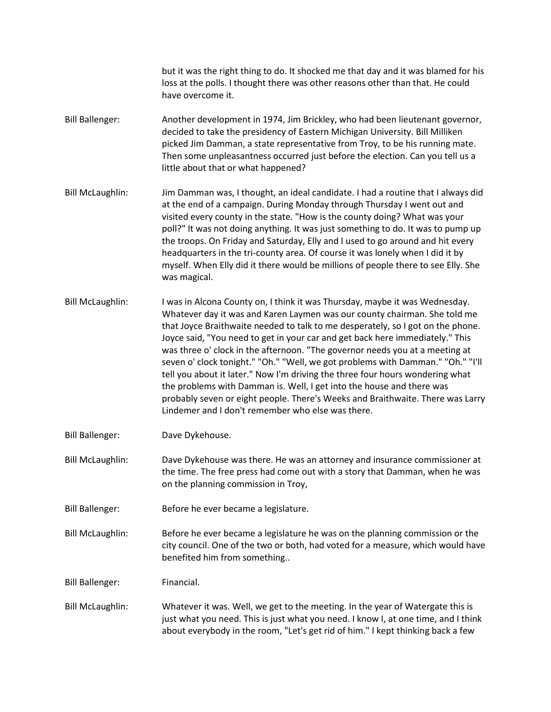but it was the right thing to do. It shocked me that day and it was blamed for his loss at the polls. I thought there was other reasons other than that. He could have overcome it.

- Bill Ballenger: Another development in 1974, Jim Brickley, who had been lieutenant governor, decided to take the presidency of Eastern Michigan University. Bill Milliken picked Jim Damman, a state representative from Troy, to be his running mate. Then some unpleasantness occurred just before the election. Can you tell us a little about that or what happened?
- Bill McLaughlin: Jim Damman was, I thought, an ideal candidate. I had a routine that I always did at the end of a campaign. During Monday through Thursday I went out and visited every county in the state. "How is the county doing? What was your poll?" It was not doing anything. It was just something to do. It was to pump up the troops. On Friday and Saturday, Elly and I used to go around and hit every headquarters in the tri-county area. Of course it was lonely when I did it by myself. When Elly did it there would be millions of people there to see Elly. She was magical.
- Bill McLaughlin: I was in Alcona County on, I think it was Thursday, maybe it was Wednesday. Whatever day it was and Karen Laymen was our county chairman. She told me that Joyce Braithwaite needed to talk to me desperately, so I got on the phone. Joyce said, "You need to get in your car and get back here immediately." This was three o' clock in the afternoon. "The governor needs you at a meeting at seven o' clock tonight." "Oh." "Well, we got problems with Damman." "Oh." "I'll tell you about it later." Now I'm driving the three four hours wondering what the problems with Damman is. Well, I get into the house and there was probably seven or eight people. There's Weeks and Braithwaite. There was Larry Lindemer and I don't remember who else was there.
- Bill Ballenger: Dave Dykehouse.
- Bill McLaughlin: Dave Dykehouse was there. He was an attorney and insurance commissioner at the time. The free press had come out with a story that Damman, when he was on the planning commission in Troy,
- Bill Ballenger: Before he ever became a legislature.
- Bill McLaughlin: Before he ever became a legislature he was on the planning commission or the city council. One of the two or both, had voted for a measure, which would have benefited him from something..

Bill Ballenger: Financial.

Bill McLaughlin: Whatever it was. Well, we get to the meeting. In the year of Watergate this is just what you need. This is just what you need. I know I, at one time, and I think about everybody in the room, "Let's get rid of him." I kept thinking back a few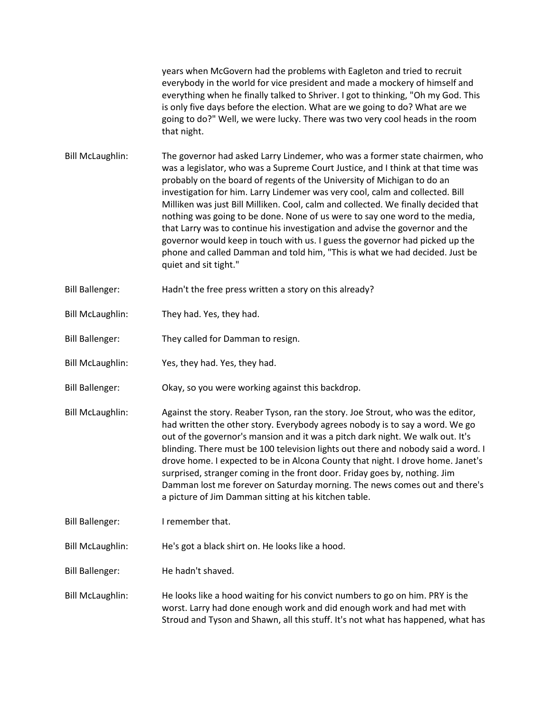years when McGovern had the problems with Eagleton and tried to recruit everybody in the world for vice president and made a mockery of himself and everything when he finally talked to Shriver. I got to thinking, "Oh my God. This is only five days before the election. What are we going to do? What are we going to do?" Well, we were lucky. There was two very cool heads in the room that night.

- Bill McLaughlin: The governor had asked Larry Lindemer, who was a former state chairmen, who was a legislator, who was a Supreme Court Justice, and I think at that time was probably on the board of regents of the University of Michigan to do an investigation for him. Larry Lindemer was very cool, calm and collected. Bill Milliken was just Bill Milliken. Cool, calm and collected. We finally decided that nothing was going to be done. None of us were to say one word to the media, that Larry was to continue his investigation and advise the governor and the governor would keep in touch with us. I guess the governor had picked up the phone and called Damman and told him, "This is what we had decided. Just be quiet and sit tight."
- Bill Ballenger: Hadn't the free press written a story on this already?
- Bill McLaughlin: They had. Yes, they had.
- Bill Ballenger: They called for Damman to resign.
- Bill McLaughlin: Yes, they had. Yes, they had.
- Bill Ballenger: Okay, so you were working against this backdrop.
- Bill McLaughlin: Against the story. Reaber Tyson, ran the story. Joe Strout, who was the editor, had written the other story. Everybody agrees nobody is to say a word. We go out of the governor's mansion and it was a pitch dark night. We walk out. It's blinding. There must be 100 television lights out there and nobody said a word. I drove home. I expected to be in Alcona County that night. I drove home. Janet's surprised, stranger coming in the front door. Friday goes by, nothing. Jim Damman lost me forever on Saturday morning. The news comes out and there's a picture of Jim Damman sitting at his kitchen table.
- Bill Ballenger: I remember that.

Bill McLaughlin: He's got a black shirt on. He looks like a hood.

Bill Ballenger: He hadn't shaved.

Bill McLaughlin: He looks like a hood waiting for his convict numbers to go on him. PRY is the worst. Larry had done enough work and did enough work and had met with Stroud and Tyson and Shawn, all this stuff. It's not what has happened, what has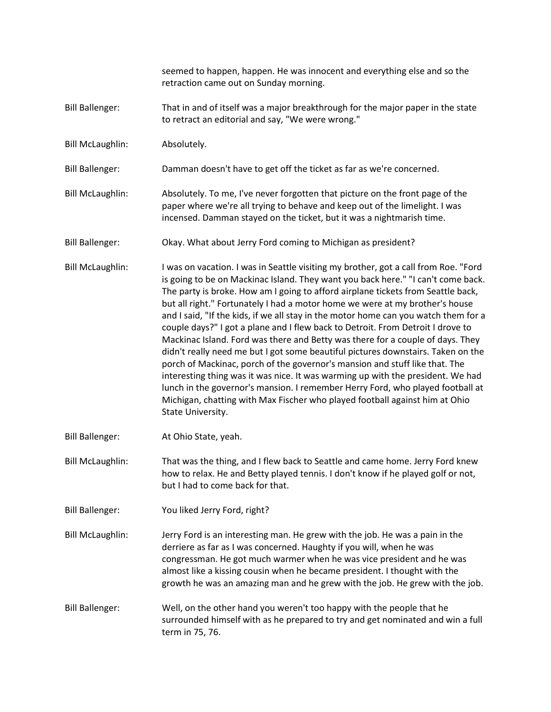|                         | seemed to happen, happen. He was innocent and everything else and so the<br>retraction came out on Sunday morning.                                                                                                                                                                                                                                                                                                                                                                                                                                                                                                                                                                                                                                                                                                                                                                                                                                                                                                                                  |
|-------------------------|-----------------------------------------------------------------------------------------------------------------------------------------------------------------------------------------------------------------------------------------------------------------------------------------------------------------------------------------------------------------------------------------------------------------------------------------------------------------------------------------------------------------------------------------------------------------------------------------------------------------------------------------------------------------------------------------------------------------------------------------------------------------------------------------------------------------------------------------------------------------------------------------------------------------------------------------------------------------------------------------------------------------------------------------------------|
| <b>Bill Ballenger:</b>  | That in and of itself was a major breakthrough for the major paper in the state<br>to retract an editorial and say, "We were wrong."                                                                                                                                                                                                                                                                                                                                                                                                                                                                                                                                                                                                                                                                                                                                                                                                                                                                                                                |
| <b>Bill McLaughlin:</b> | Absolutely.                                                                                                                                                                                                                                                                                                                                                                                                                                                                                                                                                                                                                                                                                                                                                                                                                                                                                                                                                                                                                                         |
| <b>Bill Ballenger:</b>  | Damman doesn't have to get off the ticket as far as we're concerned.                                                                                                                                                                                                                                                                                                                                                                                                                                                                                                                                                                                                                                                                                                                                                                                                                                                                                                                                                                                |
| <b>Bill McLaughlin:</b> | Absolutely. To me, I've never forgotten that picture on the front page of the<br>paper where we're all trying to behave and keep out of the limelight. I was<br>incensed. Damman stayed on the ticket, but it was a nightmarish time.                                                                                                                                                                                                                                                                                                                                                                                                                                                                                                                                                                                                                                                                                                                                                                                                               |
| <b>Bill Ballenger:</b>  | Okay. What about Jerry Ford coming to Michigan as president?                                                                                                                                                                                                                                                                                                                                                                                                                                                                                                                                                                                                                                                                                                                                                                                                                                                                                                                                                                                        |
| <b>Bill McLaughlin:</b> | I was on vacation. I was in Seattle visiting my brother, got a call from Roe. "Ford<br>is going to be on Mackinac Island. They want you back here." "I can't come back.<br>The party is broke. How am I going to afford airplane tickets from Seattle back,<br>but all right." Fortunately I had a motor home we were at my brother's house<br>and I said, "If the kids, if we all stay in the motor home can you watch them for a<br>couple days?" I got a plane and I flew back to Detroit. From Detroit I drove to<br>Mackinac Island. Ford was there and Betty was there for a couple of days. They<br>didn't really need me but I got some beautiful pictures downstairs. Taken on the<br>porch of Mackinac, porch of the governor's mansion and stuff like that. The<br>interesting thing was it was nice. It was warming up with the president. We had<br>lunch in the governor's mansion. I remember Herry Ford, who played football at<br>Michigan, chatting with Max Fischer who played football against him at Ohio<br>State University. |
| <b>Bill Ballenger:</b>  | At Ohio State, yeah.                                                                                                                                                                                                                                                                                                                                                                                                                                                                                                                                                                                                                                                                                                                                                                                                                                                                                                                                                                                                                                |
| <b>Bill McLaughlin:</b> | That was the thing, and I flew back to Seattle and came home. Jerry Ford knew<br>how to relax. He and Betty played tennis. I don't know if he played golf or not,<br>but I had to come back for that.                                                                                                                                                                                                                                                                                                                                                                                                                                                                                                                                                                                                                                                                                                                                                                                                                                               |
| <b>Bill Ballenger:</b>  | You liked Jerry Ford, right?                                                                                                                                                                                                                                                                                                                                                                                                                                                                                                                                                                                                                                                                                                                                                                                                                                                                                                                                                                                                                        |
| <b>Bill McLaughlin:</b> | Jerry Ford is an interesting man. He grew with the job. He was a pain in the<br>derriere as far as I was concerned. Haughty if you will, when he was<br>congressman. He got much warmer when he was vice president and he was<br>almost like a kissing cousin when he became president. I thought with the<br>growth he was an amazing man and he grew with the job. He grew with the job.                                                                                                                                                                                                                                                                                                                                                                                                                                                                                                                                                                                                                                                          |
| <b>Bill Ballenger:</b>  | Well, on the other hand you weren't too happy with the people that he<br>surrounded himself with as he prepared to try and get nominated and win a full<br>term in 75, 76.                                                                                                                                                                                                                                                                                                                                                                                                                                                                                                                                                                                                                                                                                                                                                                                                                                                                          |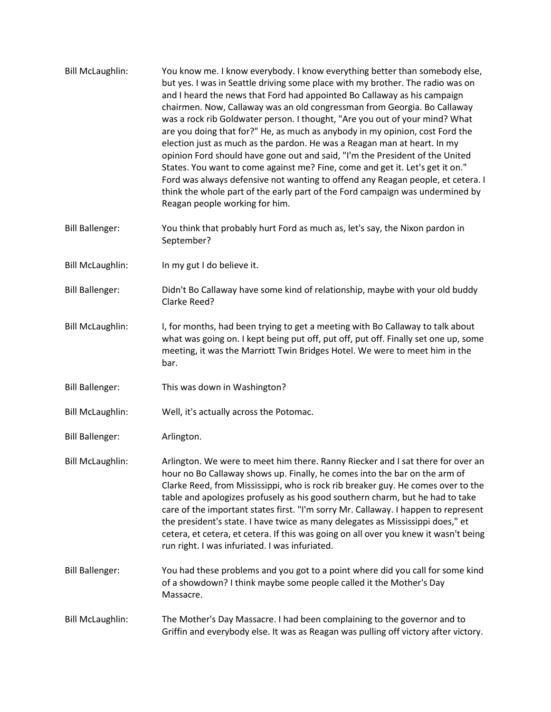| <b>Bill McLaughlin:</b> | You know me. I know everybody. I know everything better than somebody else,<br>but yes. I was in Seattle driving some place with my brother. The radio was on<br>and I heard the news that Ford had appointed Bo Callaway as his campaign<br>chairmen. Now, Callaway was an old congressman from Georgia. Bo Callaway<br>was a rock rib Goldwater person. I thought, "Are you out of your mind? What<br>are you doing that for?" He, as much as anybody in my opinion, cost Ford the<br>election just as much as the pardon. He was a Reagan man at heart. In my<br>opinion Ford should have gone out and said, "I'm the President of the United<br>States. You want to come against me? Fine, come and get it. Let's get it on."<br>Ford was always defensive not wanting to offend any Reagan people, et cetera. I<br>think the whole part of the early part of the Ford campaign was undermined by<br>Reagan people working for him. |
|-------------------------|-----------------------------------------------------------------------------------------------------------------------------------------------------------------------------------------------------------------------------------------------------------------------------------------------------------------------------------------------------------------------------------------------------------------------------------------------------------------------------------------------------------------------------------------------------------------------------------------------------------------------------------------------------------------------------------------------------------------------------------------------------------------------------------------------------------------------------------------------------------------------------------------------------------------------------------------|
| <b>Bill Ballenger:</b>  | You think that probably hurt Ford as much as, let's say, the Nixon pardon in<br>September?                                                                                                                                                                                                                                                                                                                                                                                                                                                                                                                                                                                                                                                                                                                                                                                                                                              |
| <b>Bill McLaughlin:</b> | In my gut I do believe it.                                                                                                                                                                                                                                                                                                                                                                                                                                                                                                                                                                                                                                                                                                                                                                                                                                                                                                              |
| <b>Bill Ballenger:</b>  | Didn't Bo Callaway have some kind of relationship, maybe with your old buddy<br>Clarke Reed?                                                                                                                                                                                                                                                                                                                                                                                                                                                                                                                                                                                                                                                                                                                                                                                                                                            |
| <b>Bill McLaughlin:</b> | I, for months, had been trying to get a meeting with Bo Callaway to talk about<br>what was going on. I kept being put off, put off, put off. Finally set one up, some<br>meeting, it was the Marriott Twin Bridges Hotel. We were to meet him in the<br>bar.                                                                                                                                                                                                                                                                                                                                                                                                                                                                                                                                                                                                                                                                            |
| <b>Bill Ballenger:</b>  | This was down in Washington?                                                                                                                                                                                                                                                                                                                                                                                                                                                                                                                                                                                                                                                                                                                                                                                                                                                                                                            |
| <b>Bill McLaughlin:</b> | Well, it's actually across the Potomac.                                                                                                                                                                                                                                                                                                                                                                                                                                                                                                                                                                                                                                                                                                                                                                                                                                                                                                 |
| <b>Bill Ballenger:</b>  | Arlington.                                                                                                                                                                                                                                                                                                                                                                                                                                                                                                                                                                                                                                                                                                                                                                                                                                                                                                                              |
| <b>Bill McLaughlin:</b> | Arlington. We were to meet him there. Ranny Riecker and I sat there for over an<br>hour no Bo Callaway shows up. Finally, he comes into the bar on the arm of<br>Clarke Reed, from Mississippi, who is rock rib breaker guy. He comes over to the<br>table and apologizes profusely as his good southern charm, but he had to take<br>care of the important states first. "I'm sorry Mr. Callaway. I happen to represent<br>the president's state. I have twice as many delegates as Mississippi does," et<br>cetera, et cetera, et cetera. If this was going on all over you knew it wasn't being<br>run right. I was infuriated. I was infuriated.                                                                                                                                                                                                                                                                                    |
| <b>Bill Ballenger:</b>  | You had these problems and you got to a point where did you call for some kind<br>of a showdown? I think maybe some people called it the Mother's Day<br>Massacre.                                                                                                                                                                                                                                                                                                                                                                                                                                                                                                                                                                                                                                                                                                                                                                      |
| <b>Bill McLaughlin:</b> | The Mother's Day Massacre. I had been complaining to the governor and to<br>Griffin and everybody else. It was as Reagan was pulling off victory after victory.                                                                                                                                                                                                                                                                                                                                                                                                                                                                                                                                                                                                                                                                                                                                                                         |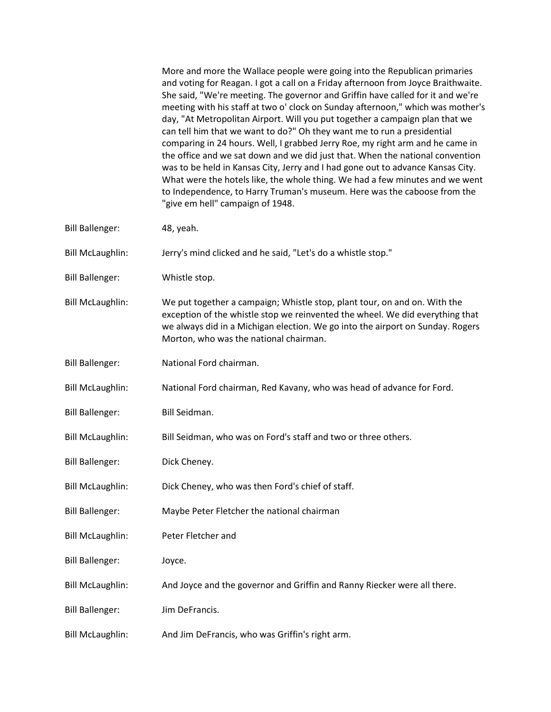More and more the Wallace people were going into the Republican primaries and voting for Reagan. I got a call on a Friday afternoon from Joyce Braithwaite. She said, "We're meeting. The governor and Griffin have called for it and we're meeting with his staff at two o' clock on Sunday afternoon," which was mother's day, "At Metropolitan Airport. Will you put together a campaign plan that we can tell him that we want to do?" Oh they want me to run a presidential comparing in 24 hours. Well, I grabbed Jerry Roe, my right arm and he came in the office and we sat down and we did just that. When the national convention was to be held in Kansas City, Jerry and I had gone out to advance Kansas City. What were the hotels like, the whole thing. We had a few minutes and we went to Independence, to Harry Truman's museum. Here was the caboose from the "give em hell" campaign of 1948.

- Bill Ballenger: 48, yeah.
- Bill McLaughlin: Jerry's mind clicked and he said, "Let's do a whistle stop."
- Bill Ballenger: Whistle stop.
- Bill McLaughlin: We put together a campaign; Whistle stop, plant tour, on and on. With the exception of the whistle stop we reinvented the wheel. We did everything that we always did in a Michigan election. We go into the airport on Sunday. Rogers Morton, who was the national chairman.
- Bill Ballenger: National Ford chairman.
- Bill McLaughlin: National Ford chairman, Red Kavany, who was head of advance for Ford.
- Bill Ballenger: Bill Seidman.
- Bill McLaughlin: Bill Seidman, who was on Ford's staff and two or three others.
- Bill Ballenger: Dick Cheney.
- Bill McLaughlin: Dick Cheney, who was then Ford's chief of staff.
- Bill Ballenger: Maybe Peter Fletcher the national chairman
- Bill McLaughlin: Peter Fletcher and
- Bill Ballenger: Joyce.
- Bill McLaughlin: And Joyce and the governor and Griffin and Ranny Riecker were all there.
- Bill Ballenger: Jim DeFrancis.
- Bill McLaughlin: And Jim DeFrancis, who was Griffin's right arm.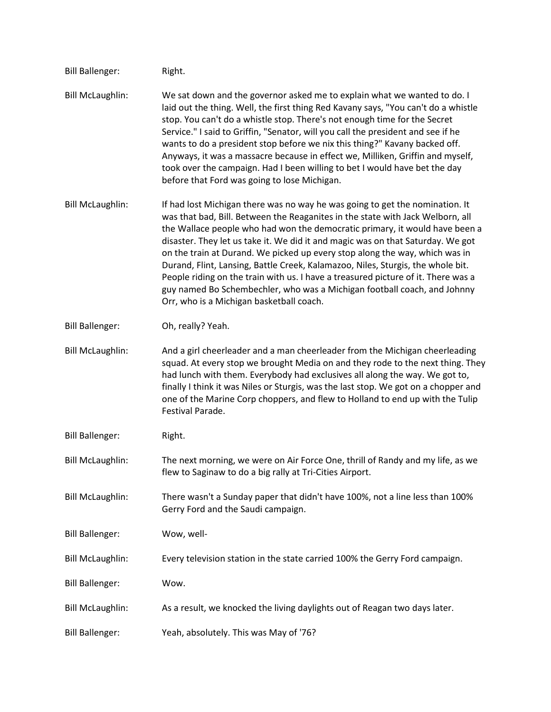| <b>Bill Ballenger:</b>  | Right.                                                                                                                                                                                                                                                                                                                                                                                                                                                                                                                                                                                                                                                                                                          |
|-------------------------|-----------------------------------------------------------------------------------------------------------------------------------------------------------------------------------------------------------------------------------------------------------------------------------------------------------------------------------------------------------------------------------------------------------------------------------------------------------------------------------------------------------------------------------------------------------------------------------------------------------------------------------------------------------------------------------------------------------------|
| <b>Bill McLaughlin:</b> | We sat down and the governor asked me to explain what we wanted to do. I<br>laid out the thing. Well, the first thing Red Kavany says, "You can't do a whistle<br>stop. You can't do a whistle stop. There's not enough time for the Secret<br>Service." I said to Griffin, "Senator, will you call the president and see if he<br>wants to do a president stop before we nix this thing?" Kavany backed off.<br>Anyways, it was a massacre because in effect we, Milliken, Griffin and myself,<br>took over the campaign. Had I been willing to bet I would have bet the day<br>before that Ford was going to lose Michigan.                                                                                   |
| <b>Bill McLaughlin:</b> | If had lost Michigan there was no way he was going to get the nomination. It<br>was that bad, Bill. Between the Reaganites in the state with Jack Welborn, all<br>the Wallace people who had won the democratic primary, it would have been a<br>disaster. They let us take it. We did it and magic was on that Saturday. We got<br>on the train at Durand. We picked up every stop along the way, which was in<br>Durand, Flint, Lansing, Battle Creek, Kalamazoo, Niles, Sturgis, the whole bit.<br>People riding on the train with us. I have a treasured picture of it. There was a<br>guy named Bo Schembechler, who was a Michigan football coach, and Johnny<br>Orr, who is a Michigan basketball coach. |
| <b>Bill Ballenger:</b>  | Oh, really? Yeah.                                                                                                                                                                                                                                                                                                                                                                                                                                                                                                                                                                                                                                                                                               |
| <b>Bill McLaughlin:</b> | And a girl cheerleader and a man cheerleader from the Michigan cheerleading<br>squad. At every stop we brought Media on and they rode to the next thing. They<br>had lunch with them. Everybody had exclusives all along the way. We got to,<br>finally I think it was Niles or Sturgis, was the last stop. We got on a chopper and<br>one of the Marine Corp choppers, and flew to Holland to end up with the Tulip<br>Festival Parade.                                                                                                                                                                                                                                                                        |
| <b>Bill Ballenger:</b>  | Right.                                                                                                                                                                                                                                                                                                                                                                                                                                                                                                                                                                                                                                                                                                          |
| <b>Bill McLaughlin:</b> | The next morning, we were on Air Force One, thrill of Randy and my life, as we<br>flew to Saginaw to do a big rally at Tri-Cities Airport.                                                                                                                                                                                                                                                                                                                                                                                                                                                                                                                                                                      |
| <b>Bill McLaughlin:</b> | There wasn't a Sunday paper that didn't have 100%, not a line less than 100%<br>Gerry Ford and the Saudi campaign.                                                                                                                                                                                                                                                                                                                                                                                                                                                                                                                                                                                              |
| <b>Bill Ballenger:</b>  | Wow, well-                                                                                                                                                                                                                                                                                                                                                                                                                                                                                                                                                                                                                                                                                                      |
| <b>Bill McLaughlin:</b> | Every television station in the state carried 100% the Gerry Ford campaign.                                                                                                                                                                                                                                                                                                                                                                                                                                                                                                                                                                                                                                     |
| <b>Bill Ballenger:</b>  | Wow.                                                                                                                                                                                                                                                                                                                                                                                                                                                                                                                                                                                                                                                                                                            |
| <b>Bill McLaughlin:</b> | As a result, we knocked the living daylights out of Reagan two days later.                                                                                                                                                                                                                                                                                                                                                                                                                                                                                                                                                                                                                                      |
| <b>Bill Ballenger:</b>  | Yeah, absolutely. This was May of '76?                                                                                                                                                                                                                                                                                                                                                                                                                                                                                                                                                                                                                                                                          |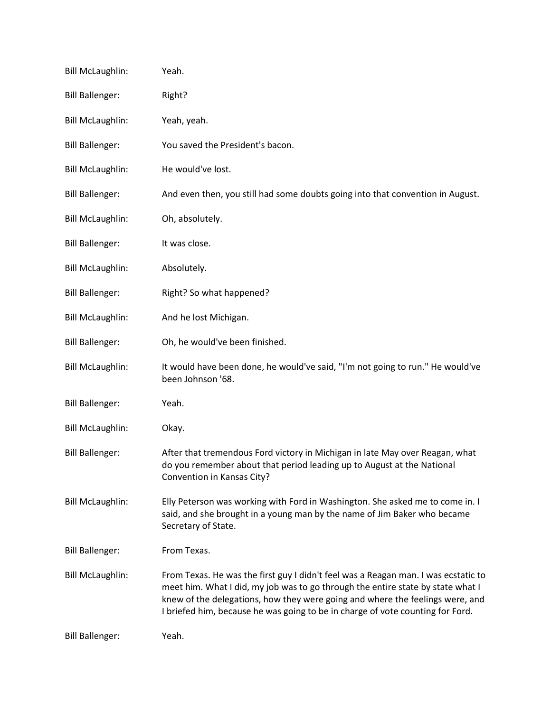| <b>Bill McLaughlin:</b> | Yeah.                                                                                                                                                                                                                                                                                                                                    |
|-------------------------|------------------------------------------------------------------------------------------------------------------------------------------------------------------------------------------------------------------------------------------------------------------------------------------------------------------------------------------|
| <b>Bill Ballenger:</b>  | Right?                                                                                                                                                                                                                                                                                                                                   |
| <b>Bill McLaughlin:</b> | Yeah, yeah.                                                                                                                                                                                                                                                                                                                              |
| <b>Bill Ballenger:</b>  | You saved the President's bacon.                                                                                                                                                                                                                                                                                                         |
| <b>Bill McLaughlin:</b> | He would've lost.                                                                                                                                                                                                                                                                                                                        |
| <b>Bill Ballenger:</b>  | And even then, you still had some doubts going into that convention in August.                                                                                                                                                                                                                                                           |
| <b>Bill McLaughlin:</b> | Oh, absolutely.                                                                                                                                                                                                                                                                                                                          |
| <b>Bill Ballenger:</b>  | It was close.                                                                                                                                                                                                                                                                                                                            |
| <b>Bill McLaughlin:</b> | Absolutely.                                                                                                                                                                                                                                                                                                                              |
| <b>Bill Ballenger:</b>  | Right? So what happened?                                                                                                                                                                                                                                                                                                                 |
| <b>Bill McLaughlin:</b> | And he lost Michigan.                                                                                                                                                                                                                                                                                                                    |
| <b>Bill Ballenger:</b>  | Oh, he would've been finished.                                                                                                                                                                                                                                                                                                           |
| <b>Bill McLaughlin:</b> | It would have been done, he would've said, "I'm not going to run." He would've<br>been Johnson '68.                                                                                                                                                                                                                                      |
| <b>Bill Ballenger:</b>  | Yeah.                                                                                                                                                                                                                                                                                                                                    |
| <b>Bill McLaughlin:</b> | Okay.                                                                                                                                                                                                                                                                                                                                    |
| <b>Bill Ballenger:</b>  | After that tremendous Ford victory in Michigan in late May over Reagan, what<br>do you remember about that period leading up to August at the National<br>Convention in Kansas City?                                                                                                                                                     |
| <b>Bill McLaughlin:</b> | Elly Peterson was working with Ford in Washington. She asked me to come in. I<br>said, and she brought in a young man by the name of Jim Baker who became<br>Secretary of State.                                                                                                                                                         |
| <b>Bill Ballenger:</b>  | From Texas.                                                                                                                                                                                                                                                                                                                              |
| <b>Bill McLaughlin:</b> | From Texas. He was the first guy I didn't feel was a Reagan man. I was ecstatic to<br>meet him. What I did, my job was to go through the entire state by state what I<br>knew of the delegations, how they were going and where the feelings were, and<br>I briefed him, because he was going to be in charge of vote counting for Ford. |
| <b>Bill Ballenger:</b>  | Yeah.                                                                                                                                                                                                                                                                                                                                    |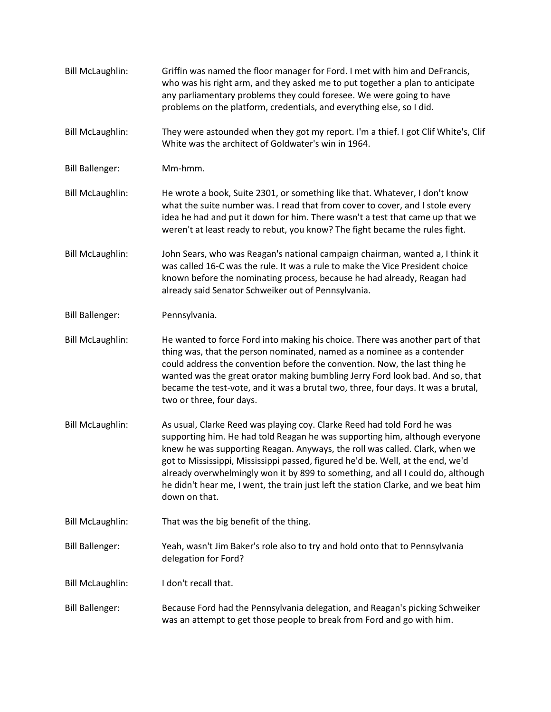Bill McLaughlin: Griffin was named the floor manager for Ford. I met with him and DeFrancis, who was his right arm, and they asked me to put together a plan to anticipate any parliamentary problems they could foresee. We were going to have problems on the platform, credentials, and everything else, so I did. Bill McLaughlin: They were astounded when they got my report. I'm a thief. I got Clif White's, Clif White was the architect of Goldwater's win in 1964. Bill Ballenger: Mm-hmm. Bill McLaughlin: He wrote a book, Suite 2301, or something like that. Whatever, I don't know what the suite number was. I read that from cover to cover, and I stole every idea he had and put it down for him. There wasn't a test that came up that we weren't at least ready to rebut, you know? The fight became the rules fight. Bill McLaughlin: John Sears, who was Reagan's national campaign chairman, wanted a, I think it was called 16-C was the rule. It was a rule to make the Vice President choice known before the nominating process, because he had already, Reagan had already said Senator Schweiker out of Pennsylvania. Bill Ballenger: Pennsylvania. Bill McLaughlin: He wanted to force Ford into making his choice. There was another part of that thing was, that the person nominated, named as a nominee as a contender could address the convention before the convention. Now, the last thing he wanted was the great orator making bumbling Jerry Ford look bad. And so, that became the test-vote, and it was a brutal two, three, four days. It was a brutal, two or three, four days. Bill McLaughlin: As usual, Clarke Reed was playing coy. Clarke Reed had told Ford he was supporting him. He had told Reagan he was supporting him, although everyone knew he was supporting Reagan. Anyways, the roll was called. Clark, when we got to Mississippi, Mississippi passed, figured he'd be. Well, at the end, we'd already overwhelmingly won it by 899 to something, and all I could do, although he didn't hear me, I went, the train just left the station Clarke, and we beat him down on that. Bill McLaughlin: That was the big benefit of the thing. Bill Ballenger: Yeah, wasn't Jim Baker's role also to try and hold onto that to Pennsylvania delegation for Ford? Bill McLaughlin: I don't recall that. Bill Ballenger: Because Ford had the Pennsylvania delegation, and Reagan's picking Schweiker was an attempt to get those people to break from Ford and go with him.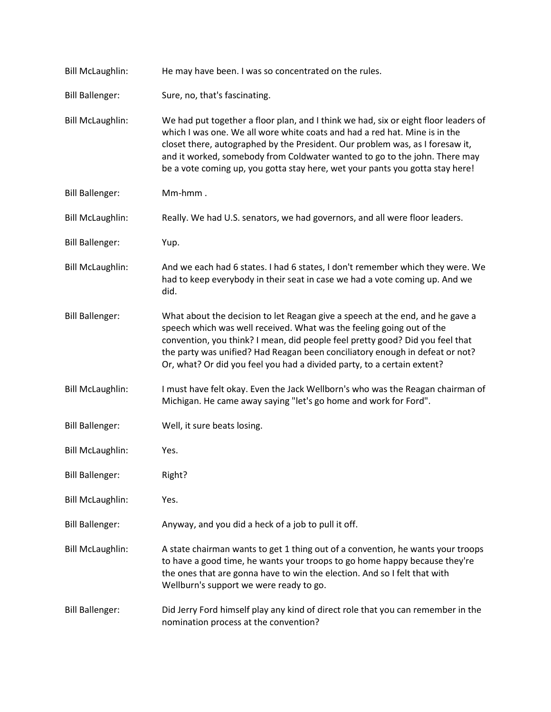| <b>Bill McLaughlin:</b> | He may have been. I was so concentrated on the rules.                                                                                                                                                                                                                                                                                                                                                             |
|-------------------------|-------------------------------------------------------------------------------------------------------------------------------------------------------------------------------------------------------------------------------------------------------------------------------------------------------------------------------------------------------------------------------------------------------------------|
| <b>Bill Ballenger:</b>  | Sure, no, that's fascinating.                                                                                                                                                                                                                                                                                                                                                                                     |
| <b>Bill McLaughlin:</b> | We had put together a floor plan, and I think we had, six or eight floor leaders of<br>which I was one. We all wore white coats and had a red hat. Mine is in the<br>closet there, autographed by the President. Our problem was, as I foresaw it,<br>and it worked, somebody from Coldwater wanted to go to the john. There may<br>be a vote coming up, you gotta stay here, wet your pants you gotta stay here! |
| <b>Bill Ballenger:</b>  | Mm-hmm.                                                                                                                                                                                                                                                                                                                                                                                                           |
| <b>Bill McLaughlin:</b> | Really. We had U.S. senators, we had governors, and all were floor leaders.                                                                                                                                                                                                                                                                                                                                       |
| <b>Bill Ballenger:</b>  | Yup.                                                                                                                                                                                                                                                                                                                                                                                                              |
| <b>Bill McLaughlin:</b> | And we each had 6 states. I had 6 states, I don't remember which they were. We<br>had to keep everybody in their seat in case we had a vote coming up. And we<br>did.                                                                                                                                                                                                                                             |
| <b>Bill Ballenger:</b>  | What about the decision to let Reagan give a speech at the end, and he gave a<br>speech which was well received. What was the feeling going out of the<br>convention, you think? I mean, did people feel pretty good? Did you feel that<br>the party was unified? Had Reagan been conciliatory enough in defeat or not?<br>Or, what? Or did you feel you had a divided party, to a certain extent?                |
| <b>Bill McLaughlin:</b> | I must have felt okay. Even the Jack Wellborn's who was the Reagan chairman of<br>Michigan. He came away saying "let's go home and work for Ford".                                                                                                                                                                                                                                                                |
| <b>Bill Ballenger:</b>  | Well, it sure beats losing.                                                                                                                                                                                                                                                                                                                                                                                       |
| <b>Bill McLaughlin:</b> | Yes.                                                                                                                                                                                                                                                                                                                                                                                                              |
| <b>Bill Ballenger:</b>  | Right?                                                                                                                                                                                                                                                                                                                                                                                                            |
| <b>Bill McLaughlin:</b> | Yes.                                                                                                                                                                                                                                                                                                                                                                                                              |
| <b>Bill Ballenger:</b>  | Anyway, and you did a heck of a job to pull it off.                                                                                                                                                                                                                                                                                                                                                               |
| <b>Bill McLaughlin:</b> | A state chairman wants to get 1 thing out of a convention, he wants your troops<br>to have a good time, he wants your troops to go home happy because they're<br>the ones that are gonna have to win the election. And so I felt that with<br>Wellburn's support we were ready to go.                                                                                                                             |
| <b>Bill Ballenger:</b>  | Did Jerry Ford himself play any kind of direct role that you can remember in the<br>nomination process at the convention?                                                                                                                                                                                                                                                                                         |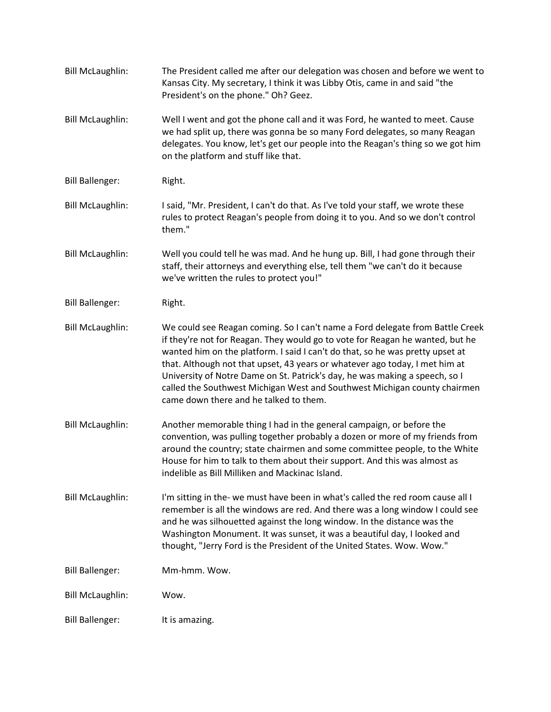| <b>Bill McLaughlin:</b> | The President called me after our delegation was chosen and before we went to<br>Kansas City. My secretary, I think it was Libby Otis, came in and said "the<br>President's on the phone." Oh? Geez.                                                                                                                                                                                                                                                                                                                                 |
|-------------------------|--------------------------------------------------------------------------------------------------------------------------------------------------------------------------------------------------------------------------------------------------------------------------------------------------------------------------------------------------------------------------------------------------------------------------------------------------------------------------------------------------------------------------------------|
| <b>Bill McLaughlin:</b> | Well I went and got the phone call and it was Ford, he wanted to meet. Cause<br>we had split up, there was gonna be so many Ford delegates, so many Reagan<br>delegates. You know, let's get our people into the Reagan's thing so we got him<br>on the platform and stuff like that.                                                                                                                                                                                                                                                |
| <b>Bill Ballenger:</b>  | Right.                                                                                                                                                                                                                                                                                                                                                                                                                                                                                                                               |
| <b>Bill McLaughlin:</b> | I said, "Mr. President, I can't do that. As I've told your staff, we wrote these<br>rules to protect Reagan's people from doing it to you. And so we don't control<br>them."                                                                                                                                                                                                                                                                                                                                                         |
| <b>Bill McLaughlin:</b> | Well you could tell he was mad. And he hung up. Bill, I had gone through their<br>staff, their attorneys and everything else, tell them "we can't do it because<br>we've written the rules to protect you!"                                                                                                                                                                                                                                                                                                                          |
| <b>Bill Ballenger:</b>  | Right.                                                                                                                                                                                                                                                                                                                                                                                                                                                                                                                               |
| <b>Bill McLaughlin:</b> | We could see Reagan coming. So I can't name a Ford delegate from Battle Creek<br>if they're not for Reagan. They would go to vote for Reagan he wanted, but he<br>wanted him on the platform. I said I can't do that, so he was pretty upset at<br>that. Although not that upset, 43 years or whatever ago today, I met him at<br>University of Notre Dame on St. Patrick's day, he was making a speech, so I<br>called the Southwest Michigan West and Southwest Michigan county chairmen<br>came down there and he talked to them. |
| <b>Bill McLaughlin:</b> | Another memorable thing I had in the general campaign, or before the<br>convention, was pulling together probably a dozen or more of my friends from<br>around the country; state chairmen and some committee people, to the White<br>House for him to talk to them about their support. And this was almost as<br>indelible as Bill Milliken and Mackinac Island.                                                                                                                                                                   |
| <b>Bill McLaughlin:</b> | I'm sitting in the- we must have been in what's called the red room cause all I<br>remember is all the windows are red. And there was a long window I could see<br>and he was silhouetted against the long window. In the distance was the<br>Washington Monument. It was sunset, it was a beautiful day, I looked and<br>thought, "Jerry Ford is the President of the United States. Wow. Wow."                                                                                                                                     |
| <b>Bill Ballenger:</b>  | Mm-hmm. Wow.                                                                                                                                                                                                                                                                                                                                                                                                                                                                                                                         |
| <b>Bill McLaughlin:</b> | Wow.                                                                                                                                                                                                                                                                                                                                                                                                                                                                                                                                 |
| <b>Bill Ballenger:</b>  | It is amazing.                                                                                                                                                                                                                                                                                                                                                                                                                                                                                                                       |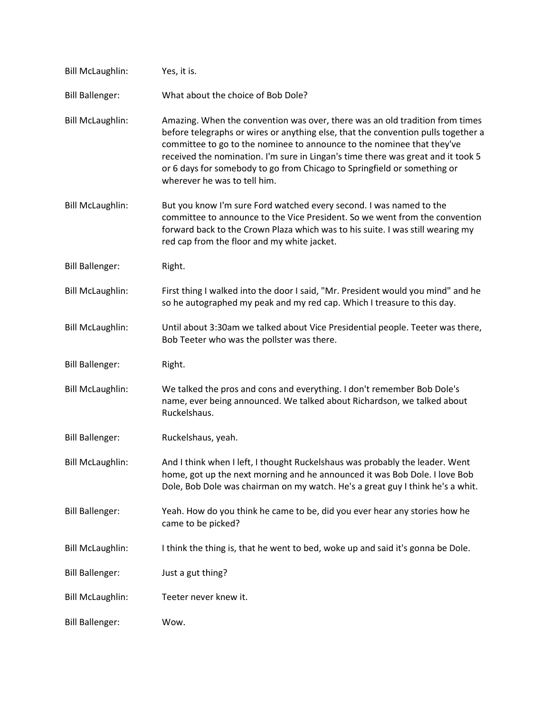| <b>Bill McLaughlin:</b> | Yes, it is.                                                                                                                                                                                                                                                                                                                                                                                                                                 |
|-------------------------|---------------------------------------------------------------------------------------------------------------------------------------------------------------------------------------------------------------------------------------------------------------------------------------------------------------------------------------------------------------------------------------------------------------------------------------------|
| <b>Bill Ballenger:</b>  | What about the choice of Bob Dole?                                                                                                                                                                                                                                                                                                                                                                                                          |
| <b>Bill McLaughlin:</b> | Amazing. When the convention was over, there was an old tradition from times<br>before telegraphs or wires or anything else, that the convention pulls together a<br>committee to go to the nominee to announce to the nominee that they've<br>received the nomination. I'm sure in Lingan's time there was great and it took 5<br>or 6 days for somebody to go from Chicago to Springfield or something or<br>wherever he was to tell him. |
| <b>Bill McLaughlin:</b> | But you know I'm sure Ford watched every second. I was named to the<br>committee to announce to the Vice President. So we went from the convention<br>forward back to the Crown Plaza which was to his suite. I was still wearing my<br>red cap from the floor and my white jacket.                                                                                                                                                         |
| <b>Bill Ballenger:</b>  | Right.                                                                                                                                                                                                                                                                                                                                                                                                                                      |
| <b>Bill McLaughlin:</b> | First thing I walked into the door I said, "Mr. President would you mind" and he<br>so he autographed my peak and my red cap. Which I treasure to this day.                                                                                                                                                                                                                                                                                 |
| <b>Bill McLaughlin:</b> | Until about 3:30am we talked about Vice Presidential people. Teeter was there,<br>Bob Teeter who was the pollster was there.                                                                                                                                                                                                                                                                                                                |
| <b>Bill Ballenger:</b>  | Right.                                                                                                                                                                                                                                                                                                                                                                                                                                      |
| <b>Bill McLaughlin:</b> | We talked the pros and cons and everything. I don't remember Bob Dole's<br>name, ever being announced. We talked about Richardson, we talked about<br>Ruckelshaus.                                                                                                                                                                                                                                                                          |
| <b>Bill Ballenger:</b>  | Ruckelshaus, yeah.                                                                                                                                                                                                                                                                                                                                                                                                                          |
| <b>Bill McLaughlin:</b> | And I think when I left, I thought Ruckelshaus was probably the leader. Went<br>home, got up the next morning and he announced it was Bob Dole. I love Bob<br>Dole, Bob Dole was chairman on my watch. He's a great guy I think he's a whit.                                                                                                                                                                                                |
| <b>Bill Ballenger:</b>  | Yeah. How do you think he came to be, did you ever hear any stories how he<br>came to be picked?                                                                                                                                                                                                                                                                                                                                            |
| <b>Bill McLaughlin:</b> | I think the thing is, that he went to bed, woke up and said it's gonna be Dole.                                                                                                                                                                                                                                                                                                                                                             |
| <b>Bill Ballenger:</b>  | Just a gut thing?                                                                                                                                                                                                                                                                                                                                                                                                                           |
| <b>Bill McLaughlin:</b> | Teeter never knew it.                                                                                                                                                                                                                                                                                                                                                                                                                       |
| <b>Bill Ballenger:</b>  |                                                                                                                                                                                                                                                                                                                                                                                                                                             |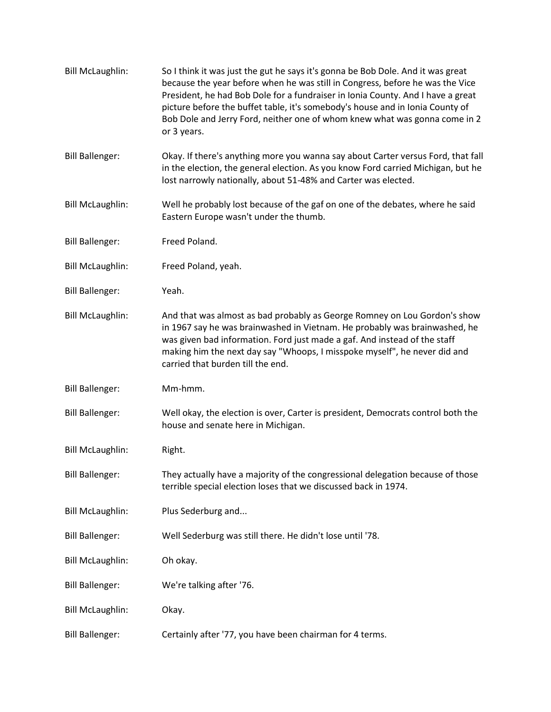| <b>Bill McLaughlin:</b> | So I think it was just the gut he says it's gonna be Bob Dole. And it was great<br>because the year before when he was still in Congress, before he was the Vice<br>President, he had Bob Dole for a fundraiser in Ionia County. And I have a great<br>picture before the buffet table, it's somebody's house and in Ionia County of<br>Bob Dole and Jerry Ford, neither one of whom knew what was gonna come in 2<br>or 3 years. |
|-------------------------|-----------------------------------------------------------------------------------------------------------------------------------------------------------------------------------------------------------------------------------------------------------------------------------------------------------------------------------------------------------------------------------------------------------------------------------|
| <b>Bill Ballenger:</b>  | Okay. If there's anything more you wanna say about Carter versus Ford, that fall<br>in the election, the general election. As you know Ford carried Michigan, but he<br>lost narrowly nationally, about 51-48% and Carter was elected.                                                                                                                                                                                            |
| <b>Bill McLaughlin:</b> | Well he probably lost because of the gaf on one of the debates, where he said<br>Eastern Europe wasn't under the thumb.                                                                                                                                                                                                                                                                                                           |
| <b>Bill Ballenger:</b>  | Freed Poland.                                                                                                                                                                                                                                                                                                                                                                                                                     |
| <b>Bill McLaughlin:</b> | Freed Poland, yeah.                                                                                                                                                                                                                                                                                                                                                                                                               |
| <b>Bill Ballenger:</b>  | Yeah.                                                                                                                                                                                                                                                                                                                                                                                                                             |
| <b>Bill McLaughlin:</b> | And that was almost as bad probably as George Romney on Lou Gordon's show<br>in 1967 say he was brainwashed in Vietnam. He probably was brainwashed, he<br>was given bad information. Ford just made a gaf. And instead of the staff<br>making him the next day say "Whoops, I misspoke myself", he never did and<br>carried that burden till the end.                                                                            |
| <b>Bill Ballenger:</b>  | Mm-hmm.                                                                                                                                                                                                                                                                                                                                                                                                                           |
| <b>Bill Ballenger:</b>  | Well okay, the election is over, Carter is president, Democrats control both the<br>house and senate here in Michigan.                                                                                                                                                                                                                                                                                                            |
| <b>Bill McLaughlin:</b> | Right.                                                                                                                                                                                                                                                                                                                                                                                                                            |
| <b>Bill Ballenger:</b>  | They actually have a majority of the congressional delegation because of those<br>terrible special election loses that we discussed back in 1974.                                                                                                                                                                                                                                                                                 |
| <b>Bill McLaughlin:</b> | Plus Sederburg and                                                                                                                                                                                                                                                                                                                                                                                                                |
| <b>Bill Ballenger:</b>  | Well Sederburg was still there. He didn't lose until '78.                                                                                                                                                                                                                                                                                                                                                                         |
| <b>Bill McLaughlin:</b> | Oh okay.                                                                                                                                                                                                                                                                                                                                                                                                                          |
| <b>Bill Ballenger:</b>  | We're talking after '76.                                                                                                                                                                                                                                                                                                                                                                                                          |
| <b>Bill McLaughlin:</b> | Okay.                                                                                                                                                                                                                                                                                                                                                                                                                             |
| <b>Bill Ballenger:</b>  | Certainly after '77, you have been chairman for 4 terms.                                                                                                                                                                                                                                                                                                                                                                          |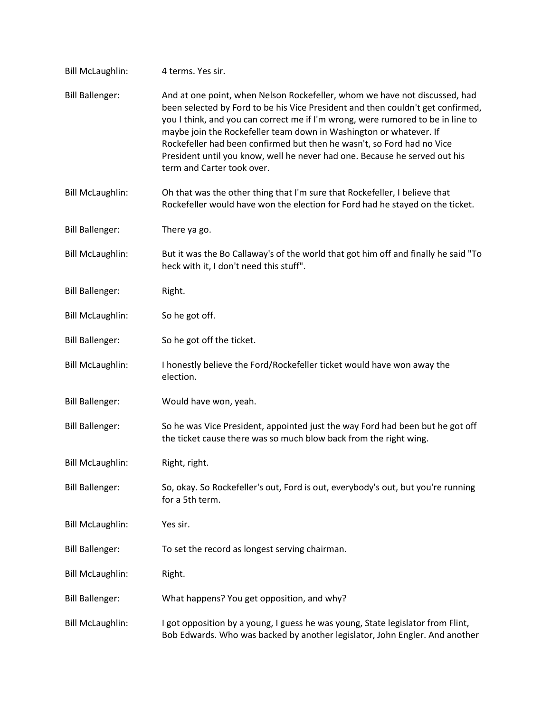| <b>Bill McLaughlin:</b> | 4 terms. Yes sir.                                                                                                                                                                                                                                                                                                                                                                                                                                                                                            |
|-------------------------|--------------------------------------------------------------------------------------------------------------------------------------------------------------------------------------------------------------------------------------------------------------------------------------------------------------------------------------------------------------------------------------------------------------------------------------------------------------------------------------------------------------|
| <b>Bill Ballenger:</b>  | And at one point, when Nelson Rockefeller, whom we have not discussed, had<br>been selected by Ford to be his Vice President and then couldn't get confirmed,<br>you I think, and you can correct me if I'm wrong, were rumored to be in line to<br>maybe join the Rockefeller team down in Washington or whatever. If<br>Rockefeller had been confirmed but then he wasn't, so Ford had no Vice<br>President until you know, well he never had one. Because he served out his<br>term and Carter took over. |
| <b>Bill McLaughlin:</b> | Oh that was the other thing that I'm sure that Rockefeller, I believe that<br>Rockefeller would have won the election for Ford had he stayed on the ticket.                                                                                                                                                                                                                                                                                                                                                  |
| <b>Bill Ballenger:</b>  | There ya go.                                                                                                                                                                                                                                                                                                                                                                                                                                                                                                 |
| <b>Bill McLaughlin:</b> | But it was the Bo Callaway's of the world that got him off and finally he said "To<br>heck with it, I don't need this stuff".                                                                                                                                                                                                                                                                                                                                                                                |
| <b>Bill Ballenger:</b>  | Right.                                                                                                                                                                                                                                                                                                                                                                                                                                                                                                       |
| <b>Bill McLaughlin:</b> | So he got off.                                                                                                                                                                                                                                                                                                                                                                                                                                                                                               |
| <b>Bill Ballenger:</b>  | So he got off the ticket.                                                                                                                                                                                                                                                                                                                                                                                                                                                                                    |
| <b>Bill McLaughlin:</b> | I honestly believe the Ford/Rockefeller ticket would have won away the<br>election.                                                                                                                                                                                                                                                                                                                                                                                                                          |
| <b>Bill Ballenger:</b>  | Would have won, yeah.                                                                                                                                                                                                                                                                                                                                                                                                                                                                                        |
| <b>Bill Ballenger:</b>  | So he was Vice President, appointed just the way Ford had been but he got off<br>the ticket cause there was so much blow back from the right wing.                                                                                                                                                                                                                                                                                                                                                           |
| <b>Bill McLaughlin:</b> | Right, right.                                                                                                                                                                                                                                                                                                                                                                                                                                                                                                |
| <b>Bill Ballenger:</b>  | So, okay. So Rockefeller's out, Ford is out, everybody's out, but you're running<br>for a 5th term.                                                                                                                                                                                                                                                                                                                                                                                                          |
| <b>Bill McLaughlin:</b> | Yes sir.                                                                                                                                                                                                                                                                                                                                                                                                                                                                                                     |
| <b>Bill Ballenger:</b>  | To set the record as longest serving chairman.                                                                                                                                                                                                                                                                                                                                                                                                                                                               |
| <b>Bill McLaughlin:</b> | Right.                                                                                                                                                                                                                                                                                                                                                                                                                                                                                                       |
| <b>Bill Ballenger:</b>  | What happens? You get opposition, and why?                                                                                                                                                                                                                                                                                                                                                                                                                                                                   |
| <b>Bill McLaughlin:</b> | I got opposition by a young, I guess he was young, State legislator from Flint,<br>Bob Edwards. Who was backed by another legislator, John Engler. And another                                                                                                                                                                                                                                                                                                                                               |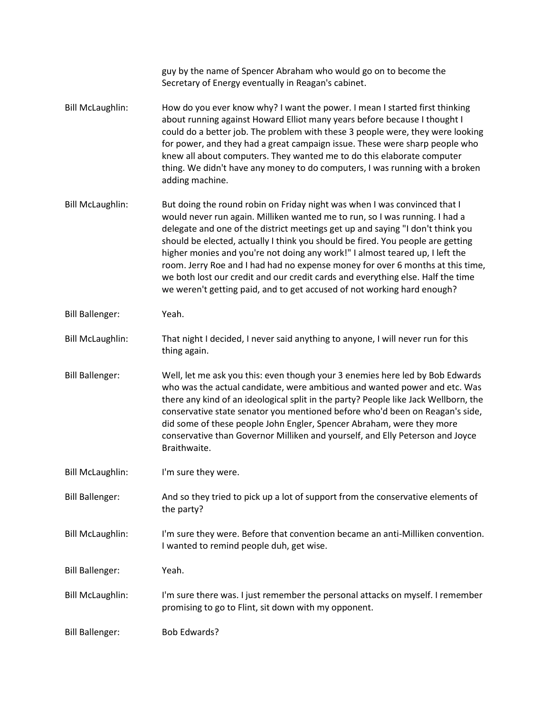|                         | guy by the name of Spencer Abraham who would go on to become the<br>Secretary of Energy eventually in Reagan's cabinet.                                                                                                                                                                                                                                                                                                                                                                                                                                                                                                                                       |
|-------------------------|---------------------------------------------------------------------------------------------------------------------------------------------------------------------------------------------------------------------------------------------------------------------------------------------------------------------------------------------------------------------------------------------------------------------------------------------------------------------------------------------------------------------------------------------------------------------------------------------------------------------------------------------------------------|
| <b>Bill McLaughlin:</b> | How do you ever know why? I want the power. I mean I started first thinking<br>about running against Howard Elliot many years before because I thought I<br>could do a better job. The problem with these 3 people were, they were looking<br>for power, and they had a great campaign issue. These were sharp people who<br>knew all about computers. They wanted me to do this elaborate computer<br>thing. We didn't have any money to do computers, I was running with a broken<br>adding machine.                                                                                                                                                        |
| <b>Bill McLaughlin:</b> | But doing the round robin on Friday night was when I was convinced that I<br>would never run again. Milliken wanted me to run, so I was running. I had a<br>delegate and one of the district meetings get up and saying "I don't think you<br>should be elected, actually I think you should be fired. You people are getting<br>higher monies and you're not doing any work!" I almost teared up, I left the<br>room. Jerry Roe and I had had no expense money for over 6 months at this time,<br>we both lost our credit and our credit cards and everything else. Half the time<br>we weren't getting paid, and to get accused of not working hard enough? |
| <b>Bill Ballenger:</b>  | Yeah.                                                                                                                                                                                                                                                                                                                                                                                                                                                                                                                                                                                                                                                         |
| <b>Bill McLaughlin:</b> | That night I decided, I never said anything to anyone, I will never run for this<br>thing again.                                                                                                                                                                                                                                                                                                                                                                                                                                                                                                                                                              |
| <b>Bill Ballenger:</b>  | Well, let me ask you this: even though your 3 enemies here led by Bob Edwards<br>who was the actual candidate, were ambitious and wanted power and etc. Was<br>there any kind of an ideological split in the party? People like Jack Wellborn, the<br>conservative state senator you mentioned before who'd been on Reagan's side,<br>did some of these people John Engler, Spencer Abraham, were they more<br>conservative than Governor Milliken and yourself, and Elly Peterson and Joyce<br>Braithwaite.                                                                                                                                                  |
| <b>Bill McLaughlin:</b> | I'm sure they were.                                                                                                                                                                                                                                                                                                                                                                                                                                                                                                                                                                                                                                           |
| <b>Bill Ballenger:</b>  | And so they tried to pick up a lot of support from the conservative elements of<br>the party?                                                                                                                                                                                                                                                                                                                                                                                                                                                                                                                                                                 |
| <b>Bill McLaughlin:</b> | I'm sure they were. Before that convention became an anti-Milliken convention.<br>I wanted to remind people duh, get wise.                                                                                                                                                                                                                                                                                                                                                                                                                                                                                                                                    |
| <b>Bill Ballenger:</b>  | Yeah.                                                                                                                                                                                                                                                                                                                                                                                                                                                                                                                                                                                                                                                         |
| <b>Bill McLaughlin:</b> | I'm sure there was. I just remember the personal attacks on myself. I remember<br>promising to go to Flint, sit down with my opponent.                                                                                                                                                                                                                                                                                                                                                                                                                                                                                                                        |
| <b>Bill Ballenger:</b>  | <b>Bob Edwards?</b>                                                                                                                                                                                                                                                                                                                                                                                                                                                                                                                                                                                                                                           |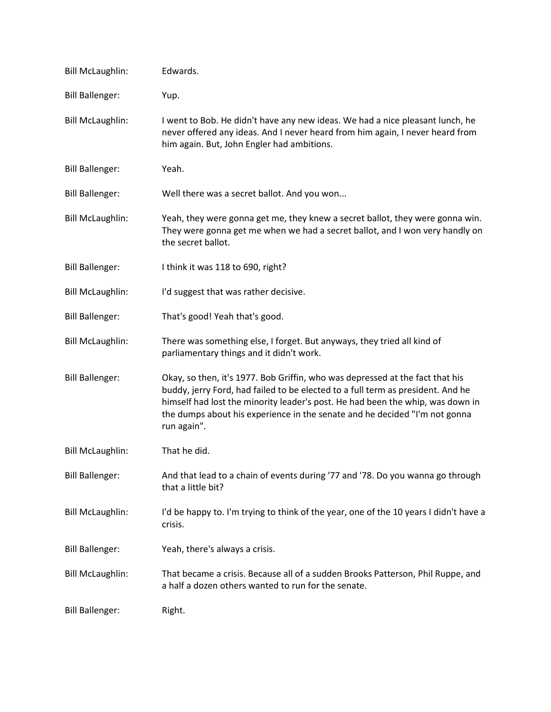| <b>Bill McLaughlin:</b> | Edwards.                                                                                                                                                                                                                                                                                                                                        |
|-------------------------|-------------------------------------------------------------------------------------------------------------------------------------------------------------------------------------------------------------------------------------------------------------------------------------------------------------------------------------------------|
| <b>Bill Ballenger:</b>  | Yup.                                                                                                                                                                                                                                                                                                                                            |
| <b>Bill McLaughlin:</b> | I went to Bob. He didn't have any new ideas. We had a nice pleasant lunch, he<br>never offered any ideas. And I never heard from him again, I never heard from<br>him again. But, John Engler had ambitions.                                                                                                                                    |
| <b>Bill Ballenger:</b>  | Yeah.                                                                                                                                                                                                                                                                                                                                           |
| <b>Bill Ballenger:</b>  | Well there was a secret ballot. And you won                                                                                                                                                                                                                                                                                                     |
| <b>Bill McLaughlin:</b> | Yeah, they were gonna get me, they knew a secret ballot, they were gonna win.<br>They were gonna get me when we had a secret ballot, and I won very handly on<br>the secret ballot.                                                                                                                                                             |
| <b>Bill Ballenger:</b>  | I think it was 118 to 690, right?                                                                                                                                                                                                                                                                                                               |
| <b>Bill McLaughlin:</b> | I'd suggest that was rather decisive.                                                                                                                                                                                                                                                                                                           |
| <b>Bill Ballenger:</b>  | That's good! Yeah that's good.                                                                                                                                                                                                                                                                                                                  |
| <b>Bill McLaughlin:</b> | There was something else, I forget. But anyways, they tried all kind of<br>parliamentary things and it didn't work.                                                                                                                                                                                                                             |
| <b>Bill Ballenger:</b>  | Okay, so then, it's 1977. Bob Griffin, who was depressed at the fact that his<br>buddy, jerry Ford, had failed to be elected to a full term as president. And he<br>himself had lost the minority leader's post. He had been the whip, was down in<br>the dumps about his experience in the senate and he decided "I'm not gonna<br>run again". |
| <b>Bill McLaughlin:</b> | That he did.                                                                                                                                                                                                                                                                                                                                    |
| <b>Bill Ballenger:</b>  | And that lead to a chain of events during '77 and '78. Do you wanna go through<br>that a little bit?                                                                                                                                                                                                                                            |
| <b>Bill McLaughlin:</b> | I'd be happy to. I'm trying to think of the year, one of the 10 years I didn't have a<br>crisis.                                                                                                                                                                                                                                                |
| <b>Bill Ballenger:</b>  | Yeah, there's always a crisis.                                                                                                                                                                                                                                                                                                                  |
| <b>Bill McLaughlin:</b> | That became a crisis. Because all of a sudden Brooks Patterson, Phil Ruppe, and<br>a half a dozen others wanted to run for the senate.                                                                                                                                                                                                          |
| <b>Bill Ballenger:</b>  | Right.                                                                                                                                                                                                                                                                                                                                          |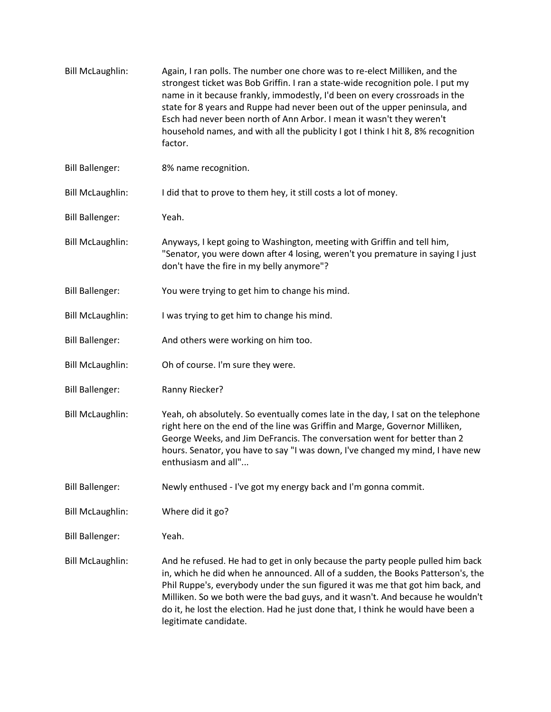| <b>Bill McLaughlin:</b> | Again, I ran polls. The number one chore was to re-elect Milliken, and the<br>strongest ticket was Bob Griffin. I ran a state-wide recognition pole. I put my<br>name in it because frankly, immodestly, I'd been on every crossroads in the<br>state for 8 years and Ruppe had never been out of the upper peninsula, and<br>Esch had never been north of Ann Arbor. I mean it wasn't they weren't<br>household names, and with all the publicity I got I think I hit 8, 8% recognition<br>factor. |
|-------------------------|-----------------------------------------------------------------------------------------------------------------------------------------------------------------------------------------------------------------------------------------------------------------------------------------------------------------------------------------------------------------------------------------------------------------------------------------------------------------------------------------------------|
| <b>Bill Ballenger:</b>  | 8% name recognition.                                                                                                                                                                                                                                                                                                                                                                                                                                                                                |
| <b>Bill McLaughlin:</b> | I did that to prove to them hey, it still costs a lot of money.                                                                                                                                                                                                                                                                                                                                                                                                                                     |
| <b>Bill Ballenger:</b>  | Yeah.                                                                                                                                                                                                                                                                                                                                                                                                                                                                                               |
| <b>Bill McLaughlin:</b> | Anyways, I kept going to Washington, meeting with Griffin and tell him,<br>"Senator, you were down after 4 losing, weren't you premature in saying I just<br>don't have the fire in my belly anymore"?                                                                                                                                                                                                                                                                                              |
| <b>Bill Ballenger:</b>  | You were trying to get him to change his mind.                                                                                                                                                                                                                                                                                                                                                                                                                                                      |
| <b>Bill McLaughlin:</b> | I was trying to get him to change his mind.                                                                                                                                                                                                                                                                                                                                                                                                                                                         |
| <b>Bill Ballenger:</b>  | And others were working on him too.                                                                                                                                                                                                                                                                                                                                                                                                                                                                 |
| <b>Bill McLaughlin:</b> | Oh of course. I'm sure they were.                                                                                                                                                                                                                                                                                                                                                                                                                                                                   |
| <b>Bill Ballenger:</b>  | Ranny Riecker?                                                                                                                                                                                                                                                                                                                                                                                                                                                                                      |
| <b>Bill McLaughlin:</b> | Yeah, oh absolutely. So eventually comes late in the day, I sat on the telephone<br>right here on the end of the line was Griffin and Marge, Governor Milliken,<br>George Weeks, and Jim DeFrancis. The conversation went for better than 2<br>hours. Senator, you have to say "I was down, I've changed my mind, I have new<br>enthusiasm and all"                                                                                                                                                 |
| <b>Bill Ballenger:</b>  | Newly enthused - I've got my energy back and I'm gonna commit.                                                                                                                                                                                                                                                                                                                                                                                                                                      |
| <b>Bill McLaughlin:</b> | Where did it go?                                                                                                                                                                                                                                                                                                                                                                                                                                                                                    |
| <b>Bill Ballenger:</b>  | Yeah.                                                                                                                                                                                                                                                                                                                                                                                                                                                                                               |
| <b>Bill McLaughlin:</b> | And he refused. He had to get in only because the party people pulled him back<br>in, which he did when he announced. All of a sudden, the Books Patterson's, the<br>Phil Ruppe's, everybody under the sun figured it was me that got him back, and<br>Milliken. So we both were the bad guys, and it wasn't. And because he wouldn't<br>do it, he lost the election. Had he just done that, I think he would have been a<br>legitimate candidate.                                                  |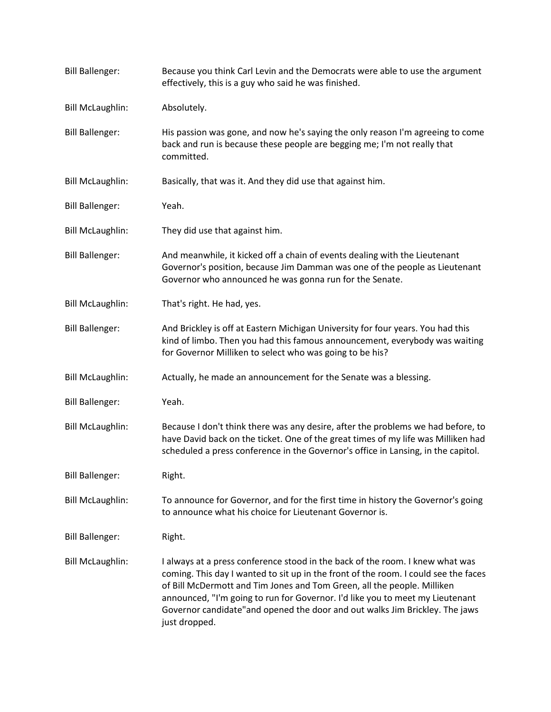| <b>Bill Ballenger:</b>  | Because you think Carl Levin and the Democrats were able to use the argument<br>effectively, this is a guy who said he was finished.                                                                                                                                                                                                                                                                                              |
|-------------------------|-----------------------------------------------------------------------------------------------------------------------------------------------------------------------------------------------------------------------------------------------------------------------------------------------------------------------------------------------------------------------------------------------------------------------------------|
| <b>Bill McLaughlin:</b> | Absolutely.                                                                                                                                                                                                                                                                                                                                                                                                                       |
| <b>Bill Ballenger:</b>  | His passion was gone, and now he's saying the only reason I'm agreeing to come<br>back and run is because these people are begging me; I'm not really that<br>committed.                                                                                                                                                                                                                                                          |
| <b>Bill McLaughlin:</b> | Basically, that was it. And they did use that against him.                                                                                                                                                                                                                                                                                                                                                                        |
| <b>Bill Ballenger:</b>  | Yeah.                                                                                                                                                                                                                                                                                                                                                                                                                             |
| <b>Bill McLaughlin:</b> | They did use that against him.                                                                                                                                                                                                                                                                                                                                                                                                    |
| <b>Bill Ballenger:</b>  | And meanwhile, it kicked off a chain of events dealing with the Lieutenant<br>Governor's position, because Jim Damman was one of the people as Lieutenant<br>Governor who announced he was gonna run for the Senate.                                                                                                                                                                                                              |
| <b>Bill McLaughlin:</b> | That's right. He had, yes.                                                                                                                                                                                                                                                                                                                                                                                                        |
| <b>Bill Ballenger:</b>  | And Brickley is off at Eastern Michigan University for four years. You had this<br>kind of limbo. Then you had this famous announcement, everybody was waiting<br>for Governor Milliken to select who was going to be his?                                                                                                                                                                                                        |
| <b>Bill McLaughlin:</b> | Actually, he made an announcement for the Senate was a blessing.                                                                                                                                                                                                                                                                                                                                                                  |
| <b>Bill Ballenger:</b>  | Yeah.                                                                                                                                                                                                                                                                                                                                                                                                                             |
| <b>Bill McLaughlin:</b> | Because I don't think there was any desire, after the problems we had before, to<br>have David back on the ticket. One of the great times of my life was Milliken had<br>scheduled a press conference in the Governor's office in Lansing, in the capitol.                                                                                                                                                                        |
| <b>Bill Ballenger:</b>  | Right.                                                                                                                                                                                                                                                                                                                                                                                                                            |
| <b>Bill McLaughlin:</b> | To announce for Governor, and for the first time in history the Governor's going<br>to announce what his choice for Lieutenant Governor is.                                                                                                                                                                                                                                                                                       |
| <b>Bill Ballenger:</b>  | Right.                                                                                                                                                                                                                                                                                                                                                                                                                            |
| <b>Bill McLaughlin:</b> | I always at a press conference stood in the back of the room. I knew what was<br>coming. This day I wanted to sit up in the front of the room. I could see the faces<br>of Bill McDermott and Tim Jones and Tom Green, all the people. Milliken<br>announced, "I'm going to run for Governor. I'd like you to meet my Lieutenant<br>Governor candidate" and opened the door and out walks Jim Brickley. The jaws<br>just dropped. |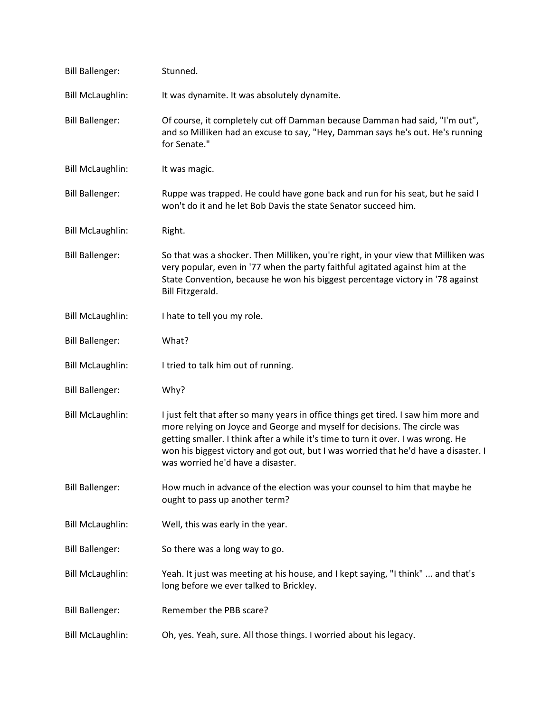| <b>Bill Ballenger:</b>  | Stunned.                                                                                                                                                                                                                                                                                                                                                                          |
|-------------------------|-----------------------------------------------------------------------------------------------------------------------------------------------------------------------------------------------------------------------------------------------------------------------------------------------------------------------------------------------------------------------------------|
| <b>Bill McLaughlin:</b> | It was dynamite. It was absolutely dynamite.                                                                                                                                                                                                                                                                                                                                      |
| <b>Bill Ballenger:</b>  | Of course, it completely cut off Damman because Damman had said, "I'm out",<br>and so Milliken had an excuse to say, "Hey, Damman says he's out. He's running<br>for Senate."                                                                                                                                                                                                     |
| <b>Bill McLaughlin:</b> | It was magic.                                                                                                                                                                                                                                                                                                                                                                     |
| <b>Bill Ballenger:</b>  | Ruppe was trapped. He could have gone back and run for his seat, but he said I<br>won't do it and he let Bob Davis the state Senator succeed him.                                                                                                                                                                                                                                 |
| <b>Bill McLaughlin:</b> | Right.                                                                                                                                                                                                                                                                                                                                                                            |
| <b>Bill Ballenger:</b>  | So that was a shocker. Then Milliken, you're right, in your view that Milliken was<br>very popular, even in '77 when the party faithful agitated against him at the<br>State Convention, because he won his biggest percentage victory in '78 against<br>Bill Fitzgerald.                                                                                                         |
| <b>Bill McLaughlin:</b> | I hate to tell you my role.                                                                                                                                                                                                                                                                                                                                                       |
| <b>Bill Ballenger:</b>  | What?                                                                                                                                                                                                                                                                                                                                                                             |
| <b>Bill McLaughlin:</b> | I tried to talk him out of running.                                                                                                                                                                                                                                                                                                                                               |
| <b>Bill Ballenger:</b>  | Why?                                                                                                                                                                                                                                                                                                                                                                              |
| <b>Bill McLaughlin:</b> | I just felt that after so many years in office things get tired. I saw him more and<br>more relying on Joyce and George and myself for decisions. The circle was<br>getting smaller. I think after a while it's time to turn it over. I was wrong. He<br>won his biggest victory and got out, but I was worried that he'd have a disaster. I<br>was worried he'd have a disaster. |
| <b>Bill Ballenger:</b>  | How much in advance of the election was your counsel to him that maybe he<br>ought to pass up another term?                                                                                                                                                                                                                                                                       |
| <b>Bill McLaughlin:</b> | Well, this was early in the year.                                                                                                                                                                                                                                                                                                                                                 |
| <b>Bill Ballenger:</b>  | So there was a long way to go.                                                                                                                                                                                                                                                                                                                                                    |
| <b>Bill McLaughlin:</b> | Yeah. It just was meeting at his house, and I kept saying, "I think"  and that's<br>long before we ever talked to Brickley.                                                                                                                                                                                                                                                       |
| <b>Bill Ballenger:</b>  | Remember the PBB scare?                                                                                                                                                                                                                                                                                                                                                           |
| <b>Bill McLaughlin:</b> | Oh, yes. Yeah, sure. All those things. I worried about his legacy.                                                                                                                                                                                                                                                                                                                |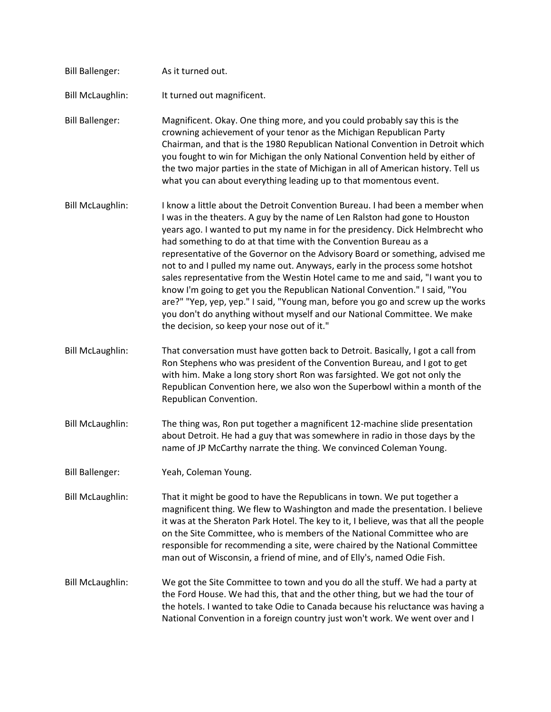| <b>Bill Ballenger:</b>  | As it turned out.                                                                                                                                                                                                                                                                                                                                                                                                                                                                                                                                                                                                                                                                                                                                                                                                                                                |
|-------------------------|------------------------------------------------------------------------------------------------------------------------------------------------------------------------------------------------------------------------------------------------------------------------------------------------------------------------------------------------------------------------------------------------------------------------------------------------------------------------------------------------------------------------------------------------------------------------------------------------------------------------------------------------------------------------------------------------------------------------------------------------------------------------------------------------------------------------------------------------------------------|
| <b>Bill McLaughlin:</b> | It turned out magnificent.                                                                                                                                                                                                                                                                                                                                                                                                                                                                                                                                                                                                                                                                                                                                                                                                                                       |
| <b>Bill Ballenger:</b>  | Magnificent. Okay. One thing more, and you could probably say this is the<br>crowning achievement of your tenor as the Michigan Republican Party<br>Chairman, and that is the 1980 Republican National Convention in Detroit which<br>you fought to win for Michigan the only National Convention held by either of<br>the two major parties in the state of Michigan in all of American history. Tell us<br>what you can about everything leading up to that momentous event.                                                                                                                                                                                                                                                                                                                                                                                   |
| <b>Bill McLaughlin:</b> | I know a little about the Detroit Convention Bureau. I had been a member when<br>I was in the theaters. A guy by the name of Len Ralston had gone to Houston<br>years ago. I wanted to put my name in for the presidency. Dick Helmbrecht who<br>had something to do at that time with the Convention Bureau as a<br>representative of the Governor on the Advisory Board or something, advised me<br>not to and I pulled my name out. Anyways, early in the process some hotshot<br>sales representative from the Westin Hotel came to me and said, "I want you to<br>know I'm going to get you the Republican National Convention." I said, "You<br>are?" "Yep, yep, yep." I said, "Young man, before you go and screw up the works<br>you don't do anything without myself and our National Committee. We make<br>the decision, so keep your nose out of it." |
| <b>Bill McLaughlin:</b> | That conversation must have gotten back to Detroit. Basically, I got a call from<br>Ron Stephens who was president of the Convention Bureau, and I got to get<br>with him. Make a long story short Ron was farsighted. We got not only the<br>Republican Convention here, we also won the Superbowl within a month of the<br>Republican Convention.                                                                                                                                                                                                                                                                                                                                                                                                                                                                                                              |
| <b>Bill McLaughlin:</b> | The thing was, Ron put together a magnificent 12-machine slide presentation<br>about Detroit. He had a guy that was somewhere in radio in those days by the<br>name of JP McCarthy narrate the thing. We convinced Coleman Young.                                                                                                                                                                                                                                                                                                                                                                                                                                                                                                                                                                                                                                |
| <b>Bill Ballenger:</b>  | Yeah, Coleman Young.                                                                                                                                                                                                                                                                                                                                                                                                                                                                                                                                                                                                                                                                                                                                                                                                                                             |
| <b>Bill McLaughlin:</b> | That it might be good to have the Republicans in town. We put together a<br>magnificent thing. We flew to Washington and made the presentation. I believe<br>it was at the Sheraton Park Hotel. The key to it, I believe, was that all the people<br>on the Site Committee, who is members of the National Committee who are<br>responsible for recommending a site, were chaired by the National Committee<br>man out of Wisconsin, a friend of mine, and of Elly's, named Odie Fish.                                                                                                                                                                                                                                                                                                                                                                           |
| <b>Bill McLaughlin:</b> | We got the Site Committee to town and you do all the stuff. We had a party at<br>the Ford House. We had this, that and the other thing, but we had the tour of<br>the hotels. I wanted to take Odie to Canada because his reluctance was having a<br>National Convention in a foreign country just won't work. We went over and I                                                                                                                                                                                                                                                                                                                                                                                                                                                                                                                                |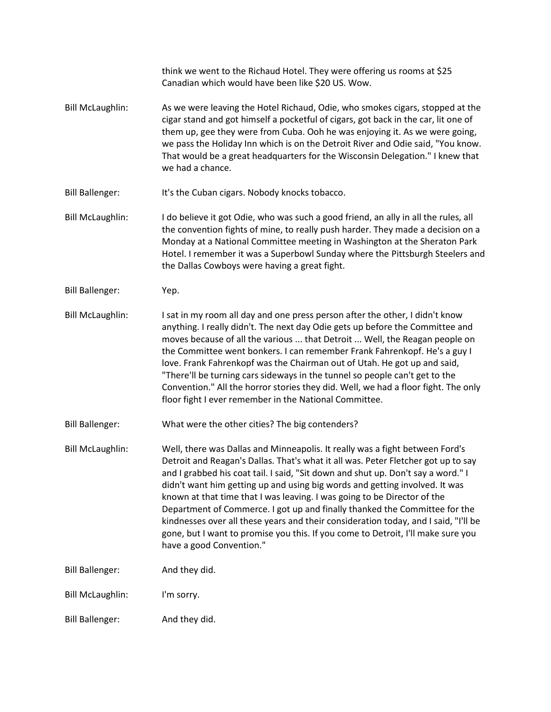|                         | think we went to the Richaud Hotel. They were offering us rooms at \$25<br>Canadian which would have been like \$20 US. Wow.                                                                                                                                                                                                                                                                                                                                                                                                                                                                                                                                                                          |
|-------------------------|-------------------------------------------------------------------------------------------------------------------------------------------------------------------------------------------------------------------------------------------------------------------------------------------------------------------------------------------------------------------------------------------------------------------------------------------------------------------------------------------------------------------------------------------------------------------------------------------------------------------------------------------------------------------------------------------------------|
| <b>Bill McLaughlin:</b> | As we were leaving the Hotel Richaud, Odie, who smokes cigars, stopped at the<br>cigar stand and got himself a pocketful of cigars, got back in the car, lit one of<br>them up, gee they were from Cuba. Ooh he was enjoying it. As we were going,<br>we pass the Holiday Inn which is on the Detroit River and Odie said, "You know.<br>That would be a great headquarters for the Wisconsin Delegation." I knew that<br>we had a chance.                                                                                                                                                                                                                                                            |
| <b>Bill Ballenger:</b>  | It's the Cuban cigars. Nobody knocks tobacco.                                                                                                                                                                                                                                                                                                                                                                                                                                                                                                                                                                                                                                                         |
| <b>Bill McLaughlin:</b> | I do believe it got Odie, who was such a good friend, an ally in all the rules, all<br>the convention fights of mine, to really push harder. They made a decision on a<br>Monday at a National Committee meeting in Washington at the Sheraton Park<br>Hotel. I remember it was a Superbowl Sunday where the Pittsburgh Steelers and<br>the Dallas Cowboys were having a great fight.                                                                                                                                                                                                                                                                                                                 |
| <b>Bill Ballenger:</b>  | Yep.                                                                                                                                                                                                                                                                                                                                                                                                                                                                                                                                                                                                                                                                                                  |
| <b>Bill McLaughlin:</b> | I sat in my room all day and one press person after the other, I didn't know<br>anything. I really didn't. The next day Odie gets up before the Committee and<br>moves because of all the various  that Detroit  Well, the Reagan people on<br>the Committee went bonkers. I can remember Frank Fahrenkopf. He's a guy I<br>love. Frank Fahrenkopf was the Chairman out of Utah. He got up and said,<br>"There'll be turning cars sideways in the tunnel so people can't get to the<br>Convention." All the horror stories they did. Well, we had a floor fight. The only<br>floor fight I ever remember in the National Committee.                                                                   |
| <b>Bill Ballenger:</b>  | What were the other cities? The big contenders?                                                                                                                                                                                                                                                                                                                                                                                                                                                                                                                                                                                                                                                       |
| <b>Bill McLaughlin:</b> | Well, there was Dallas and Minneapolis. It really was a fight between Ford's<br>Detroit and Reagan's Dallas. That's what it all was. Peter Fletcher got up to say<br>and I grabbed his coat tail. I said, "Sit down and shut up. Don't say a word." I<br>didn't want him getting up and using big words and getting involved. It was<br>known at that time that I was leaving. I was going to be Director of the<br>Department of Commerce. I got up and finally thanked the Committee for the<br>kindnesses over all these years and their consideration today, and I said, "I'll be<br>gone, but I want to promise you this. If you come to Detroit, I'll make sure you<br>have a good Convention." |
| <b>Bill Ballenger:</b>  | And they did.                                                                                                                                                                                                                                                                                                                                                                                                                                                                                                                                                                                                                                                                                         |
| <b>Bill McLaughlin:</b> | I'm sorry.                                                                                                                                                                                                                                                                                                                                                                                                                                                                                                                                                                                                                                                                                            |
| <b>Bill Ballenger:</b>  | And they did.                                                                                                                                                                                                                                                                                                                                                                                                                                                                                                                                                                                                                                                                                         |